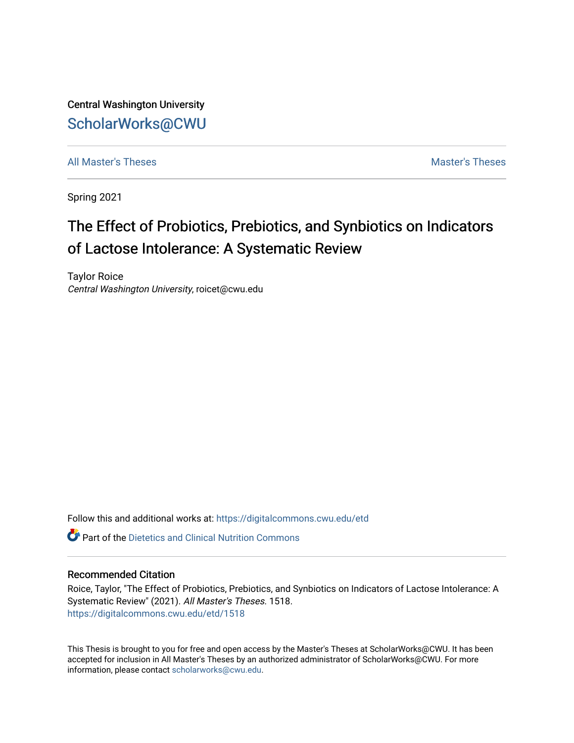Central Washington University [ScholarWorks@CWU](https://digitalcommons.cwu.edu/) 

[All Master's Theses](https://digitalcommons.cwu.edu/etd) and the set of the set of the set of the set of the set of the set of the set of the set of the set of the set of the set of the set of the set of the set of the set of the set of the set of the set of

Spring 2021

# The Effect of Probiotics, Prebiotics, and Synbiotics on Indicators of Lactose Intolerance: A Systematic Review

Taylor Roice Central Washington University, roicet@cwu.edu

Follow this and additional works at: [https://digitalcommons.cwu.edu/etd](https://digitalcommons.cwu.edu/etd?utm_source=digitalcommons.cwu.edu%2Fetd%2F1518&utm_medium=PDF&utm_campaign=PDFCoverPages) 

 $\bullet$  Part of the Dietetics and Clinical Nutrition Commons

#### Recommended Citation

Roice, Taylor, "The Effect of Probiotics, Prebiotics, and Synbiotics on Indicators of Lactose Intolerance: A Systematic Review" (2021). All Master's Theses. 1518. [https://digitalcommons.cwu.edu/etd/1518](https://digitalcommons.cwu.edu/etd/1518?utm_source=digitalcommons.cwu.edu%2Fetd%2F1518&utm_medium=PDF&utm_campaign=PDFCoverPages)

This Thesis is brought to you for free and open access by the Master's Theses at ScholarWorks@CWU. It has been accepted for inclusion in All Master's Theses by an authorized administrator of ScholarWorks@CWU. For more information, please contact [scholarworks@cwu.edu.](mailto:scholarworks@cwu.edu)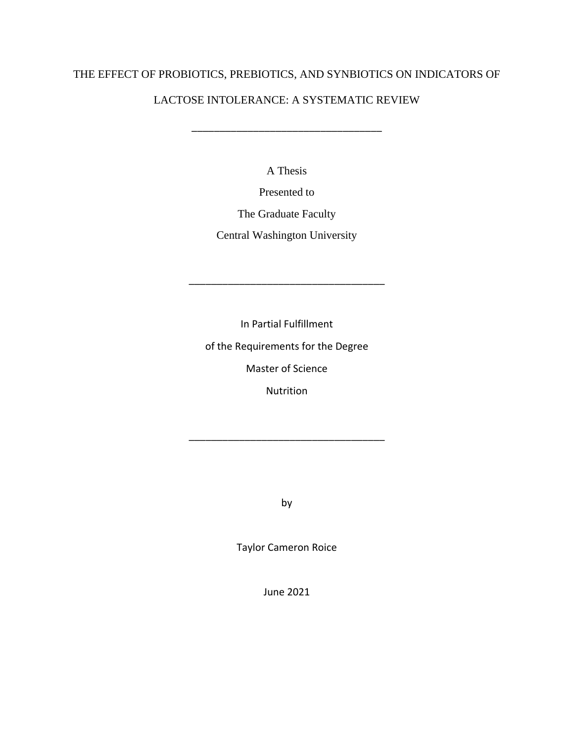# THE EFFECT OF PROBIOTICS, PREBIOTICS, AND SYNBIOTICS ON INDICATORS OF

# LACTOSE INTOLERANCE: A SYSTEMATIC REVIEW

\_\_\_\_\_\_\_\_\_\_\_\_\_\_\_\_\_\_\_\_\_\_\_\_\_\_\_\_\_\_\_\_\_\_

A Thesis

Presented to

The Graduate Faculty

Central Washington University

In Partial Fulfillment

\_\_\_\_\_\_\_\_\_\_\_\_\_\_\_\_\_\_\_\_\_\_\_\_\_\_\_\_\_\_\_\_\_\_\_

of the Requirements for the Degree

Master of Science

Nutrition

\_\_\_\_\_\_\_\_\_\_\_\_\_\_\_\_\_\_\_\_\_\_\_\_\_\_\_\_\_\_\_\_\_\_\_

by

Taylor Cameron Roice

June 2021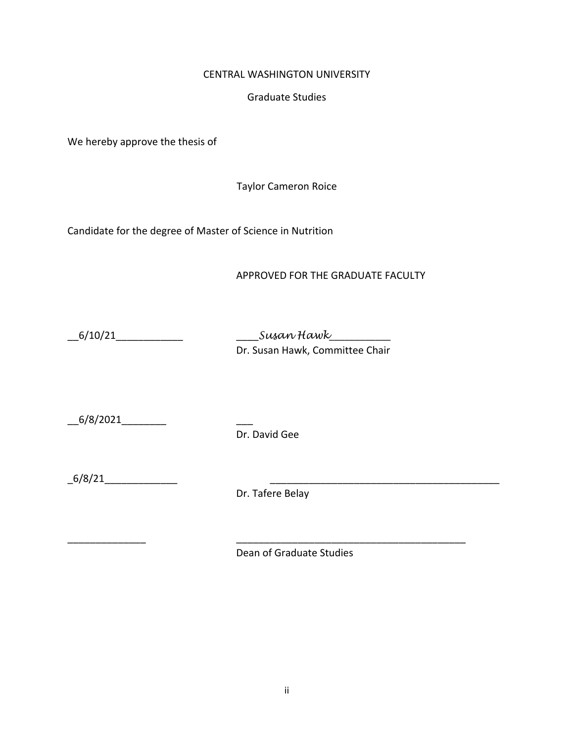## CENTRAL WASHINGTON UNIVERSITY

## Graduate Studies

We hereby approve the thesis of

Taylor Cameron Roice

Candidate for the degree of Master of Science in Nutrition

APPROVED FOR THE GRADUATE FACULTY

\_\_6/10/21\_\_\_\_\_\_\_\_\_\_\_\_ \_\_\_\_*Susan Hawk*\_\_\_\_\_\_\_\_\_\_\_\_ Dr. Susan Hawk, Committee Chair

 $6/8/2021$ 

Dr. David Gee

\_6/8/21\_\_\_\_\_\_\_\_\_\_\_\_\_ \_\_\_\_\_\_\_\_\_\_\_\_\_\_\_\_\_\_\_\_\_\_\_\_\_\_\_\_\_\_\_\_\_\_\_\_\_\_\_\_\_

Dr. Tafere Belay

\_\_\_\_\_\_\_\_\_\_\_\_\_\_ \_\_\_\_\_\_\_\_\_\_\_\_\_\_\_\_\_\_\_\_\_\_\_\_\_\_\_\_\_\_\_\_\_\_\_\_\_\_\_\_\_

Dean of Graduate Studies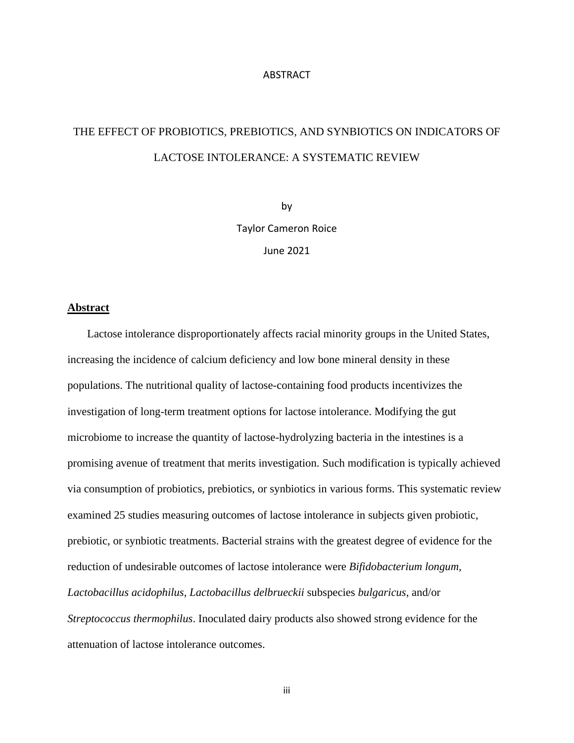#### **ABSTRACT**

# THE EFFECT OF PROBIOTICS, PREBIOTICS, AND SYNBIOTICS ON INDICATORS OF LACTOSE INTOLERANCE: A SYSTEMATIC REVIEW

by Taylor Cameron Roice June 2021

#### **Abstract**

 Lactose intolerance disproportionately affects racial minority groups in the United States, increasing the incidence of calcium deficiency and low bone mineral density in these populations. The nutritional quality of lactose-containing food products incentivizes the investigation of long-term treatment options for lactose intolerance. Modifying the gut microbiome to increase the quantity of lactose-hydrolyzing bacteria in the intestines is a promising avenue of treatment that merits investigation. Such modification is typically achieved via consumption of probiotics, prebiotics, or synbiotics in various forms. This systematic review examined 25 studies measuring outcomes of lactose intolerance in subjects given probiotic, prebiotic, or synbiotic treatments. Bacterial strains with the greatest degree of evidence for the reduction of undesirable outcomes of lactose intolerance were *Bifidobacterium longum, Lactobacillus acidophilus, Lactobacillus delbrueckii* subspecies *bulgaricus*, and/or *Streptococcus thermophilus*. Inoculated dairy products also showed strong evidence for the attenuation of lactose intolerance outcomes.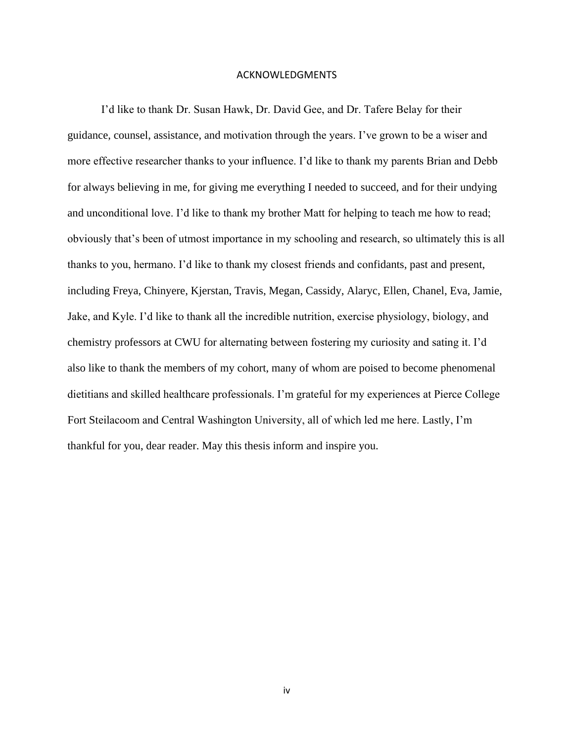#### ACKNOWLEDGMENTS

I'd like to thank Dr. Susan Hawk, Dr. David Gee, and Dr. Tafere Belay for their guidance, counsel, assistance, and motivation through the years. I've grown to be a wiser and more effective researcher thanks to your influence. I'd like to thank my parents Brian and Debb for always believing in me, for giving me everything I needed to succeed, and for their undying and unconditional love. I'd like to thank my brother Matt for helping to teach me how to read; obviously that's been of utmost importance in my schooling and research, so ultimately this is all thanks to you, hermano. I'd like to thank my closest friends and confidants, past and present, including Freya, Chinyere, Kjerstan, Travis, Megan, Cassidy, Alaryc, Ellen, Chanel, Eva, Jamie, Jake, and Kyle. I'd like to thank all the incredible nutrition, exercise physiology, biology, and chemistry professors at CWU for alternating between fostering my curiosity and sating it. I'd also like to thank the members of my cohort, many of whom are poised to become phenomenal dietitians and skilled healthcare professionals. I'm grateful for my experiences at Pierce College Fort Steilacoom and Central Washington University, all of which led me here. Lastly, I'm thankful for you, dear reader. May this thesis inform and inspire you.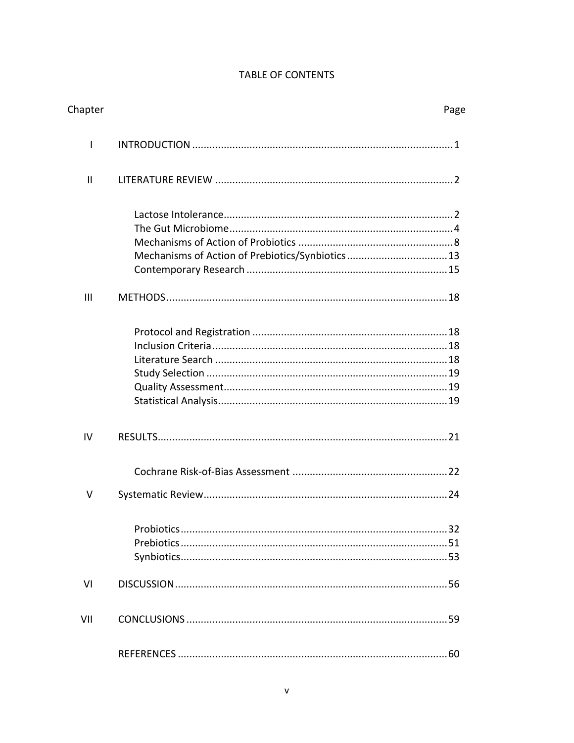# TABLE OF CONTENTS

| Chapter      |                                                  | Page |
|--------------|--------------------------------------------------|------|
| I            |                                                  |      |
| $\mathbf{I}$ |                                                  |      |
| III          | Mechanisms of Action of Prebiotics/Synbiotics 13 |      |
|              |                                                  |      |
| IV           |                                                  |      |
|              |                                                  |      |
| v            |                                                  |      |
|              |                                                  |      |
| VI           |                                                  |      |
| VII          |                                                  |      |
|              |                                                  |      |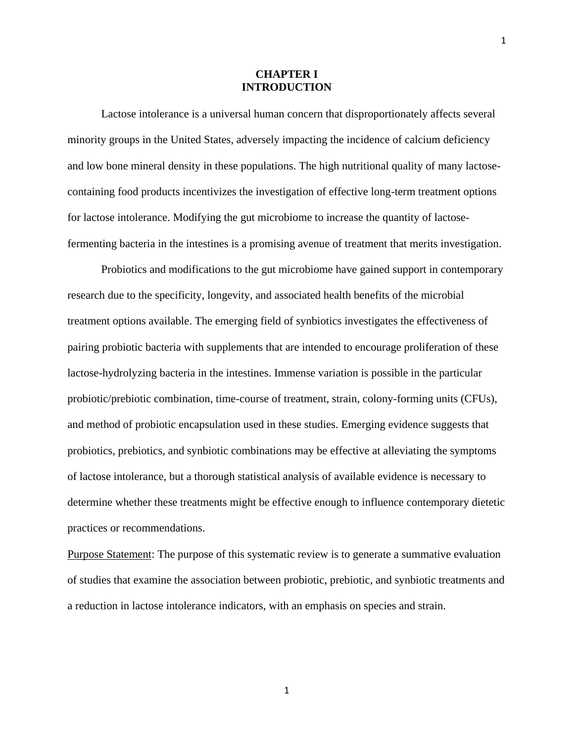#### **CHAPTER I INTRODUCTION**

Lactose intolerance is a universal human concern that disproportionately affects several minority groups in the United States, adversely impacting the incidence of calcium deficiency and low bone mineral density in these populations. The high nutritional quality of many lactosecontaining food products incentivizes the investigation of effective long-term treatment options for lactose intolerance. Modifying the gut microbiome to increase the quantity of lactosefermenting bacteria in the intestines is a promising avenue of treatment that merits investigation.

Probiotics and modifications to the gut microbiome have gained support in contemporary research due to the specificity, longevity, and associated health benefits of the microbial treatment options available. The emerging field of synbiotics investigates the effectiveness of pairing probiotic bacteria with supplements that are intended to encourage proliferation of these lactose-hydrolyzing bacteria in the intestines. Immense variation is possible in the particular probiotic/prebiotic combination, time-course of treatment, strain, colony-forming units (CFUs), and method of probiotic encapsulation used in these studies. Emerging evidence suggests that probiotics, prebiotics, and synbiotic combinations may be effective at alleviating the symptoms of lactose intolerance, but a thorough statistical analysis of available evidence is necessary to determine whether these treatments might be effective enough to influence contemporary dietetic practices or recommendations.

Purpose Statement: The purpose of this systematic review is to generate a summative evaluation of studies that examine the association between probiotic, prebiotic, and synbiotic treatments and a reduction in lactose intolerance indicators, with an emphasis on species and strain.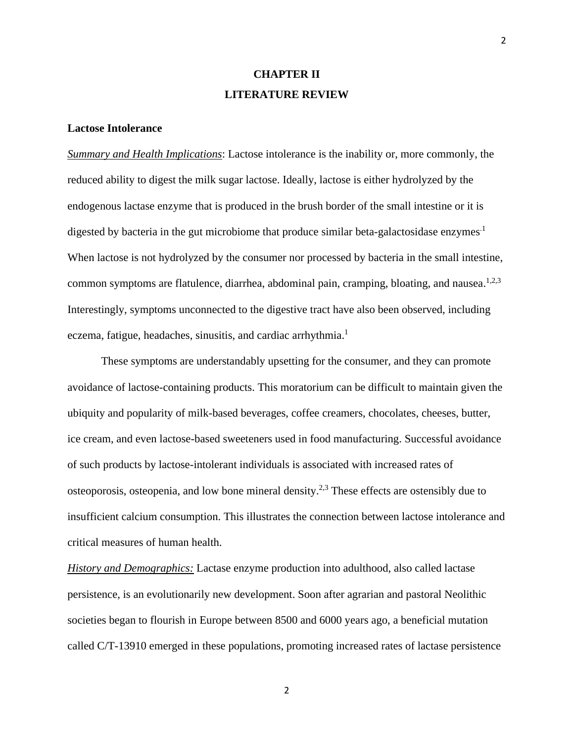# **CHAPTER II LITERATURE REVIEW**

#### **Lactose Intolerance**

*Summary and Health Implications*: Lactose intolerance is the inability or, more commonly, the reduced ability to digest the milk sugar lactose. Ideally, lactose is either hydrolyzed by the endogenous lactase enzyme that is produced in the brush border of the small intestine or it is digested by bacteria in the gut microbiome that produce similar beta-galactosidase enzymes<sup>1</sup> When lactose is not hydrolyzed by the consumer nor processed by bacteria in the small intestine, common symptoms are flatulence, diarrhea, abdominal pain, cramping, bloating, and nausea.<sup>1,2,3</sup> Interestingly, symptoms unconnected to the digestive tract have also been observed, including eczema, fatigue, headaches, sinusitis, and cardiac arrhythmia.<sup>1</sup>

These symptoms are understandably upsetting for the consumer, and they can promote avoidance of lactose-containing products. This moratorium can be difficult to maintain given the ubiquity and popularity of milk-based beverages, coffee creamers, chocolates, cheeses, butter, ice cream, and even lactose-based sweeteners used in food manufacturing. Successful avoidance of such products by lactose-intolerant individuals is associated with increased rates of osteoporosis, osteopenia, and low bone mineral density.<sup>2,3</sup> These effects are ostensibly due to insufficient calcium consumption. This illustrates the connection between lactose intolerance and critical measures of human health.

*History and Demographics:* Lactase enzyme production into adulthood, also called lactase persistence, is an evolutionarily new development. Soon after agrarian and pastoral Neolithic societies began to flourish in Europe between 8500 and 6000 years ago, a beneficial mutation called C/T-13910 emerged in these populations, promoting increased rates of lactase persistence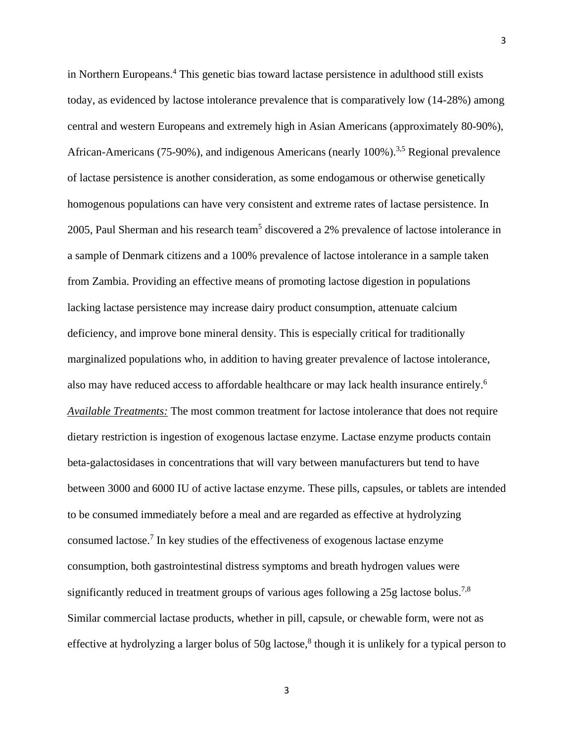in Northern Europeans.<sup>4</sup> This genetic bias toward lactase persistence in adulthood still exists today, as evidenced by lactose intolerance prevalence that is comparatively low (14-28%) among central and western Europeans and extremely high in Asian Americans (approximately 80-90%), African-Americans (75-90%), and indigenous Americans (nearly 100%).<sup>3,5</sup> Regional prevalence of lactase persistence is another consideration, as some endogamous or otherwise genetically homogenous populations can have very consistent and extreme rates of lactase persistence. In 2005, Paul Sherman and his research team<sup>5</sup> discovered a 2% prevalence of lactose intolerance in a sample of Denmark citizens and a 100% prevalence of lactose intolerance in a sample taken from Zambia. Providing an effective means of promoting lactose digestion in populations lacking lactase persistence may increase dairy product consumption, attenuate calcium deficiency, and improve bone mineral density. This is especially critical for traditionally marginalized populations who, in addition to having greater prevalence of lactose intolerance, also may have reduced access to affordable healthcare or may lack health insurance entirely.<sup>6</sup> *Available Treatments:* The most common treatment for lactose intolerance that does not require dietary restriction is ingestion of exogenous lactase enzyme. Lactase enzyme products contain beta-galactosidases in concentrations that will vary between manufacturers but tend to have between 3000 and 6000 IU of active lactase enzyme. These pills, capsules, or tablets are intended to be consumed immediately before a meal and are regarded as effective at hydrolyzing consumed lactose. 7 In key studies of the effectiveness of exogenous lactase enzyme consumption, both gastrointestinal distress symptoms and breath hydrogen values were significantly reduced in treatment groups of various ages following a 25g lactose bolus.<sup>7,8</sup> Similar commercial lactase products, whether in pill, capsule, or chewable form, were not as effective at hydrolyzing a larger bolus of 50g lactose,<sup>8</sup> though it is unlikely for a typical person to

3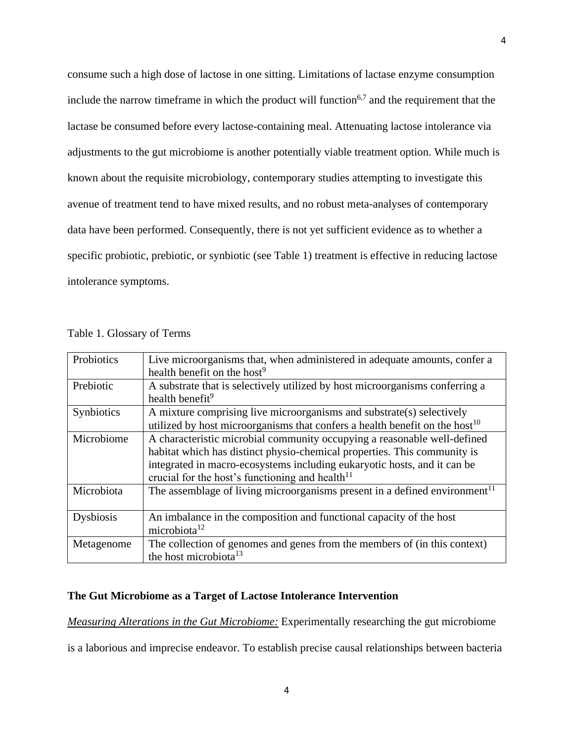consume such a high dose of lactose in one sitting. Limitations of lactase enzyme consumption include the narrow timeframe in which the product will function<sup>6,7</sup> and the requirement that the lactase be consumed before every lactose-containing meal. Attenuating lactose intolerance via adjustments to the gut microbiome is another potentially viable treatment option. While much is known about the requisite microbiology, contemporary studies attempting to investigate this avenue of treatment tend to have mixed results, and no robust meta-analyses of contemporary data have been performed. Consequently, there is not yet sufficient evidence as to whether a specific probiotic, prebiotic, or synbiotic (see Table 1) treatment is effective in reducing lactose intolerance symptoms.

| Probiotics | Live microorganisms that, when administered in adequate amounts, confer a               |
|------------|-----------------------------------------------------------------------------------------|
|            | health benefit on the host <sup>9</sup>                                                 |
| Prebiotic  | A substrate that is selectively utilized by host microorganisms conferring a            |
|            | health benefit <sup>9</sup>                                                             |
| Synbiotics | A mixture comprising live microorganisms and substrate(s) selectively                   |
|            | utilized by host microorganisms that confers a health benefit on the host <sup>10</sup> |
| Microbiome | A characteristic microbial community occupying a reasonable well-defined                |
|            | habitat which has distinct physio-chemical properties. This community is                |
|            | integrated in macro-ecosystems including eukaryotic hosts, and it can be                |
|            | crucial for the host's functioning and health $11$                                      |
| Microbiota | The assemblage of living microorganisms present in a defined environment <sup>11</sup>  |
|            |                                                                                         |
| Dysbiosis  | An imbalance in the composition and functional capacity of the host                     |
|            | microbiota <sup>12</sup>                                                                |
| Metagenome | The collection of genomes and genes from the members of (in this context)               |
|            | the host microbiota <sup>13</sup>                                                       |

Table 1. Glossary of Terms

#### **The Gut Microbiome as a Target of Lactose Intolerance Intervention**

*Measuring Alterations in the Gut Microbiome:* Experimentally researching the gut microbiome

is a laborious and imprecise endeavor. To establish precise causal relationships between bacteria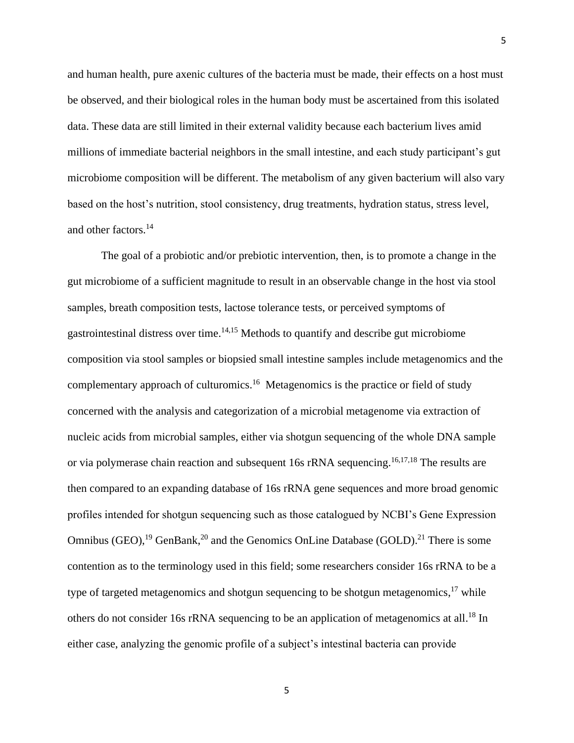and human health, pure axenic cultures of the bacteria must be made, their effects on a host must be observed, and their biological roles in the human body must be ascertained from this isolated data. These data are still limited in their external validity because each bacterium lives amid millions of immediate bacterial neighbors in the small intestine, and each study participant's gut microbiome composition will be different. The metabolism of any given bacterium will also vary based on the host's nutrition, stool consistency, drug treatments, hydration status, stress level, and other factors. 14

The goal of a probiotic and/or prebiotic intervention, then, is to promote a change in the gut microbiome of a sufficient magnitude to result in an observable change in the host via stool samples, breath composition tests, lactose tolerance tests, or perceived symptoms of gastrointestinal distress over time.<sup>14,15</sup> Methods to quantify and describe gut microbiome composition via stool samples or biopsied small intestine samples include metagenomics and the complementary approach of culturomics.<sup>16</sup> Metagenomics is the practice or field of study concerned with the analysis and categorization of a microbial metagenome via extraction of nucleic acids from microbial samples, either via shotgun sequencing of the whole DNA sample or via polymerase chain reaction and subsequent 16s rRNA sequencing.<sup>16,17,18</sup> The results are then compared to an expanding database of 16s rRNA gene sequences and more broad genomic profiles intended for shotgun sequencing such as those catalogued by NCBI's Gene Expression Omnibus (GEO),  $^{19}$  GenBank,  $^{20}$  and the Genomics OnLine Database (GOLD). <sup>21</sup> There is some contention as to the terminology used in this field; some researchers consider 16s rRNA to be a type of targeted metagenomics and shotgun sequencing to be shotgun metagenomics,<sup>17</sup> while others do not consider 16s rRNA sequencing to be an application of metagenomics at all.<sup>18</sup> In either case, analyzing the genomic profile of a subject's intestinal bacteria can provide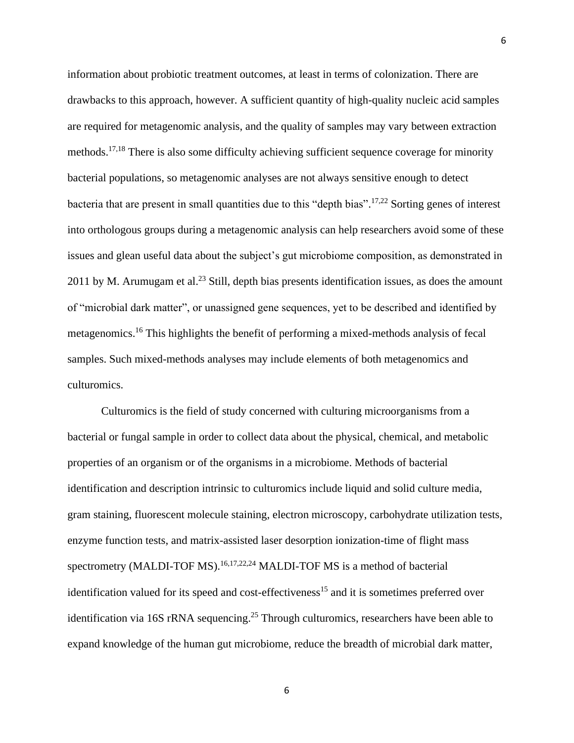information about probiotic treatment outcomes, at least in terms of colonization. There are drawbacks to this approach, however. A sufficient quantity of high-quality nucleic acid samples are required for metagenomic analysis, and the quality of samples may vary between extraction methods.<sup>17,18</sup> There is also some difficulty achieving sufficient sequence coverage for minority bacterial populations, so metagenomic analyses are not always sensitive enough to detect bacteria that are present in small quantities due to this "depth bias".<sup>17,22</sup> Sorting genes of interest into orthologous groups during a metagenomic analysis can help researchers avoid some of these issues and glean useful data about the subject's gut microbiome composition, as demonstrated in 2011 by M. Arumugam et al.<sup>23</sup> Still, depth bias presents identification issues, as does the amount of "microbial dark matter", or unassigned gene sequences, yet to be described and identified by metagenomics.<sup>16</sup> This highlights the benefit of performing a mixed-methods analysis of fecal samples. Such mixed-methods analyses may include elements of both metagenomics and culturomics.

Culturomics is the field of study concerned with culturing microorganisms from a bacterial or fungal sample in order to collect data about the physical, chemical, and metabolic properties of an organism or of the organisms in a microbiome. Methods of bacterial identification and description intrinsic to culturomics include liquid and solid culture media, gram staining, fluorescent molecule staining, electron microscopy, carbohydrate utilization tests, enzyme function tests, and matrix-assisted laser desorption ionization-time of flight mass spectrometry (MALDI-TOF MS).<sup>16,17,22,24</sup> MALDI-TOF MS is a method of bacterial identification valued for its speed and cost-effectiveness<sup>15</sup> and it is sometimes preferred over identification via 16S rRNA sequencing.<sup>25</sup> Through culturomics, researchers have been able to expand knowledge of the human gut microbiome, reduce the breadth of microbial dark matter,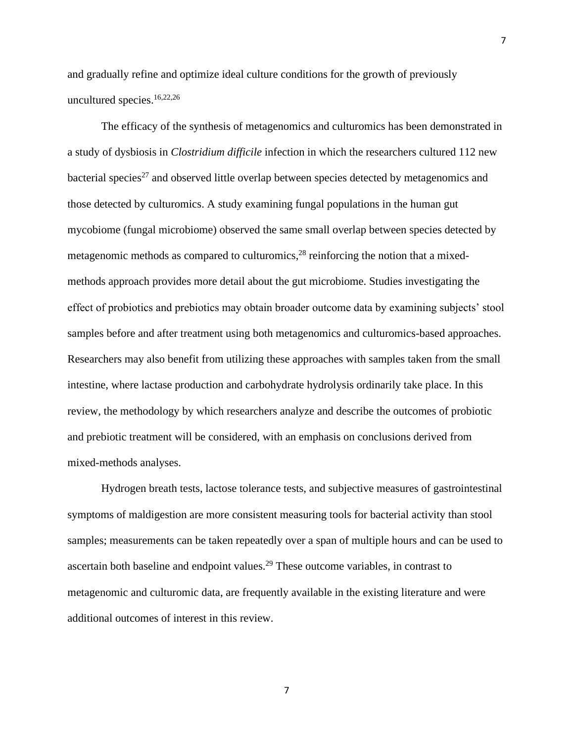and gradually refine and optimize ideal culture conditions for the growth of previously uncultured species. 16,22,26

The efficacy of the synthesis of metagenomics and culturomics has been demonstrated in a study of dysbiosis in *Clostridium difficile* infection in which the researchers cultured 112 new bacterial species<sup>27</sup> and observed little overlap between species detected by metagenomics and those detected by culturomics. A study examining fungal populations in the human gut mycobiome (fungal microbiome) observed the same small overlap between species detected by metagenomic methods as compared to culturomics, $^{28}$  reinforcing the notion that a mixedmethods approach provides more detail about the gut microbiome. Studies investigating the effect of probiotics and prebiotics may obtain broader outcome data by examining subjects' stool samples before and after treatment using both metagenomics and culturomics-based approaches. Researchers may also benefit from utilizing these approaches with samples taken from the small intestine, where lactase production and carbohydrate hydrolysis ordinarily take place. In this review, the methodology by which researchers analyze and describe the outcomes of probiotic and prebiotic treatment will be considered, with an emphasis on conclusions derived from mixed-methods analyses.

Hydrogen breath tests, lactose tolerance tests, and subjective measures of gastrointestinal symptoms of maldigestion are more consistent measuring tools for bacterial activity than stool samples; measurements can be taken repeatedly over a span of multiple hours and can be used to ascertain both baseline and endpoint values.<sup>29</sup> These outcome variables, in contrast to metagenomic and culturomic data, are frequently available in the existing literature and were additional outcomes of interest in this review.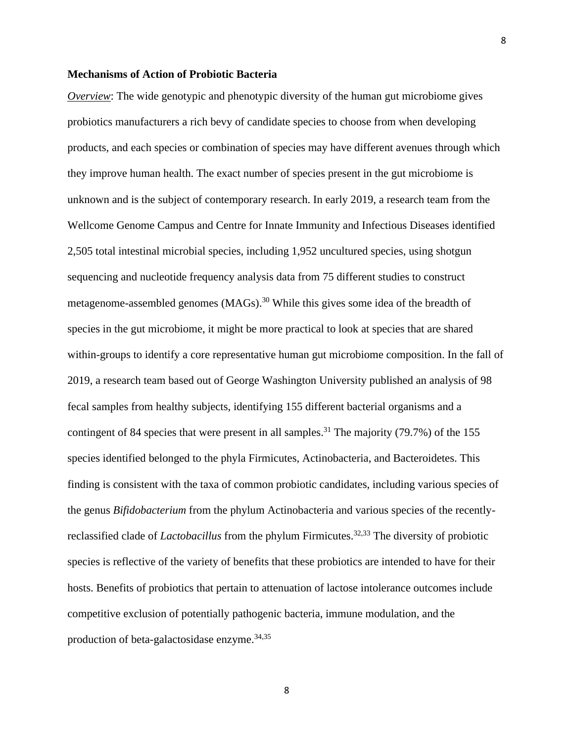#### **Mechanisms of Action of Probiotic Bacteria**

*Overview*: The wide genotypic and phenotypic diversity of the human gut microbiome gives probiotics manufacturers a rich bevy of candidate species to choose from when developing products, and each species or combination of species may have different avenues through which they improve human health. The exact number of species present in the gut microbiome is unknown and is the subject of contemporary research. In early 2019, a research team from the Wellcome Genome Campus and Centre for Innate Immunity and Infectious Diseases identified 2,505 total intestinal microbial species, including 1,952 uncultured species, using shotgun sequencing and nucleotide frequency analysis data from 75 different studies to construct metagenome-assembled genomes  $(MAGs)$ <sup>30</sup> While this gives some idea of the breadth of species in the gut microbiome, it might be more practical to look at species that are shared within-groups to identify a core representative human gut microbiome composition. In the fall of 2019, a research team based out of George Washington University published an analysis of 98 fecal samples from healthy subjects, identifying 155 different bacterial organisms and a contingent of 84 species that were present in all samples.<sup>31</sup> The majority (79.7%) of the 155 species identified belonged to the phyla Firmicutes, Actinobacteria, and Bacteroidetes. This finding is consistent with the taxa of common probiotic candidates, including various species of the genus *Bifidobacterium* from the phylum Actinobacteria and various species of the recentlyreclassified clade of *Lactobacillus* from the phylum Firmicutes. 32,33 The diversity of probiotic species is reflective of the variety of benefits that these probiotics are intended to have for their hosts. Benefits of probiotics that pertain to attenuation of lactose intolerance outcomes include competitive exclusion of potentially pathogenic bacteria, immune modulation, and the production of beta-galactosidase enzyme. 34,35

8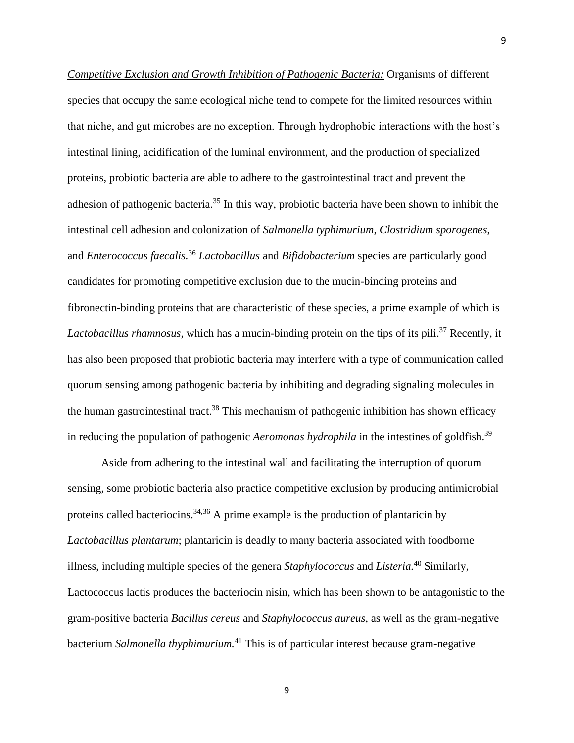*Competitive Exclusion and Growth Inhibition of Pathogenic Bacteria:* Organisms of different species that occupy the same ecological niche tend to compete for the limited resources within that niche, and gut microbes are no exception. Through hydrophobic interactions with the host's intestinal lining, acidification of the luminal environment, and the production of specialized proteins, probiotic bacteria are able to adhere to the gastrointestinal tract and prevent the adhesion of pathogenic bacteria.<sup>35</sup> In this way, probiotic bacteria have been shown to inhibit the intestinal cell adhesion and colonization of *Salmonella typhimurium*, *Clostridium sporogenes*, and *Enterococcus faecalis.* <sup>36</sup> *Lactobacillus* and *Bifidobacterium* species are particularly good candidates for promoting competitive exclusion due to the mucin-binding proteins and fibronectin-binding proteins that are characteristic of these species, a prime example of which is *Lactobacillus rhamnosus*, which has a mucin-binding protein on the tips of its pili. <sup>37</sup> Recently, it has also been proposed that probiotic bacteria may interfere with a type of communication called quorum sensing among pathogenic bacteria by inhibiting and degrading signaling molecules in the human gastrointestinal tract.<sup>38</sup> This mechanism of pathogenic inhibition has shown efficacy in reducing the population of pathogenic *Aeromonas hydrophila* in the intestines of goldfish. 39

Aside from adhering to the intestinal wall and facilitating the interruption of quorum sensing, some probiotic bacteria also practice competitive exclusion by producing antimicrobial proteins called bacteriocins.<sup>34,36</sup> A prime example is the production of plantaricin by *Lactobacillus plantarum*; plantaricin is deadly to many bacteria associated with foodborne illness, including multiple species of the genera *Staphylococcus* and *Listeria.* <sup>40</sup> Similarly, Lactococcus lactis produces the bacteriocin nisin, which has been shown to be antagonistic to the gram-positive bacteria *Bacillus cereus* and *Staphylococcus aureus*, as well as the gram-negative bacterium *Salmonella thyphimurium.* <sup>41</sup> This is of particular interest because gram-negative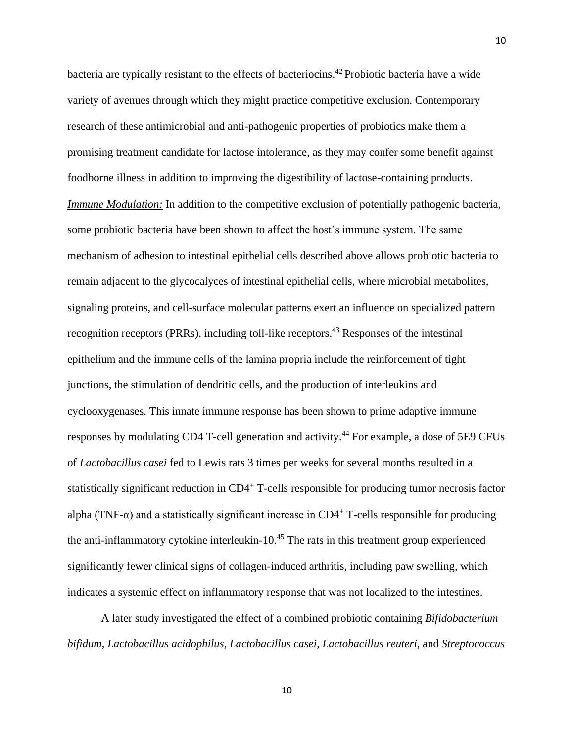bacteria are typically resistant to the effects of bacteriocins. <sup>42</sup> Probiotic bacteria have a wide variety of avenues through which they might practice competitive exclusion. Contemporary research of these antimicrobial and anti-pathogenic properties of probiotics make them a promising treatment candidate for lactose intolerance, as they may confer some benefit against foodborne illness in addition to improving the digestibility of lactose-containing products. *Immune Modulation:* In addition to the competitive exclusion of potentially pathogenic bacteria, some probiotic bacteria have been shown to affect the host's immune system. The same mechanism of adhesion to intestinal epithelial cells described above allows probiotic bacteria to remain adjacent to the glycocalyces of intestinal epithelial cells, where microbial metabolites, signaling proteins, and cell-surface molecular patterns exert an influence on specialized pattern recognition receptors (PRRs), including toll-like receptors.<sup>43</sup> Responses of the intestinal epithelium and the immune cells of the lamina propria include the reinforcement of tight junctions, the stimulation of dendritic cells, and the production of interleukins and cyclooxygenases. This innate immune response has been shown to prime adaptive immune responses by modulating CD4 T-cell generation and activity.<sup>44</sup> For example, a dose of 5E9 CFUs of *Lactobacillus casei* fed to Lewis rats 3 times per weeks for several months resulted in a statistically significant reduction in CD4<sup>+</sup> T-cells responsible for producing tumor necrosis factor alpha (TNF- $\alpha$ ) and a statistically significant increase in CD4<sup>+</sup> T-cells responsible for producing the anti-inflammatory cytokine interleukin-10.<sup>45</sup> The rats in this treatment group experienced significantly fewer clinical signs of collagen-induced arthritis, including paw swelling, which indicates a systemic effect on inflammatory response that was not localized to the intestines.

A later study investigated the effect of a combined probiotic containing *Bifidobacterium bifidum*, *Lactobacillus acidophilus*, *Lactobacillus casei*, *Lactobacillus reuteri*, and *Streptococcus*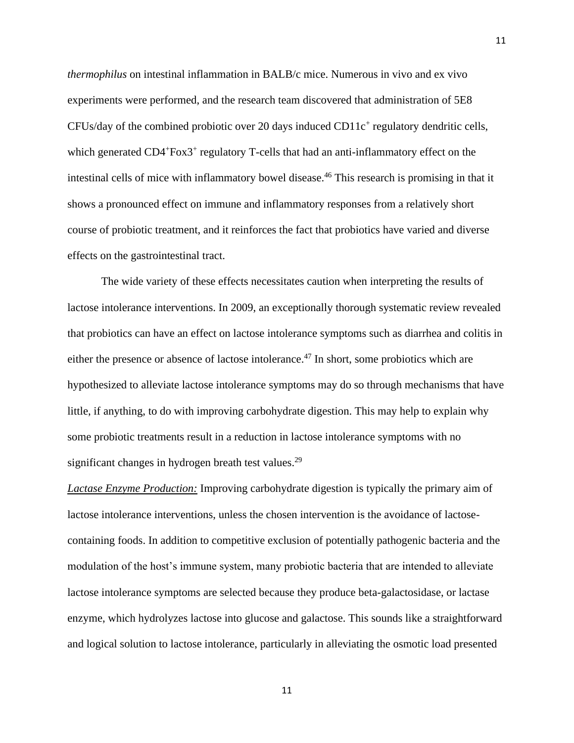*thermophilus* on intestinal inflammation in BALB/c mice. Numerous in vivo and ex vivo experiments were performed, and the research team discovered that administration of 5E8  $CFUs/day$  of the combined probiotic over 20 days induced  $CD11c<sup>+</sup>$  regulatory dendritic cells, which generated CD4+Fox3+ regulatory T-cells that had an anti-inflammatory effect on the intestinal cells of mice with inflammatory bowel disease. <sup>46</sup> This research is promising in that it shows a pronounced effect on immune and inflammatory responses from a relatively short course of probiotic treatment, and it reinforces the fact that probiotics have varied and diverse effects on the gastrointestinal tract.

The wide variety of these effects necessitates caution when interpreting the results of lactose intolerance interventions. In 2009, an exceptionally thorough systematic review revealed that probiotics can have an effect on lactose intolerance symptoms such as diarrhea and colitis in either the presence or absence of lactose intolerance.<sup>47</sup> In short, some probiotics which are hypothesized to alleviate lactose intolerance symptoms may do so through mechanisms that have little, if anything, to do with improving carbohydrate digestion. This may help to explain why some probiotic treatments result in a reduction in lactose intolerance symptoms with no significant changes in hydrogen breath test values.<sup>29</sup>

*Lactase Enzyme Production:* Improving carbohydrate digestion is typically the primary aim of lactose intolerance interventions, unless the chosen intervention is the avoidance of lactosecontaining foods. In addition to competitive exclusion of potentially pathogenic bacteria and the modulation of the host's immune system, many probiotic bacteria that are intended to alleviate lactose intolerance symptoms are selected because they produce beta-galactosidase, or lactase enzyme, which hydrolyzes lactose into glucose and galactose. This sounds like a straightforward and logical solution to lactose intolerance, particularly in alleviating the osmotic load presented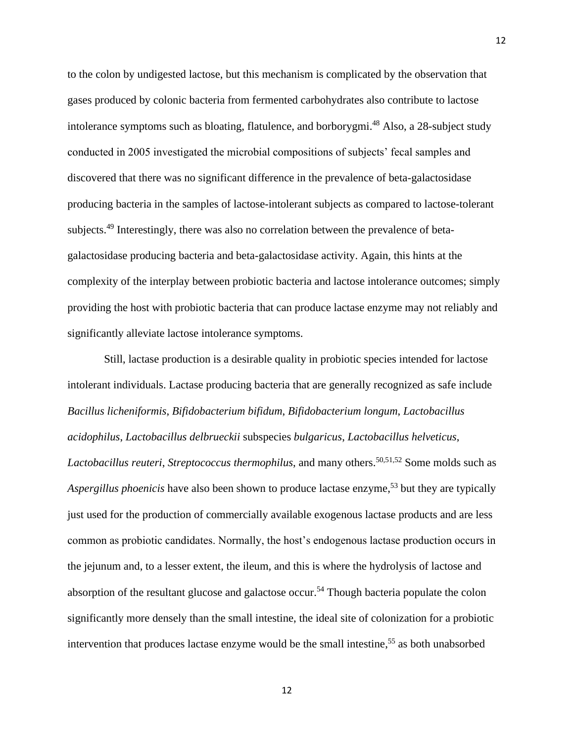to the colon by undigested lactose, but this mechanism is complicated by the observation that gases produced by colonic bacteria from fermented carbohydrates also contribute to lactose intolerance symptoms such as bloating, flatulence, and borborygmi. <sup>48</sup> Also, a 28-subject study conducted in 2005 investigated the microbial compositions of subjects' fecal samples and discovered that there was no significant difference in the prevalence of beta-galactosidase producing bacteria in the samples of lactose-intolerant subjects as compared to lactose-tolerant subjects.<sup>49</sup> Interestingly, there was also no correlation between the prevalence of betagalactosidase producing bacteria and beta-galactosidase activity. Again, this hints at the complexity of the interplay between probiotic bacteria and lactose intolerance outcomes; simply providing the host with probiotic bacteria that can produce lactase enzyme may not reliably and significantly alleviate lactose intolerance symptoms.

Still, lactase production is a desirable quality in probiotic species intended for lactose intolerant individuals. Lactase producing bacteria that are generally recognized as safe include *Bacillus licheniformis*, *Bifidobacterium bifidum*, *Bifidobacterium longum*, *Lactobacillus acidophilus*, *Lactobacillus delbrueckii* subspecies *bulgaricus*, *Lactobacillus helveticus*, *Lactobacillus reuteri*, *Streptococcus thermophilus*, and many others. 50,51,52 Some molds such as *Aspergillus phoenicis* have also been shown to produce lactase enzyme, <sup>53</sup> but they are typically just used for the production of commercially available exogenous lactase products and are less common as probiotic candidates. Normally, the host's endogenous lactase production occurs in the jejunum and, to a lesser extent, the ileum, and this is where the hydrolysis of lactose and absorption of the resultant glucose and galactose occur.<sup>54</sup> Though bacteria populate the colon significantly more densely than the small intestine, the ideal site of colonization for a probiotic intervention that produces lactase enzyme would be the small intestine, <sup>55</sup> as both unabsorbed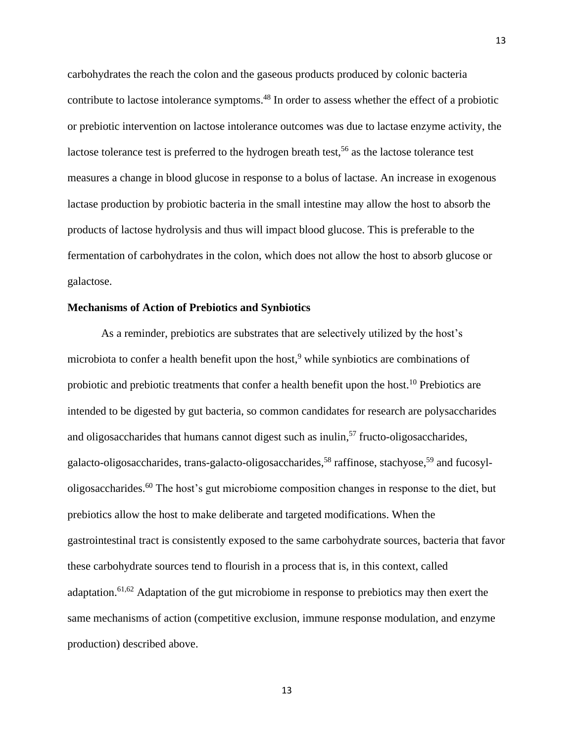carbohydrates the reach the colon and the gaseous products produced by colonic bacteria contribute to lactose intolerance symptoms.<sup>48</sup> In order to assess whether the effect of a probiotic or prebiotic intervention on lactose intolerance outcomes was due to lactase enzyme activity, the lactose tolerance test is preferred to the hydrogen breath test,<sup>56</sup> as the lactose tolerance test measures a change in blood glucose in response to a bolus of lactase. An increase in exogenous lactase production by probiotic bacteria in the small intestine may allow the host to absorb the products of lactose hydrolysis and thus will impact blood glucose. This is preferable to the fermentation of carbohydrates in the colon, which does not allow the host to absorb glucose or galactose.

#### **Mechanisms of Action of Prebiotics and Synbiotics**

As a reminder, prebiotics are substrates that are selectively utilized by the host's microbiota to confer a health benefit upon the host, <sup>9</sup> while synbiotics are combinations of probiotic and prebiotic treatments that confer a health benefit upon the host.<sup>10</sup> Prebiotics are intended to be digested by gut bacteria, so common candidates for research are polysaccharides and oligosaccharides that humans cannot digest such as inulin, <sup>57</sup> fructo-oligosaccharides, galacto-oligosaccharides, trans-galacto-oligosaccharides,<sup>58</sup> raffinose, stachyose,<sup>59</sup> and fucosyloligosaccharides.<sup>60</sup> The host's gut microbiome composition changes in response to the diet, but prebiotics allow the host to make deliberate and targeted modifications. When the gastrointestinal tract is consistently exposed to the same carbohydrate sources, bacteria that favor these carbohydrate sources tend to flourish in a process that is, in this context, called adaptation.<sup>61,62</sup> Adaptation of the gut microbiome in response to prebiotics may then exert the same mechanisms of action (competitive exclusion, immune response modulation, and enzyme production) described above.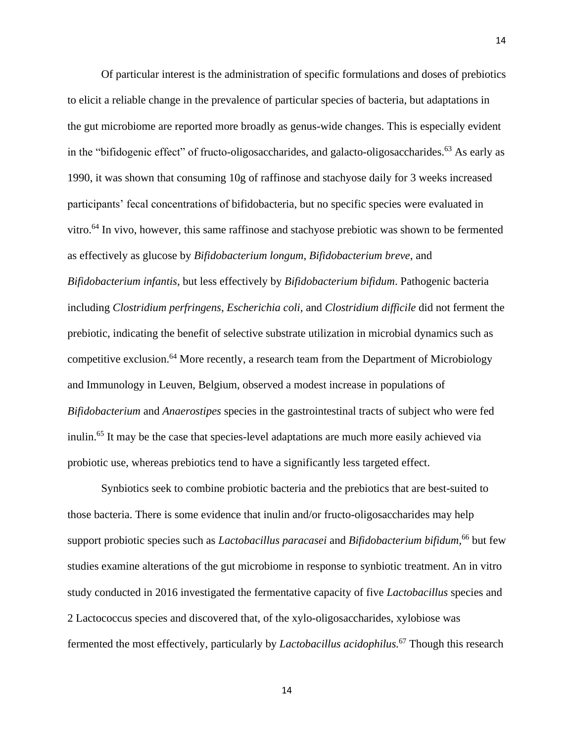Of particular interest is the administration of specific formulations and doses of prebiotics to elicit a reliable change in the prevalence of particular species of bacteria, but adaptations in the gut microbiome are reported more broadly as genus-wide changes. This is especially evident in the "bifidogenic effect" of fructo-oligosaccharides, and galacto-oligosaccharides. <sup>63</sup> As early as 1990, it was shown that consuming 10g of raffinose and stachyose daily for 3 weeks increased participants' fecal concentrations of bifidobacteria, but no specific species were evaluated in vitro.<sup>64</sup> In vivo, however, this same raffinose and stachyose prebiotic was shown to be fermented as effectively as glucose by *Bifidobacterium longum*, *Bifidobacterium breve*, and *Bifidobacterium infantis*, but less effectively by *Bifidobacterium bifidum*. Pathogenic bacteria including *Clostridium perfringens*, *Escherichia coli*, and *Clostridium difficile* did not ferment the prebiotic, indicating the benefit of selective substrate utilization in microbial dynamics such as competitive exclusion.<sup>64</sup> More recently, a research team from the Department of Microbiology and Immunology in Leuven, Belgium, observed a modest increase in populations of *Bifidobacterium* and *Anaerostipes* species in the gastrointestinal tracts of subject who were fed inulin.<sup>65</sup> It may be the case that species-level adaptations are much more easily achieved via probiotic use, whereas prebiotics tend to have a significantly less targeted effect.

Synbiotics seek to combine probiotic bacteria and the prebiotics that are best-suited to those bacteria. There is some evidence that inulin and/or fructo-oligosaccharides may help support probiotic species such as *Lactobacillus paracasei* and *Bifidobacterium bifidum,* <sup>66</sup> but few studies examine alterations of the gut microbiome in response to synbiotic treatment. An in vitro study conducted in 2016 investigated the fermentative capacity of five *Lactobacillus* species and 2 Lactococcus species and discovered that, of the xylo-oligosaccharides, xylobiose was fermented the most effectively, particularly by *Lactobacillus acidophilus.* <sup>67</sup> Though this research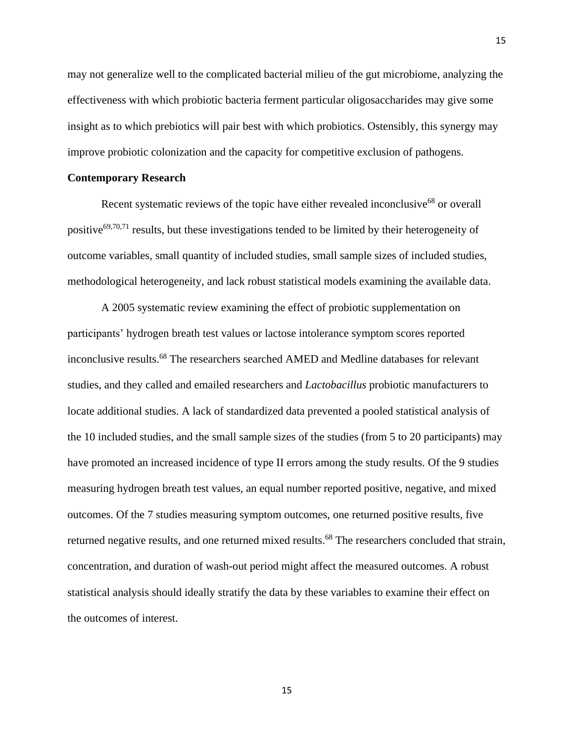may not generalize well to the complicated bacterial milieu of the gut microbiome, analyzing the effectiveness with which probiotic bacteria ferment particular oligosaccharides may give some insight as to which prebiotics will pair best with which probiotics. Ostensibly, this synergy may improve probiotic colonization and the capacity for competitive exclusion of pathogens.

#### **Contemporary Research**

Recent systematic reviews of the topic have either revealed inconclusive<sup>68</sup> or overall positive<sup>69,70,71</sup> results, but these investigations tended to be limited by their heterogeneity of outcome variables, small quantity of included studies, small sample sizes of included studies, methodological heterogeneity, and lack robust statistical models examining the available data.

A 2005 systematic review examining the effect of probiotic supplementation on participants' hydrogen breath test values or lactose intolerance symptom scores reported inconclusive results. <sup>68</sup> The researchers searched AMED and Medline databases for relevant studies, and they called and emailed researchers and *Lactobacillus* probiotic manufacturers to locate additional studies. A lack of standardized data prevented a pooled statistical analysis of the 10 included studies, and the small sample sizes of the studies (from 5 to 20 participants) may have promoted an increased incidence of type II errors among the study results. Of the 9 studies measuring hydrogen breath test values, an equal number reported positive, negative, and mixed outcomes. Of the 7 studies measuring symptom outcomes, one returned positive results, five returned negative results, and one returned mixed results.<sup>68</sup> The researchers concluded that strain, concentration, and duration of wash-out period might affect the measured outcomes. A robust statistical analysis should ideally stratify the data by these variables to examine their effect on the outcomes of interest.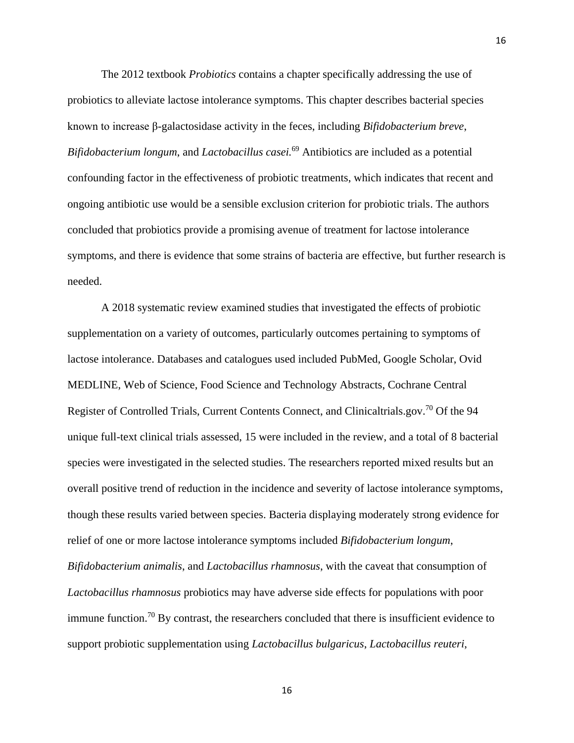The 2012 textbook *Probiotics* contains a chapter specifically addressing the use of probiotics to alleviate lactose intolerance symptoms. This chapter describes bacterial species known to increase β-galactosidase activity in the feces, including *Bifidobacterium breve*, *Bifidobacterium longum*, and *Lactobacillus casei.* <sup>69</sup> Antibiotics are included as a potential confounding factor in the effectiveness of probiotic treatments, which indicates that recent and ongoing antibiotic use would be a sensible exclusion criterion for probiotic trials. The authors concluded that probiotics provide a promising avenue of treatment for lactose intolerance symptoms, and there is evidence that some strains of bacteria are effective, but further research is needed.

A 2018 systematic review examined studies that investigated the effects of probiotic supplementation on a variety of outcomes, particularly outcomes pertaining to symptoms of lactose intolerance. Databases and catalogues used included PubMed, Google Scholar, Ovid MEDLINE, Web of Science, Food Science and Technology Abstracts, Cochrane Central Register of Controlled Trials, Current Contents Connect, and Clinicaltrials.gov.<sup>70</sup> Of the 94 unique full-text clinical trials assessed, 15 were included in the review, and a total of 8 bacterial species were investigated in the selected studies. The researchers reported mixed results but an overall positive trend of reduction in the incidence and severity of lactose intolerance symptoms, though these results varied between species. Bacteria displaying moderately strong evidence for relief of one or more lactose intolerance symptoms included *Bifidobacterium longum*, *Bifidobacterium animalis*, and *Lactobacillus rhamnosus*, with the caveat that consumption of *Lactobacillus rhamnosus* probiotics may have adverse side effects for populations with poor immune function.<sup>70</sup> By contrast, the researchers concluded that there is insufficient evidence to support probiotic supplementation using *Lactobacillus bulgaricus*, *Lactobacillus reuteri*,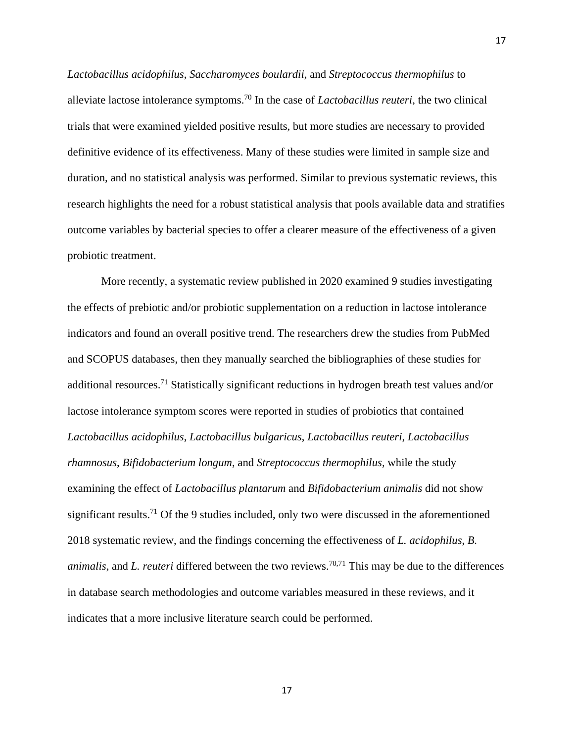*Lactobacillus acidophilus*, *Saccharomyces boulardii*, and *Streptococcus thermophilus* to alleviate lactose intolerance symptoms. <sup>70</sup> In the case of *Lactobacillus reuteri*, the two clinical trials that were examined yielded positive results, but more studies are necessary to provided definitive evidence of its effectiveness. Many of these studies were limited in sample size and duration, and no statistical analysis was performed. Similar to previous systematic reviews, this research highlights the need for a robust statistical analysis that pools available data and stratifies outcome variables by bacterial species to offer a clearer measure of the effectiveness of a given probiotic treatment.

17

More recently, a systematic review published in 2020 examined 9 studies investigating the effects of prebiotic and/or probiotic supplementation on a reduction in lactose intolerance indicators and found an overall positive trend. The researchers drew the studies from PubMed and SCOPUS databases, then they manually searched the bibliographies of these studies for additional resources.<sup>71</sup> Statistically significant reductions in hydrogen breath test values and/or lactose intolerance symptom scores were reported in studies of probiotics that contained *Lactobacillus acidophilus*, *Lactobacillus bulgaricus*, *Lactobacillus reuteri*, *Lactobacillus rhamnosus*, *Bifidobacterium longum*, and *Streptococcus thermophilus,* while the study examining the effect of *Lactobacillus plantarum* and *Bifidobacterium animalis* did not show significant results.<sup>71</sup> Of the 9 studies included, only two were discussed in the aforementioned 2018 systematic review, and the findings concerning the effectiveness of *L. acidophilus*, *B. animalis*, and *L. reuteri* differed between the two reviews. 70,71 This may be due to the differences in database search methodologies and outcome variables measured in these reviews, and it indicates that a more inclusive literature search could be performed.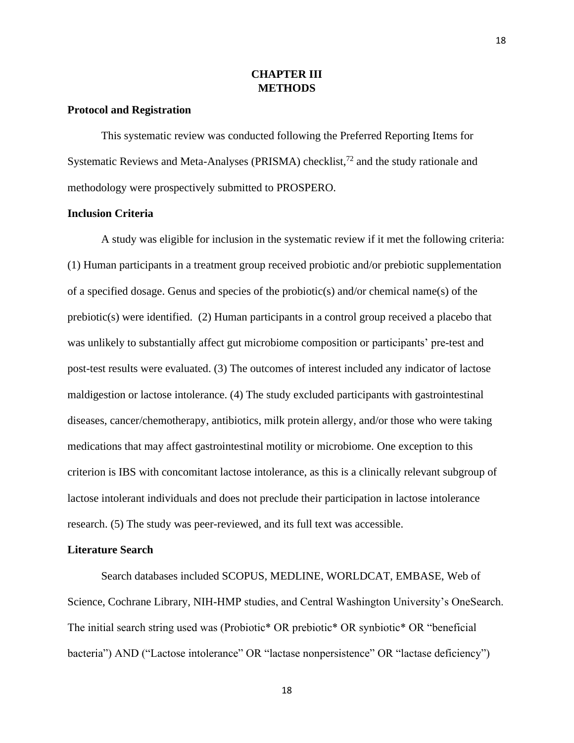## **CHAPTER III METHODS**

#### **Protocol and Registration**

This systematic review was conducted following the Preferred Reporting Items for Systematic Reviews and Meta-Analyses (PRISMA) checklist,<sup>72</sup> and the study rationale and methodology were prospectively submitted to PROSPERO.

#### **Inclusion Criteria**

A study was eligible for inclusion in the systematic review if it met the following criteria: (1) Human participants in a treatment group received probiotic and/or prebiotic supplementation of a specified dosage. Genus and species of the probiotic(s) and/or chemical name(s) of the prebiotic(s) were identified. (2) Human participants in a control group received a placebo that was unlikely to substantially affect gut microbiome composition or participants' pre-test and post-test results were evaluated. (3) The outcomes of interest included any indicator of lactose maldigestion or lactose intolerance. (4) The study excluded participants with gastrointestinal diseases, cancer/chemotherapy, antibiotics, milk protein allergy, and/or those who were taking medications that may affect gastrointestinal motility or microbiome. One exception to this criterion is IBS with concomitant lactose intolerance, as this is a clinically relevant subgroup of lactose intolerant individuals and does not preclude their participation in lactose intolerance research. (5) The study was peer-reviewed, and its full text was accessible.

#### **Literature Search**

Search databases included SCOPUS, MEDLINE, WORLDCAT, EMBASE, Web of Science, Cochrane Library, NIH-HMP studies, and Central Washington University's OneSearch. The initial search string used was (Probiotic\* OR prebiotic\* OR synbiotic\* OR "beneficial bacteria") AND ("Lactose intolerance" OR "lactase nonpersistence" OR "lactase deficiency")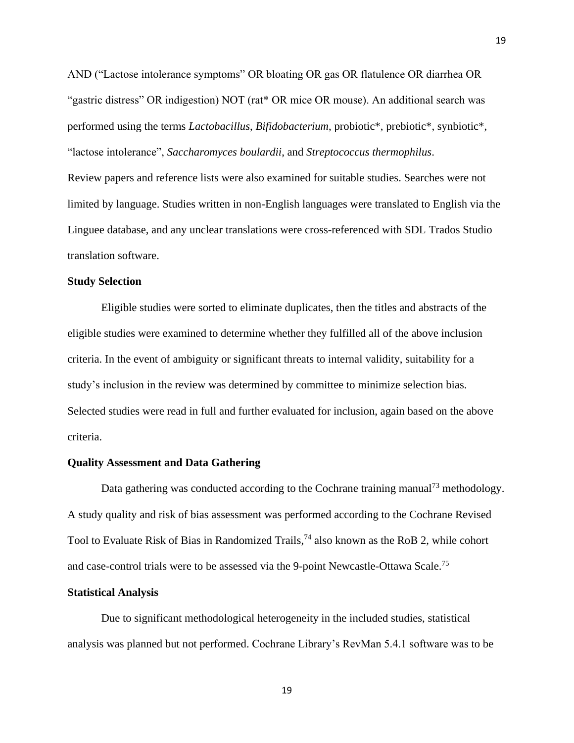AND ("Lactose intolerance symptoms" OR bloating OR gas OR flatulence OR diarrhea OR "gastric distress" OR indigestion) NOT (rat\* OR mice OR mouse). An additional search was performed using the terms *Lactobacillus*, *Bifidobacterium*, probiotic\*, prebiotic\*, synbiotic\*, "lactose intolerance", *Saccharomyces boulardii*, and *Streptococcus thermophilus*.

Review papers and reference lists were also examined for suitable studies. Searches were not limited by language. Studies written in non-English languages were translated to English via the Linguee database, and any unclear translations were cross-referenced with SDL Trados Studio translation software.

#### **Study Selection**

Eligible studies were sorted to eliminate duplicates, then the titles and abstracts of the eligible studies were examined to determine whether they fulfilled all of the above inclusion criteria. In the event of ambiguity or significant threats to internal validity, suitability for a study's inclusion in the review was determined by committee to minimize selection bias. Selected studies were read in full and further evaluated for inclusion, again based on the above criteria.

#### **Quality Assessment and Data Gathering**

Data gathering was conducted according to the Cochrane training manual<sup>73</sup> methodology. A study quality and risk of bias assessment was performed according to the Cochrane Revised Tool to Evaluate Risk of Bias in Randomized Trails,<sup>74</sup> also known as the RoB 2, while cohort and case-control trials were to be assessed via the 9-point Newcastle-Ottawa Scale.<sup>75</sup>

#### **Statistical Analysis**

Due to significant methodological heterogeneity in the included studies, statistical analysis was planned but not performed. Cochrane Library's RevMan 5.4.1 software was to be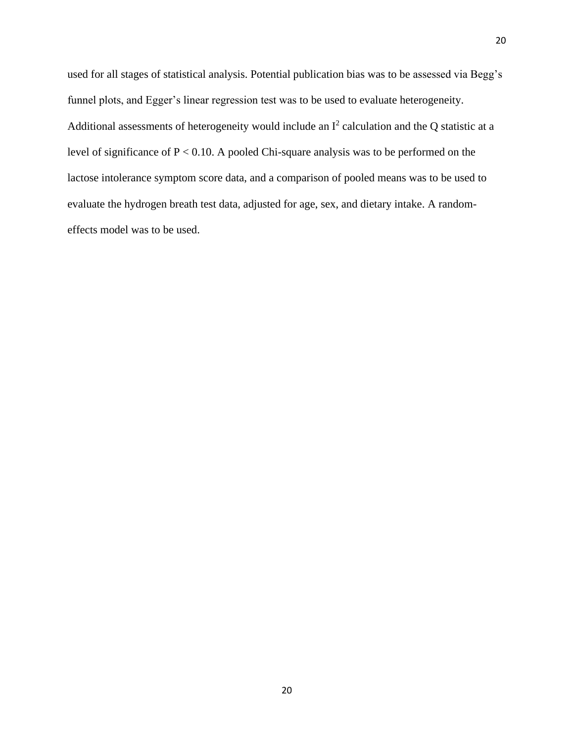used for all stages of statistical analysis. Potential publication bias was to be assessed via Begg's funnel plots, and Egger's linear regression test was to be used to evaluate heterogeneity. Additional assessments of heterogeneity would include an  $I^2$  calculation and the Q statistic at a level of significance of P < 0.10. A pooled Chi-square analysis was to be performed on the lactose intolerance symptom score data, and a comparison of pooled means was to be used to evaluate the hydrogen breath test data, adjusted for age, sex, and dietary intake. A randomeffects model was to be used.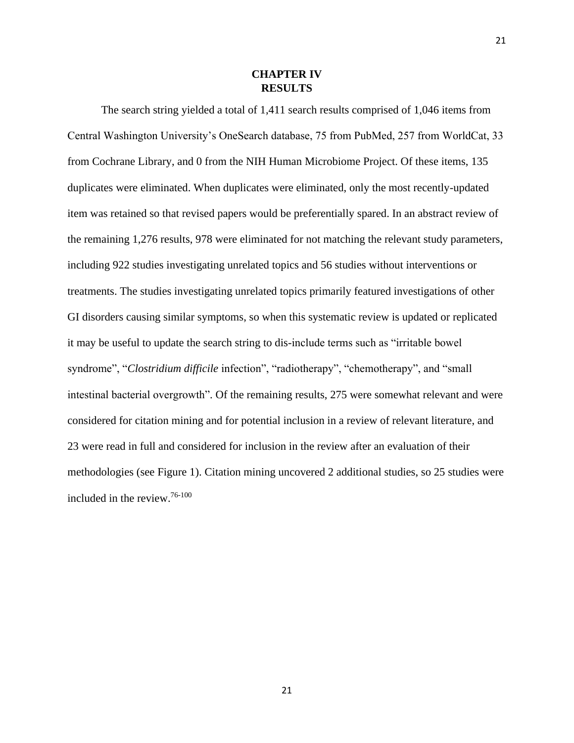## **CHAPTER IV RESULTS**

The search string yielded a total of 1,411 search results comprised of 1,046 items from Central Washington University's OneSearch database, 75 from PubMed, 257 from WorldCat, 33 from Cochrane Library, and 0 from the NIH Human Microbiome Project. Of these items, 135 duplicates were eliminated. When duplicates were eliminated, only the most recently-updated item was retained so that revised papers would be preferentially spared. In an abstract review of the remaining 1,276 results, 978 were eliminated for not matching the relevant study parameters, including 922 studies investigating unrelated topics and 56 studies without interventions or treatments. The studies investigating unrelated topics primarily featured investigations of other GI disorders causing similar symptoms, so when this systematic review is updated or replicated it may be useful to update the search string to dis-include terms such as "irritable bowel syndrome", "*Clostridium difficile* infection", "radiotherapy", "chemotherapy", and "small intestinal bacterial overgrowth". Of the remaining results, 275 were somewhat relevant and were considered for citation mining and for potential inclusion in a review of relevant literature, and 23 were read in full and considered for inclusion in the review after an evaluation of their methodologies (see Figure 1). Citation mining uncovered 2 additional studies, so 25 studies were included in the review. 76-100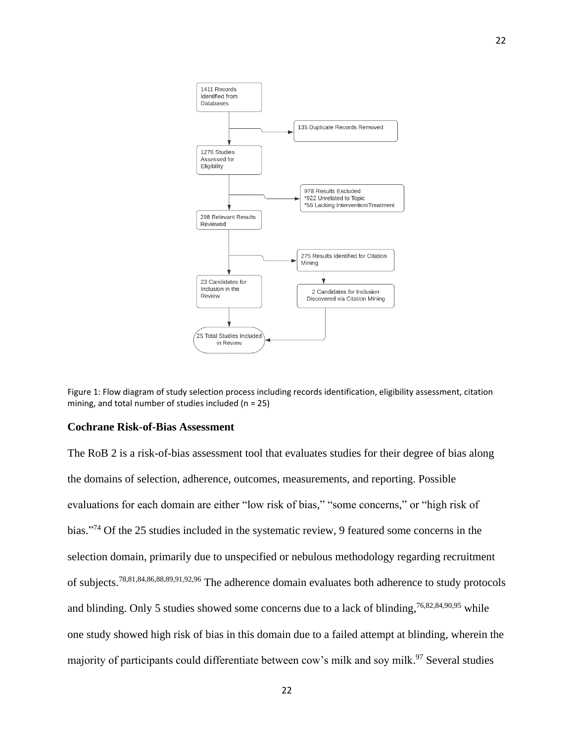

Figure 1: Flow diagram of study selection process including records identification, eligibility assessment, citation mining, and total number of studies included (n = 25)

## **Cochrane Risk-of-Bias Assessment**

The RoB 2 is a risk-of-bias assessment tool that evaluates studies for their degree of bias along the domains of selection, adherence, outcomes, measurements, and reporting. Possible evaluations for each domain are either "low risk of bias," "some concerns," or "high risk of bias."<sup>74</sup> Of the 25 studies included in the systematic review, 9 featured some concerns in the selection domain, primarily due to unspecified or nebulous methodology regarding recruitment of subjects.<sup>78,81,84,86,88,89,91,92,96</sup> The adherence domain evaluates both adherence to study protocols and blinding. Only 5 studies showed some concerns due to a lack of blinding, <sup>76,82,84,90,95</sup> while one study showed high risk of bias in this domain due to a failed attempt at blinding, wherein the majority of participants could differentiate between cow's milk and soy milk.<sup>97</sup> Several studies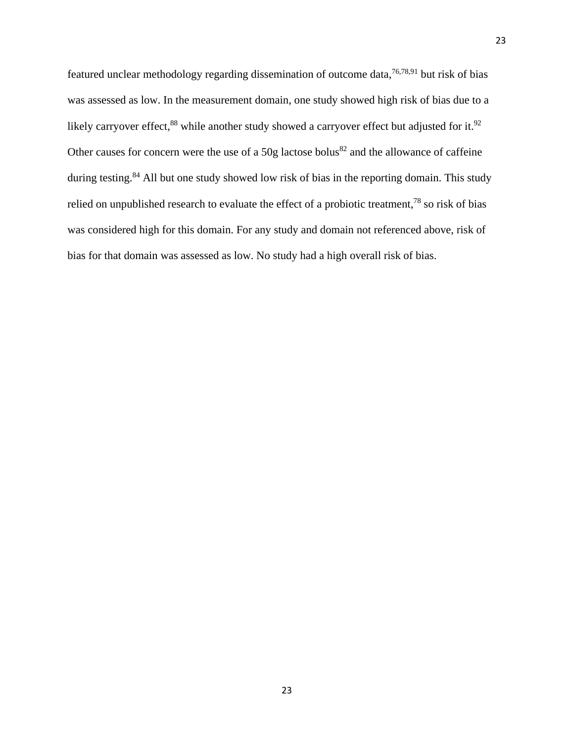featured unclear methodology regarding dissemination of outcome data,<sup>76,78,91</sup> but risk of bias was assessed as low. In the measurement domain, one study showed high risk of bias due to a likely carryover effect,  $88$  while another study showed a carryover effect but adjusted for it.  $92$ Other causes for concern were the use of a 50g lactose bolus<sup>82</sup> and the allowance of caffeine during testing.<sup>84</sup> All but one study showed low risk of bias in the reporting domain. This study relied on unpublished research to evaluate the effect of a probiotic treatment,<sup>78</sup> so risk of bias was considered high for this domain. For any study and domain not referenced above, risk of bias for that domain was assessed as low. No study had a high overall risk of bias.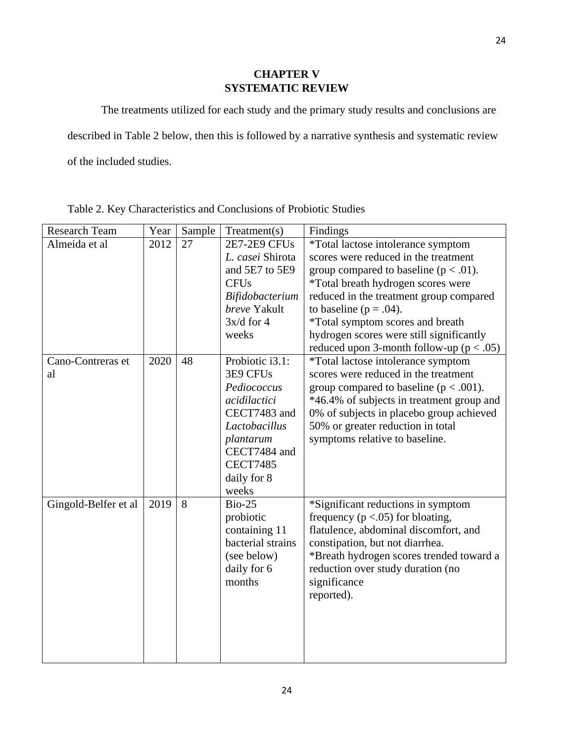## **CHAPTER V SYSTEMATIC REVIEW**

The treatments utilized for each study and the primary study results and conclusions are

described in Table 2 below, then this is followed by a narrative synthesis and systematic review

of the included studies.

| Research Team        | Year | Sample | Treatment(s)        | Findings                                                                                 |
|----------------------|------|--------|---------------------|------------------------------------------------------------------------------------------|
| Almeida et al        | 2012 | 27     | <b>2E7-2E9 CFUs</b> | *Total lactose intolerance symptom                                                       |
|                      |      |        | L. casei Shirota    | scores were reduced in the treatment                                                     |
|                      |      |        | and 5E7 to 5E9      | group compared to baseline ( $p < .01$ ).                                                |
|                      |      |        | <b>CFUs</b>         | *Total breath hydrogen scores were                                                       |
|                      |      |        | Bifidobacterium     | reduced in the treatment group compared                                                  |
|                      |      |        | breve Yakult        | to baseline ( $p = .04$ ).                                                               |
|                      |      |        | $3x/d$ for 4        | <i>*Total symptom scores and breath</i>                                                  |
|                      |      |        | weeks               | hydrogen scores were still significantly<br>reduced upon 3-month follow-up ( $p < .05$ ) |
| Cano-Contreras et    | 2020 | 48     | Probiotic i3.1:     | *Total lactose intolerance symptom                                                       |
| al                   |      |        | 3E9 CFUs            | scores were reduced in the treatment                                                     |
|                      |      |        | Pediococcus         | group compared to baseline ( $p < .001$ ).                                               |
|                      |      |        | acidilactici        | *46.4% of subjects in treatment group and                                                |
|                      |      |        | CECT7483 and        | 0% of subjects in placebo group achieved                                                 |
|                      |      |        | Lactobacillus       | 50% or greater reduction in total                                                        |
|                      |      |        | plantarum           | symptoms relative to baseline.                                                           |
|                      |      |        | CECT7484 and        |                                                                                          |
|                      |      |        | <b>CECT7485</b>     |                                                                                          |
|                      |      |        | daily for 8         |                                                                                          |
|                      |      |        | weeks               |                                                                                          |
| Gingold-Belfer et al | 2019 | 8      | <b>Bio-25</b>       | *Significant reductions in symptom                                                       |
|                      |      |        | probiotic           | frequency ( $p < .05$ ) for bloating,                                                    |
|                      |      |        | containing 11       | flatulence, abdominal discomfort, and                                                    |
|                      |      |        | bacterial strains   | constipation, but not diarrhea.                                                          |
|                      |      |        | (see below)         | *Breath hydrogen scores trended toward a                                                 |
|                      |      |        | daily for 6         | reduction over study duration (no                                                        |
|                      |      |        | months              | significance                                                                             |
|                      |      |        |                     | reported).                                                                               |
|                      |      |        |                     |                                                                                          |
|                      |      |        |                     |                                                                                          |
|                      |      |        |                     |                                                                                          |
|                      |      |        |                     |                                                                                          |

Table 2. Key Characteristics and Conclusions of Probiotic Studies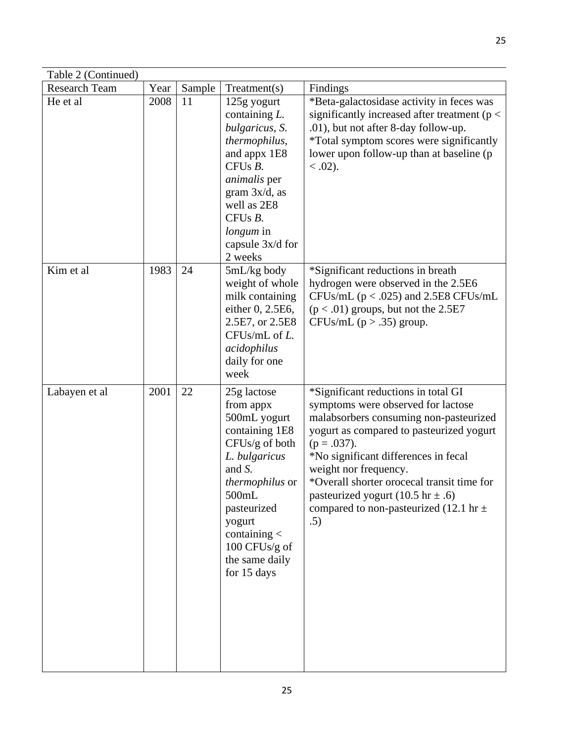| Table 2 (Continued)  |      |        |                                                                                                                                                                                                                                    |                                                                                                                                                                                                                                                                                                                                                                                             |  |  |  |
|----------------------|------|--------|------------------------------------------------------------------------------------------------------------------------------------------------------------------------------------------------------------------------------------|---------------------------------------------------------------------------------------------------------------------------------------------------------------------------------------------------------------------------------------------------------------------------------------------------------------------------------------------------------------------------------------------|--|--|--|
| <b>Research Team</b> | Year | Sample | Treatment(s)                                                                                                                                                                                                                       | Findings                                                                                                                                                                                                                                                                                                                                                                                    |  |  |  |
| He et al             | 2008 | 11     | 125g yogurt<br>containing L.<br>bulgaricus, S.<br>thermophilus,<br>and appx 1E8<br>CFUsB.<br><i>animalis</i> per<br>gram $3x/d$ , as<br>well as 2E8<br>CFUsB.<br><i>longum</i> in<br>capsule 3x/d for<br>2 weeks                   | *Beta-galactosidase activity in feces was<br>significantly increased after treatment ( $p <$<br>.01), but not after 8-day follow-up.<br>*Total symptom scores were significantly<br>lower upon follow-up than at baseline (p<br>$0.02$ .                                                                                                                                                    |  |  |  |
| Kim et al            | 1983 | 24     | $5mL/kg$ body<br>weight of whole<br>milk containing<br>either 0, 2.5E6,<br>2.5E7, or 2.5E8<br>$CFUs/mL$ of $L$ .<br>acidophilus<br>daily for one<br>week                                                                           | *Significant reductions in breath<br>hydrogen were observed in the 2.5E6<br>CFUs/mL $(p < .025)$ and 2.5E8 CFUs/mL<br>$(p < .01)$ groups, but not the 2.5E7<br>CFUs/mL $(p > .35)$ group.                                                                                                                                                                                                   |  |  |  |
| Labayen et al        | 2001 | 22     | 25g lactose<br>from appx<br>500mL yogurt<br>containing 1E8<br>CFUs/g of both<br>L. bulgaricus<br>and S.<br>thermophilus or<br>500mL<br>pasteurized<br>yogurt<br>containing $\lt$<br>100 CFUs/g of<br>the same daily<br>for 15 days | *Significant reductions in total GI<br>symptoms were observed for lactose<br>malabsorbers consuming non-pasteurized<br>yogurt as compared to pasteurized yogurt<br>$(p=.037).$<br>*No significant differences in fecal<br>weight nor frequency.<br>*Overall shorter orocecal transit time for<br>pasteurized yogurt (10.5 hr $\pm$ .6)<br>compared to non-pasteurized (12.1 hr $\pm$<br>.5) |  |  |  |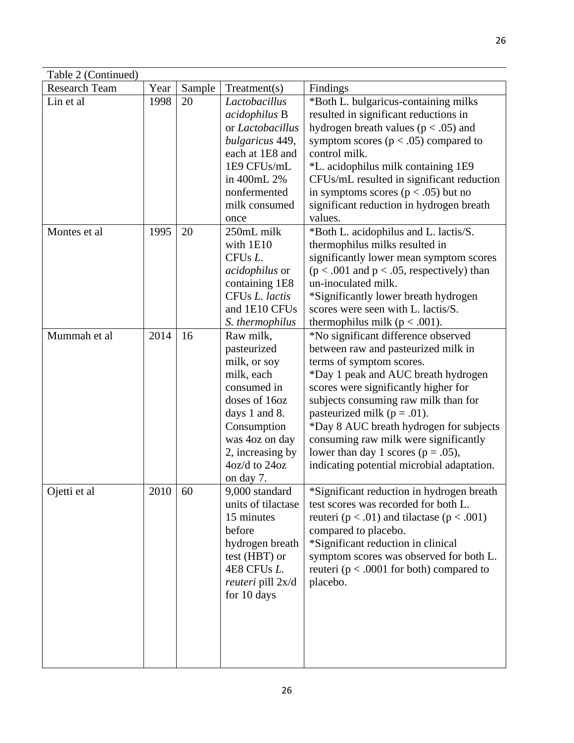| Table 2 (Continued)  |      |        |                                                                                                                                                                                            |                                                                                                                                                                                                                                                                                                                                                                                                                                              |
|----------------------|------|--------|--------------------------------------------------------------------------------------------------------------------------------------------------------------------------------------------|----------------------------------------------------------------------------------------------------------------------------------------------------------------------------------------------------------------------------------------------------------------------------------------------------------------------------------------------------------------------------------------------------------------------------------------------|
| <b>Research Team</b> | Year | Sample | Treatment(s)                                                                                                                                                                               | Findings                                                                                                                                                                                                                                                                                                                                                                                                                                     |
| Lin et al            | 1998 | 20     | Lactobacillus<br>acidophilus B<br>or Lactobacillus<br>bulgaricus 449,<br>each at 1E8 and<br>1E9 CFUs/mL<br>in 400mL 2%<br>nonfermented<br>milk consumed<br>once                            | *Both L. bulgaricus-containing milks<br>resulted in significant reductions in<br>hydrogen breath values ( $p < .05$ ) and<br>symptom scores ( $p < .05$ ) compared to<br>control milk.<br>*L. acidophilus milk containing 1E9<br>CFUs/mL resulted in significant reduction<br>in symptoms scores ( $p < .05$ ) but no<br>significant reduction in hydrogen breath<br>values.                                                                 |
| Montes et al         | 1995 | 20     | 250mL milk<br>with 1E10<br>CFU <sub>s</sub> L.<br><i>acidophilus</i> or<br>containing 1E8<br>CFUs L. lactis<br>and 1E10 CFUs<br>S. thermophilus                                            | *Both L. acidophilus and L. lactis/S.<br>thermophilus milks resulted in<br>significantly lower mean symptom scores<br>$(p < .001$ and $p < .05$ , respectively) than<br>un-inoculated milk.<br>*Significantly lower breath hydrogen<br>scores were seen with L. lactis/S.<br>thermophilus milk ( $p < .001$ ).                                                                                                                               |
| Mummah et al         | 2014 | 16     | Raw milk,<br>pasteurized<br>milk, or soy<br>milk, each<br>consumed in<br>doses of 16oz<br>days 1 and 8.<br>Consumption<br>was 4oz on day<br>2, increasing by<br>4oz/d to 24oz<br>on day 7. | *No significant difference observed<br>between raw and pasteurized milk in<br>terms of symptom scores.<br>*Day 1 peak and AUC breath hydrogen<br>scores were significantly higher for<br>subjects consuming raw milk than for<br>pasteurized milk ( $p = .01$ ).<br>*Day 8 AUC breath hydrogen for subjects<br>consuming raw milk were significantly<br>lower than day 1 scores ( $p = .05$ ),<br>indicating potential microbial adaptation. |
| Ojetti et al         | 2010 | 60     | 9,000 standard<br>units of tilactase<br>15 minutes<br>before<br>hydrogen breath<br>test (HBT) or<br>4E8 CFUs L.<br><i>reuteri</i> pill 2x/d<br>for 10 days                                 | *Significant reduction in hydrogen breath<br>test scores was recorded for both L.<br>reuteri ( $p < .01$ ) and tilactase ( $p < .001$ )<br>compared to placebo.<br>*Significant reduction in clinical<br>symptom scores was observed for both L.<br>reuteri ( $p < .0001$ for both) compared to<br>placebo.                                                                                                                                  |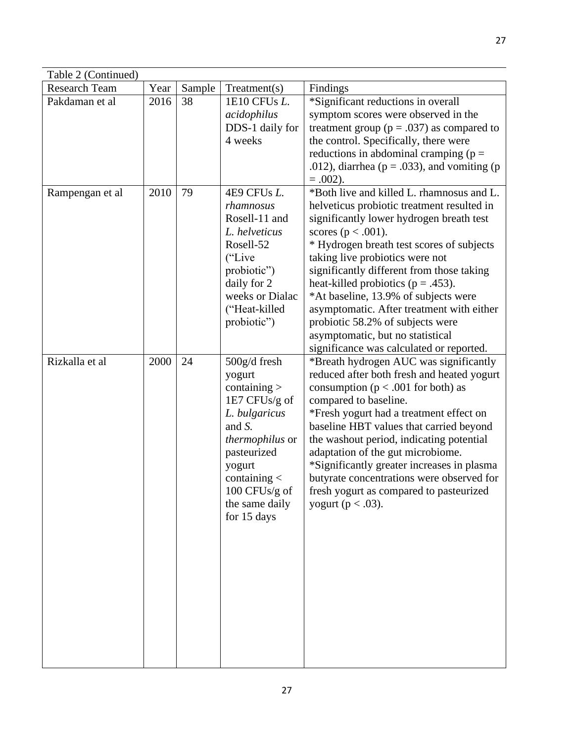| Table 2 (Continued)  |      |        |                                                                                                                                                                                                        |                                                                                                                                                                                                                                                                                                                                                                                                                                                                                                                                               |  |  |
|----------------------|------|--------|--------------------------------------------------------------------------------------------------------------------------------------------------------------------------------------------------------|-----------------------------------------------------------------------------------------------------------------------------------------------------------------------------------------------------------------------------------------------------------------------------------------------------------------------------------------------------------------------------------------------------------------------------------------------------------------------------------------------------------------------------------------------|--|--|
| <b>Research Team</b> | Year | Sample | Treatment(s)                                                                                                                                                                                           | Findings                                                                                                                                                                                                                                                                                                                                                                                                                                                                                                                                      |  |  |
| Pakdaman et al       | 2016 | 38     | 1E10 CFUs L.<br>acidophilus<br>DDS-1 daily for<br>4 weeks                                                                                                                                              | *Significant reductions in overall<br>symptom scores were observed in the<br>treatment group ( $p = .037$ ) as compared to<br>the control. Specifically, there were<br>reductions in abdominal cramping ( $p =$<br>.012), diarrhea ( $p = .033$ ), and vomiting ( $p = .033$ )<br>$=.002$ ).                                                                                                                                                                                                                                                  |  |  |
| Rampengan et al      | 2010 | 79     | 4E9 CFUs L.<br>rhamnosus<br>Rosell-11 and<br>L. helveticus<br>Rosell-52<br>("Live")<br>probiotic")<br>daily for 2<br>weeks or Dialac<br>("Heat-killed<br>probiotic")                                   | *Both live and killed L. rhamnosus and L.<br>helveticus probiotic treatment resulted in<br>significantly lower hydrogen breath test<br>scores ( $p < .001$ ).<br>* Hydrogen breath test scores of subjects<br>taking live probiotics were not<br>significantly different from those taking<br>heat-killed probiotics ( $p = .453$ ).<br>*At baseline, 13.9% of subjects were<br>asymptomatic. After treatment with either<br>probiotic 58.2% of subjects were<br>asymptomatic, but no statistical<br>significance was calculated or reported. |  |  |
| Rizkalla et al       | 2000 | 24     | 500g/d fresh<br>yogurt<br>containing $>$<br>1E7 CFUs/g of<br>L. bulgaricus<br>and S.<br>thermophilus or<br>pasteurized<br>yogurt<br>containing $\lt$<br>100 CFUs/g of<br>the same daily<br>for 15 days | *Breath hydrogen AUC was significantly<br>reduced after both fresh and heated yogurt<br>consumption ( $p < .001$ for both) as<br>compared to baseline.<br>*Fresh yogurt had a treatment effect on<br>baseline HBT values that carried beyond<br>the washout period, indicating potential<br>adaptation of the gut microbiome.<br>*Significantly greater increases in plasma<br>butyrate concentrations were observed for<br>fresh yogurt as compared to pasteurized<br>yogurt ( $p < .03$ ).                                                  |  |  |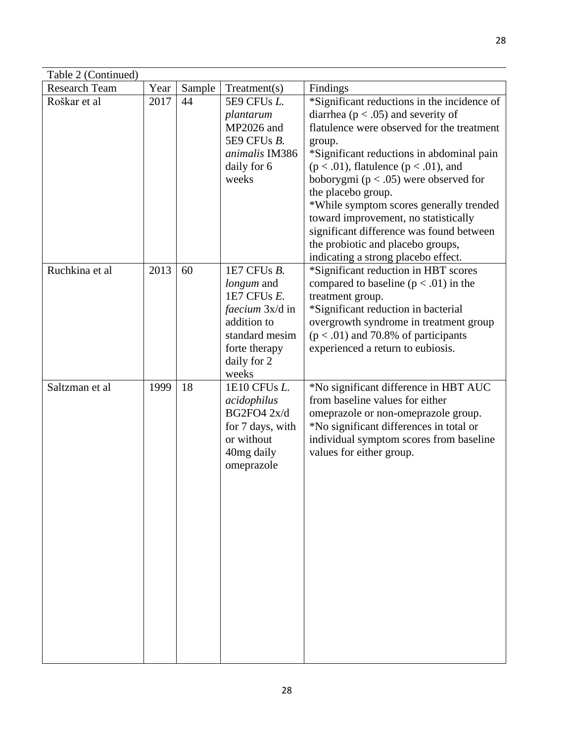| Table 2 (Continued)  |      |        |                                                                                                                                              |                                                                                                                                                                                                                                                                                                                                                                                                                                                                                                                        |  |  |
|----------------------|------|--------|----------------------------------------------------------------------------------------------------------------------------------------------|------------------------------------------------------------------------------------------------------------------------------------------------------------------------------------------------------------------------------------------------------------------------------------------------------------------------------------------------------------------------------------------------------------------------------------------------------------------------------------------------------------------------|--|--|
| <b>Research Team</b> | Year | Sample | Treatment(s)                                                                                                                                 | Findings                                                                                                                                                                                                                                                                                                                                                                                                                                                                                                               |  |  |
| Roškar et al         | 2017 | 44     | 5E9 CFUs L.<br>plantarum<br>MP2026 and<br>5E9 CFUs B.<br>animalis IM386<br>daily for 6<br>weeks                                              | *Significant reductions in the incidence of<br>diarrhea ( $p < .05$ ) and severity of<br>flatulence were observed for the treatment<br>group.<br>*Significant reductions in abdominal pain<br>$(p < .01)$ , flatulence $(p < .01)$ , and<br>boborygmi ( $p < .05$ ) were observed for<br>the placebo group.<br>*While symptom scores generally trended<br>toward improvement, no statistically<br>significant difference was found between<br>the probiotic and placebo groups,<br>indicating a strong placebo effect. |  |  |
| Ruchkina et al       | 2013 | 60     | 1E7 CFUs B.<br>longum and<br>1E7 CFUs E.<br><i>faecium</i> 3x/d in<br>addition to<br>standard mesim<br>forte therapy<br>daily for 2<br>weeks | *Significant reduction in HBT scores<br>compared to baseline ( $p < .01$ ) in the<br>treatment group.<br>*Significant reduction in bacterial<br>overgrowth syndrome in treatment group<br>$(p < .01)$ and 70.8% of participants<br>experienced a return to eubiosis.                                                                                                                                                                                                                                                   |  |  |
| Saltzman et al       | 1999 | 18     | 1E10 CFUs L.<br>acidophilus<br>BG2FO4 2x/d<br>for 7 days, with<br>or without<br>40mg daily<br>omeprazole                                     | *No significant difference in HBT AUC<br>from baseline values for either<br>omeprazole or non-omeprazole group.<br>*No significant differences in total or<br>individual symptom scores from baseline<br>values for either group.                                                                                                                                                                                                                                                                                      |  |  |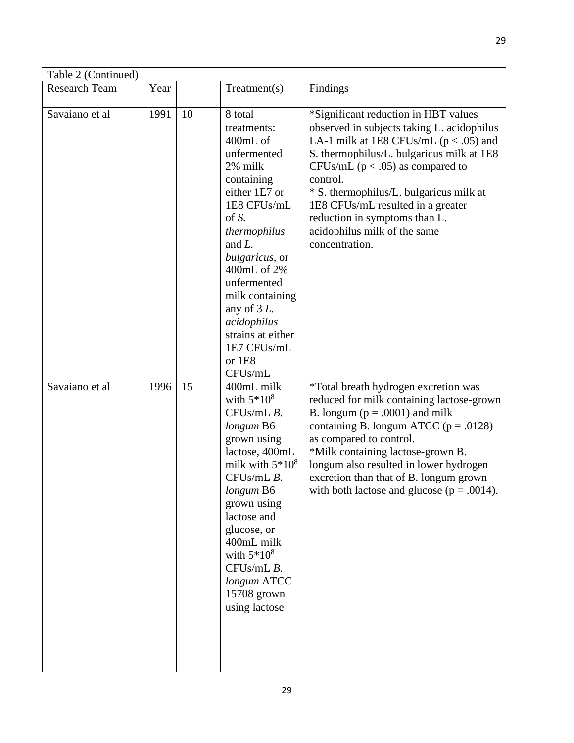| Table 2 (Continued)  |      |    |                                                                                                                                                                                                                                                                                                                          |                                                                                                                                                                                                                                                                                                                                                                                                      |  |  |
|----------------------|------|----|--------------------------------------------------------------------------------------------------------------------------------------------------------------------------------------------------------------------------------------------------------------------------------------------------------------------------|------------------------------------------------------------------------------------------------------------------------------------------------------------------------------------------------------------------------------------------------------------------------------------------------------------------------------------------------------------------------------------------------------|--|--|
| <b>Research Team</b> | Year |    | Treatment(s)                                                                                                                                                                                                                                                                                                             | Findings                                                                                                                                                                                                                                                                                                                                                                                             |  |  |
| Savaiano et al       | 1991 | 10 | 8 total<br>treatments:<br>400mL of<br>unfermented<br>2% milk<br>containing<br>either 1E7 or<br>1E8 CFUs/mL<br>of S.<br>thermophilus<br>and $L$ .<br>bulgaricus, or<br>400mL of 2%<br>unfermented<br>milk containing<br>any of $3L$ .<br>acidophilus<br>strains at either<br>1E7 CFUs/mL<br>or 1E8<br>CFU <sub>s/mL</sub> | *Significant reduction in HBT values<br>observed in subjects taking L. acidophilus<br>LA-1 milk at 1E8 CFUs/mL ( $p < .05$ ) and<br>S. thermophilus/L. bulgaricus milk at 1E8<br>CFUs/mL ( $p < .05$ ) as compared to<br>control.<br>* S. thermophilus/L. bulgaricus milk at<br>1E8 CFUs/mL resulted in a greater<br>reduction in symptoms than L.<br>acidophilus milk of the same<br>concentration. |  |  |
| Savaiano et al       | 1996 | 15 | 400mL milk<br>with $5*10^8$<br>CFUs/mL B.<br>longum B6<br>grown using<br>lactose, 400mL<br>milk with $5*10^8$<br>CFUs/mL B.<br>longum B6<br>grown using<br>lactose and<br>glucose, or<br>400mL milk<br>with $5*10^8$<br>CFUs/mL B.<br>longum ATCC<br>15708 grown<br>using lactose                                        | *Total breath hydrogen excretion was<br>reduced for milk containing lactose-grown<br>B. longum ( $p = .0001$ ) and milk<br>containing B. longum ATCC ( $p = .0128$ )<br>as compared to control.<br>*Milk containing lactose-grown B.<br>longum also resulted in lower hydrogen<br>excretion than that of B. longum grown<br>with both lactose and glucose ( $p = .0014$ ).                           |  |  |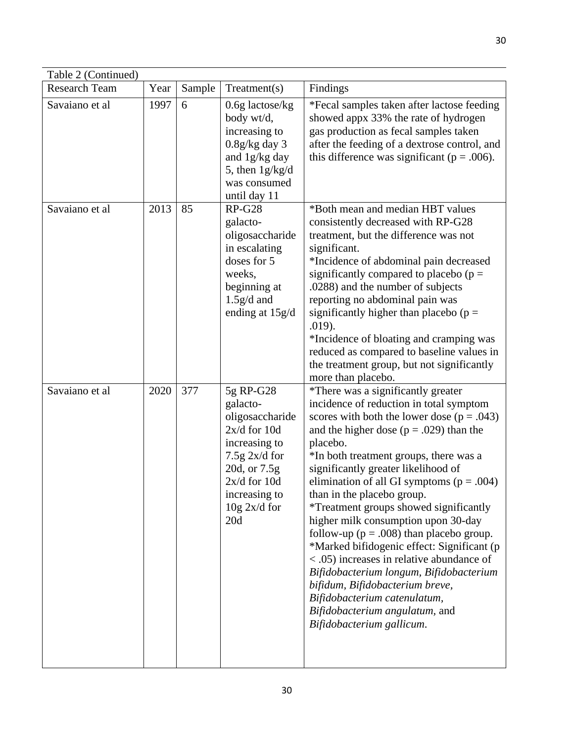| Table 2 (Continued)  |      |        |                                                                                                                                                                            |                                                                                                                                                                                                                                                                                                                                                                                                                                                                                                                                                                                                                                                                                                                                                                     |
|----------------------|------|--------|----------------------------------------------------------------------------------------------------------------------------------------------------------------------------|---------------------------------------------------------------------------------------------------------------------------------------------------------------------------------------------------------------------------------------------------------------------------------------------------------------------------------------------------------------------------------------------------------------------------------------------------------------------------------------------------------------------------------------------------------------------------------------------------------------------------------------------------------------------------------------------------------------------------------------------------------------------|
| <b>Research Team</b> | Year | Sample | Treatment(s)                                                                                                                                                               | Findings                                                                                                                                                                                                                                                                                                                                                                                                                                                                                                                                                                                                                                                                                                                                                            |
| Savaiano et al       | 1997 | 6      | $0.6g$ lactose/kg<br>body wt/d,<br>increasing to<br>$0.8g/kg$ day 3<br>and 1g/kg day<br>5, then $1g/kg/d$<br>was consumed<br>until day 11                                  | *Fecal samples taken after lactose feeding<br>showed appx 33% the rate of hydrogen<br>gas production as fecal samples taken<br>after the feeding of a dextrose control, and<br>this difference was significant ( $p = .006$ ).                                                                                                                                                                                                                                                                                                                                                                                                                                                                                                                                      |
| Savaiano et al       | 2013 | 85     | $RP-G28$<br>galacto-<br>oligosaccharide<br>in escalating<br>doses for 5<br>weeks,<br>beginning at<br>$1.5g/d$ and<br>ending at 15g/d                                       | *Both mean and median HBT values<br>consistently decreased with RP-G28<br>treatment, but the difference was not<br>significant.<br>*Incidence of abdominal pain decreased<br>significantly compared to placebo ( $p =$<br>.0288) and the number of subjects<br>reporting no abdominal pain was<br>significantly higher than placebo ( $p =$<br>.019).<br>*Incidence of bloating and cramping was<br>reduced as compared to baseline values in<br>the treatment group, but not significantly<br>more than placebo.                                                                                                                                                                                                                                                   |
| Savaiano et al       | 2020 | 377    | 5g RP-G28<br>galacto-<br>oligosaccharide<br>$2x/d$ for 10d<br>increasing to<br>$7.5g$ 2x/d for<br>20d, or 7.5g<br>$2x/d$ for 10d<br>increasing to<br>$10g$ 2x/d for<br>20d | *There was a significantly greater<br>incidence of reduction in total symptom<br>scores with both the lower dose ( $p = .043$ )<br>and the higher dose ( $p = .029$ ) than the<br>placebo.<br>*In both treatment groups, there was a<br>significantly greater likelihood of<br>elimination of all GI symptoms ( $p = .004$ )<br>than in the placebo group.<br>*Treatment groups showed significantly<br>higher milk consumption upon 30-day<br>follow-up ( $p = .008$ ) than placebo group.<br>*Marked bifidogenic effect: Significant (p<br>< .05) increases in relative abundance of<br>Bifidobacterium longum, Bifidobacterium<br>bifidum, Bifidobacterium breve,<br>Bifidobacterium catenulatum,<br>Bifidobacterium angulatum, and<br>Bifidobacterium gallicum. |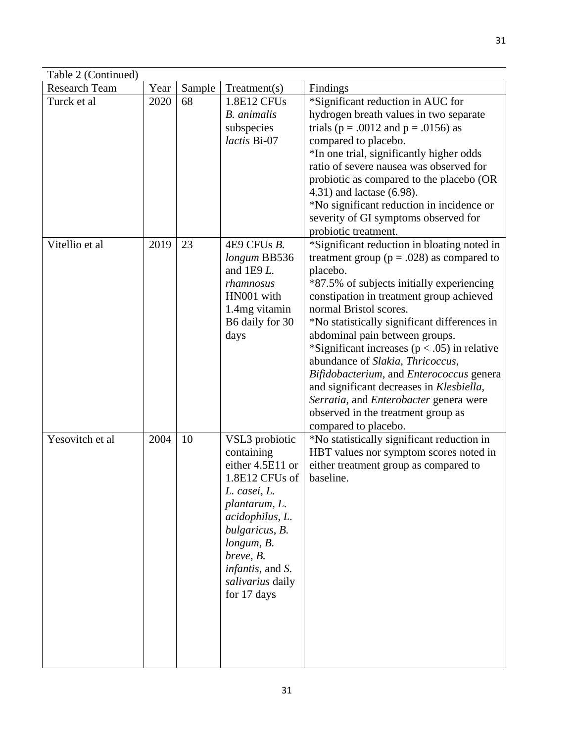| Table 2 (Continued)  |      |        |                                                                                                                                                                                                                                            |                                                                                                                                                                                                                                                                                                                                                                                                                                                                                                                                                                                                       |  |  |  |
|----------------------|------|--------|--------------------------------------------------------------------------------------------------------------------------------------------------------------------------------------------------------------------------------------------|-------------------------------------------------------------------------------------------------------------------------------------------------------------------------------------------------------------------------------------------------------------------------------------------------------------------------------------------------------------------------------------------------------------------------------------------------------------------------------------------------------------------------------------------------------------------------------------------------------|--|--|--|
| <b>Research Team</b> | Year | Sample | Treatment(s)                                                                                                                                                                                                                               | Findings                                                                                                                                                                                                                                                                                                                                                                                                                                                                                                                                                                                              |  |  |  |
| Turck et al          | 2020 | 68     | 1.8E12 CFUs<br><b>B.</b> animalis<br>subspecies<br>lactis Bi-07                                                                                                                                                                            | *Significant reduction in AUC for<br>hydrogen breath values in two separate<br>trials ( $p = .0012$ and $p = .0156$ ) as<br>compared to placebo.<br>*In one trial, significantly higher odds<br>ratio of severe nausea was observed for<br>probiotic as compared to the placebo (OR<br>4.31) and lactase (6.98).<br>*No significant reduction in incidence or<br>severity of GI symptoms observed for<br>probiotic treatment.                                                                                                                                                                         |  |  |  |
| Vitellio et al       | 2019 | 23     | 4E9 CFUs B.<br>longum BB536<br>and $1E9L$ .<br>rhamnosus<br>HN001 with<br>1.4mg vitamin<br>B6 daily for 30<br>days                                                                                                                         | *Significant reduction in bloating noted in<br>treatment group ( $p = .028$ ) as compared to<br>placebo.<br>*87.5% of subjects initially experiencing<br>constipation in treatment group achieved<br>normal Bristol scores.<br>*No statistically significant differences in<br>abdominal pain between groups.<br>*Significant increases ( $p < .05$ ) in relative<br>abundance of Slakia, Thricoccus,<br>Bifidobacterium, and Enterococcus genera<br>and significant decreases in Klesbiella,<br>Serratia, and Enterobacter genera were<br>observed in the treatment group as<br>compared to placebo. |  |  |  |
| Yesovitch et al      | 2004 | 10     | VSL3 probiotic<br>containing<br>either 4.5E11 or<br>1.8E12 CFUs of<br>L. casei, L.<br>plantarum, L.<br>acidophilus, L.<br>bulgaricus, B.<br>longum, B.<br>breve, B.<br><i>infantis</i> , and <i>S</i> .<br>salivarius daily<br>for 17 days | *No statistically significant reduction in<br>HBT values nor symptom scores noted in<br>either treatment group as compared to<br>baseline.                                                                                                                                                                                                                                                                                                                                                                                                                                                            |  |  |  |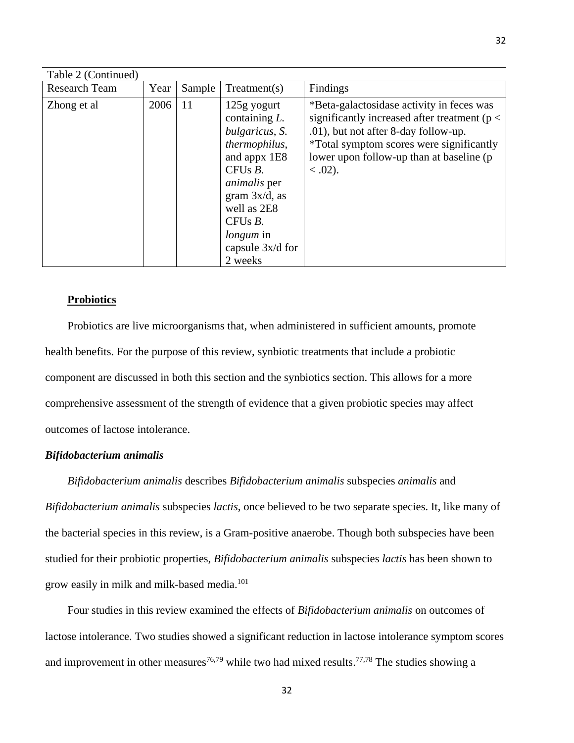| Table 2 (Continued)  |      |        |                                                                                                                                                                                                                               |                                                                                                                                                                                                                                          |
|----------------------|------|--------|-------------------------------------------------------------------------------------------------------------------------------------------------------------------------------------------------------------------------------|------------------------------------------------------------------------------------------------------------------------------------------------------------------------------------------------------------------------------------------|
| <b>Research Team</b> | Year | Sample | Treatment(s)                                                                                                                                                                                                                  | Findings                                                                                                                                                                                                                                 |
| Zhong et al          | 2006 | 11     | 125g yogurt<br>containing $L$ .<br>bulgaricus, S.<br>thermophilus,<br>and appx 1E8<br>CFUs $B$ .<br><i>animalis</i> per<br>gram $3x/d$ , as<br>well as 2E8<br>CFUs $B$ .<br><i>longum</i> in<br>capsule $3x/d$ for<br>2 weeks | *Beta-galactosidase activity in feces was<br>significantly increased after treatment ( $p <$<br>.01), but not after 8-day follow-up.<br>*Total symptom scores were significantly<br>lower upon follow-up than at baseline (p<br>$0.02$ . |

## **Probiotics**

Probiotics are live microorganisms that, when administered in sufficient amounts, promote health benefits. For the purpose of this review, synbiotic treatments that include a probiotic component are discussed in both this section and the synbiotics section. This allows for a more comprehensive assessment of the strength of evidence that a given probiotic species may affect outcomes of lactose intolerance.

## *Bifidobacterium animalis*

*Bifidobacterium animalis* describes *Bifidobacterium animalis* subspecies *animalis* and *Bifidobacterium animalis* subspecies *lactis*, once believed to be two separate species. It, like many of the bacterial species in this review, is a Gram-positive anaerobe. Though both subspecies have been studied for their probiotic properties, *Bifidobacterium animalis* subspecies *lactis* has been shown to grow easily in milk and milk-based media. 101

Four studies in this review examined the effects of *Bifidobacterium animalis* on outcomes of lactose intolerance. Two studies showed a significant reduction in lactose intolerance symptom scores and improvement in other measures<sup>76,79</sup> while two had mixed results.<sup>77,78</sup> The studies showing a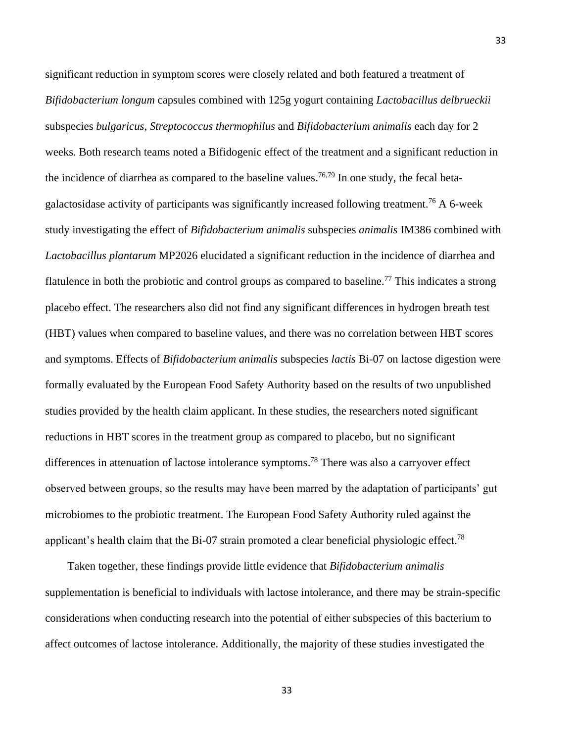significant reduction in symptom scores were closely related and both featured a treatment of *Bifidobacterium longum* capsules combined with 125g yogurt containing *Lactobacillus delbrueckii* subspecies *bulgaricus*, *Streptococcus thermophilus* and *Bifidobacterium animalis* each day for 2 weeks. Both research teams noted a Bifidogenic effect of the treatment and a significant reduction in the incidence of diarrhea as compared to the baseline values.<sup>76,79</sup> In one study, the fecal betagalactosidase activity of participants was significantly increased following treatment.<sup>76</sup> A 6-week study investigating the effect of *Bifidobacterium animalis* subspecies *animalis* IM386 combined with *Lactobacillus plantarum* MP2026 elucidated a significant reduction in the incidence of diarrhea and flatulence in both the probiotic and control groups as compared to baseline.<sup>77</sup> This indicates a strong placebo effect. The researchers also did not find any significant differences in hydrogen breath test (HBT) values when compared to baseline values, and there was no correlation between HBT scores and symptoms. Effects of *Bifidobacterium animalis* subspecies *lactis* Bi-07 on lactose digestion were formally evaluated by the European Food Safety Authority based on the results of two unpublished studies provided by the health claim applicant. In these studies, the researchers noted significant reductions in HBT scores in the treatment group as compared to placebo, but no significant differences in attenuation of lactose intolerance symptoms.<sup>78</sup> There was also a carryover effect observed between groups, so the results may have been marred by the adaptation of participants' gut microbiomes to the probiotic treatment. The European Food Safety Authority ruled against the applicant's health claim that the Bi-07 strain promoted a clear beneficial physiologic effect.<sup>78</sup>

Taken together, these findings provide little evidence that *Bifidobacterium animalis* supplementation is beneficial to individuals with lactose intolerance, and there may be strain-specific considerations when conducting research into the potential of either subspecies of this bacterium to affect outcomes of lactose intolerance. Additionally, the majority of these studies investigated the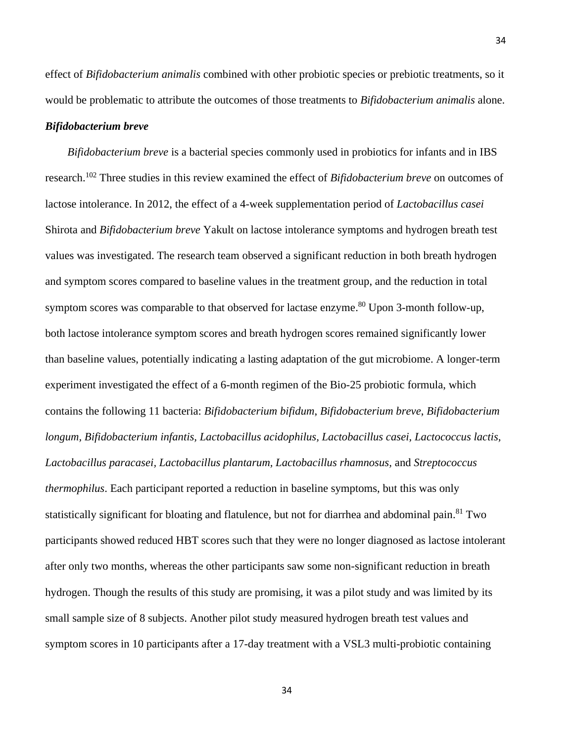34

effect of *Bifidobacterium animalis* combined with other probiotic species or prebiotic treatments, so it would be problematic to attribute the outcomes of those treatments to *Bifidobacterium animalis* alone.

# *Bifidobacterium breve*

*Bifidobacterium breve* is a bacterial species commonly used in probiotics for infants and in IBS research. <sup>102</sup> Three studies in this review examined the effect of *Bifidobacterium breve* on outcomes of lactose intolerance. In 2012, the effect of a 4-week supplementation period of *Lactobacillus casei* Shirota and *Bifidobacterium breve* Yakult on lactose intolerance symptoms and hydrogen breath test values was investigated. The research team observed a significant reduction in both breath hydrogen and symptom scores compared to baseline values in the treatment group, and the reduction in total symptom scores was comparable to that observed for lactase enzyme.<sup>80</sup> Upon 3-month follow-up, both lactose intolerance symptom scores and breath hydrogen scores remained significantly lower than baseline values, potentially indicating a lasting adaptation of the gut microbiome. A longer-term experiment investigated the effect of a 6-month regimen of the Bio-25 probiotic formula, which contains the following 11 bacteria: *Bifidobacterium bifidum*, *Bifidobacterium breve*, *Bifidobacterium longum, Bifidobacterium infantis, Lactobacillus acidophilus, Lactobacillus casei, Lactococcus lactis, Lactobacillus paracasei, Lactobacillus plantarum, Lactobacillus rhamnosus,* and *Streptococcus thermophilus*. Each participant reported a reduction in baseline symptoms, but this was only statistically significant for bloating and flatulence, but not for diarrhea and abdominal pain.<sup>81</sup> Two participants showed reduced HBT scores such that they were no longer diagnosed as lactose intolerant after only two months, whereas the other participants saw some non-significant reduction in breath hydrogen. Though the results of this study are promising, it was a pilot study and was limited by its small sample size of 8 subjects. Another pilot study measured hydrogen breath test values and symptom scores in 10 participants after a 17-day treatment with a VSL3 multi-probiotic containing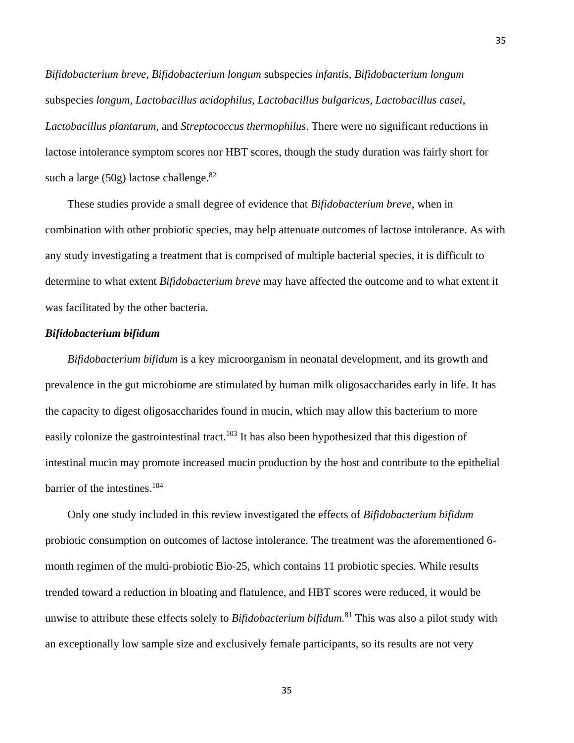*Bifidobacterium breve, Bifidobacterium longum* subspecies *infantis, Bifidobacterium longum* subspecies *longum, Lactobacillus acidophilus, Lactobacillus bulgaricus, Lactobacillus casei, Lactobacillus plantarum,* and *Streptococcus thermophilus*. There were no significant reductions in lactose intolerance symptom scores nor HBT scores, though the study duration was fairly short for such a large (50g) lactose challenge.<sup>82</sup>

These studies provide a small degree of evidence that *Bifidobacterium breve*, when in combination with other probiotic species, may help attenuate outcomes of lactose intolerance. As with any study investigating a treatment that is comprised of multiple bacterial species, it is difficult to determine to what extent *Bifidobacterium breve* may have affected the outcome and to what extent it was facilitated by the other bacteria.

### *Bifidobacterium bifidum*

*Bifidobacterium bifidum* is a key microorganism in neonatal development, and its growth and prevalence in the gut microbiome are stimulated by human milk oligosaccharides early in life. It has the capacity to digest oligosaccharides found in mucin, which may allow this bacterium to more easily colonize the gastrointestinal tract.<sup>103</sup> It has also been hypothesized that this digestion of intestinal mucin may promote increased mucin production by the host and contribute to the epithelial barrier of the intestines. 104

Only one study included in this review investigated the effects of *Bifidobacterium bifidum* probiotic consumption on outcomes of lactose intolerance. The treatment was the aforementioned 6 month regimen of the multi-probiotic Bio-25, which contains 11 probiotic species. While results trended toward a reduction in bloating and flatulence, and HBT scores were reduced, it would be unwise to attribute these effects solely to *Bifidobacterium bifidum.* <sup>81</sup> This was also a pilot study with an exceptionally low sample size and exclusively female participants, so its results are not very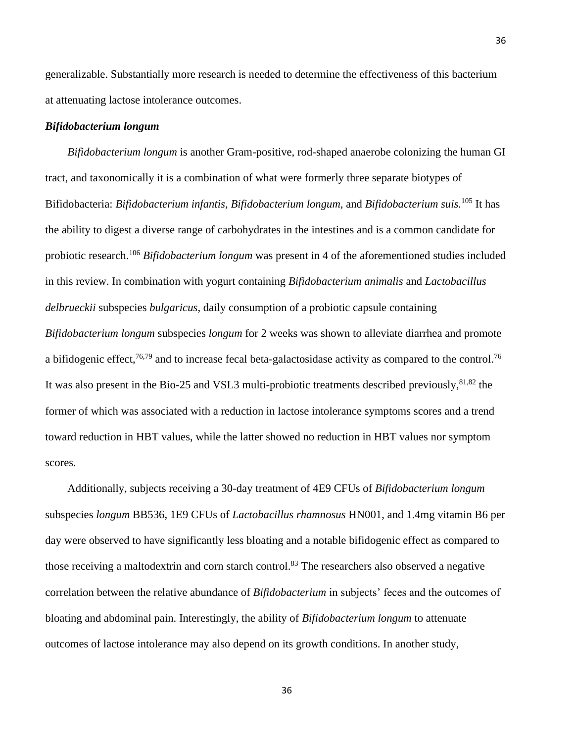generalizable. Substantially more research is needed to determine the effectiveness of this bacterium at attenuating lactose intolerance outcomes.

### *Bifidobacterium longum*

*Bifidobacterium longum* is another Gram-positive, rod-shaped anaerobe colonizing the human GI tract, and taxonomically it is a combination of what were formerly three separate biotypes of Bifidobacteria: *Bifidobacterium infantis*, *Bifidobacterium longum*, and *Bifidobacterium suis.* <sup>105</sup> It has the ability to digest a diverse range of carbohydrates in the intestines and is a common candidate for probiotic research. <sup>106</sup> *Bifidobacterium longum* was present in 4 of the aforementioned studies included in this review. In combination with yogurt containing *Bifidobacterium animalis* and *Lactobacillus delbrueckii* subspecies *bulgaricus*, daily consumption of a probiotic capsule containing *Bifidobacterium longum* subspecies *longum* for 2 weeks was shown to alleviate diarrhea and promote a bifidogenic effect,<sup>76,79</sup> and to increase fecal beta-galactosidase activity as compared to the control.<sup>76</sup> It was also present in the Bio-25 and VSL3 multi-probiotic treatments described previously,<sup>81,82</sup> the former of which was associated with a reduction in lactose intolerance symptoms scores and a trend toward reduction in HBT values, while the latter showed no reduction in HBT values nor symptom scores.

Additionally, subjects receiving a 30-day treatment of 4E9 CFUs of *Bifidobacterium longum* subspecies *longum* BB536, 1E9 CFUs of *Lactobacillus rhamnosus* HN001, and 1.4mg vitamin B6 per day were observed to have significantly less bloating and a notable bifidogenic effect as compared to those receiving a maltodextrin and corn starch control.<sup>83</sup> The researchers also observed a negative correlation between the relative abundance of *Bifidobacterium* in subjects' feces and the outcomes of bloating and abdominal pain. Interestingly, the ability of *Bifidobacterium longum* to attenuate outcomes of lactose intolerance may also depend on its growth conditions. In another study,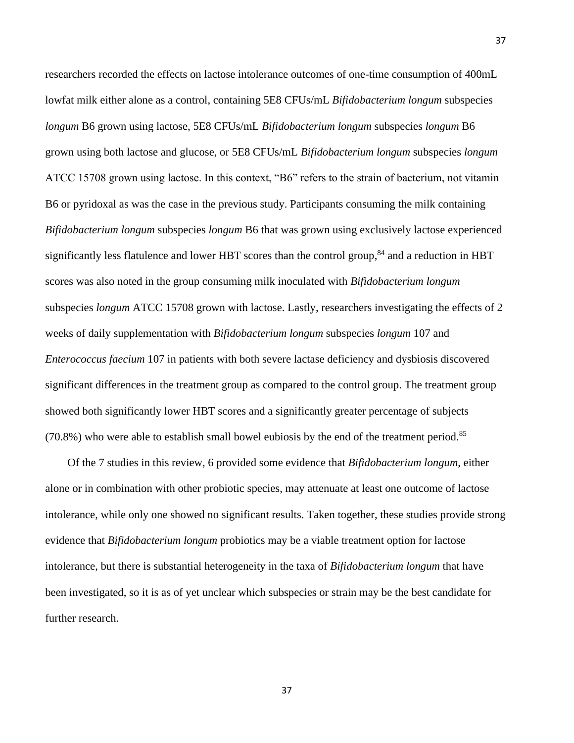researchers recorded the effects on lactose intolerance outcomes of one-time consumption of 400mL lowfat milk either alone as a control, containing 5E8 CFUs/mL *Bifidobacterium longum* subspecies *longum* B6 grown using lactose, 5E8 CFUs/mL *Bifidobacterium longum* subspecies *longum* B6 grown using both lactose and glucose, or 5E8 CFUs/mL *Bifidobacterium longum* subspecies *longum* ATCC 15708 grown using lactose. In this context, "B6" refers to the strain of bacterium, not vitamin B6 or pyridoxal as was the case in the previous study. Participants consuming the milk containing *Bifidobacterium longum* subspecies *longum* B6 that was grown using exclusively lactose experienced significantly less flatulence and lower HBT scores than the control group,<sup>84</sup> and a reduction in HBT scores was also noted in the group consuming milk inoculated with *Bifidobacterium longum* subspecies *longum* ATCC 15708 grown with lactose. Lastly, researchers investigating the effects of 2 weeks of daily supplementation with *Bifidobacterium longum* subspecies *longum* 107 and *Enterococcus faecium* 107 in patients with both severe lactase deficiency and dysbiosis discovered significant differences in the treatment group as compared to the control group. The treatment group showed both significantly lower HBT scores and a significantly greater percentage of subjects  $(70.8%)$  who were able to establish small bowel eubiosis by the end of the treatment period.<sup>85</sup>

Of the 7 studies in this review, 6 provided some evidence that *Bifidobacterium longum*, either alone or in combination with other probiotic species, may attenuate at least one outcome of lactose intolerance, while only one showed no significant results. Taken together, these studies provide strong evidence that *Bifidobacterium longum* probiotics may be a viable treatment option for lactose intolerance, but there is substantial heterogeneity in the taxa of *Bifidobacterium longum* that have been investigated, so it is as of yet unclear which subspecies or strain may be the best candidate for further research.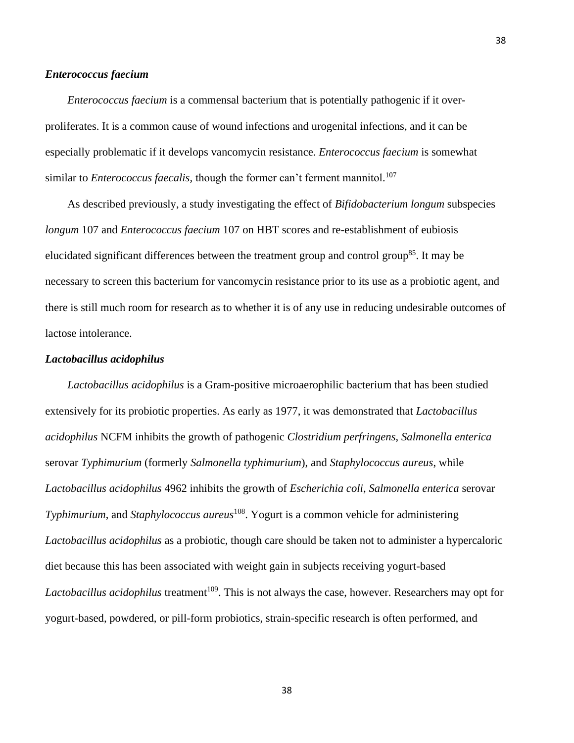## *Enterococcus faecium*

*Enterococcus faecium* is a commensal bacterium that is potentially pathogenic if it overproliferates. It is a common cause of wound infections and urogenital infections, and it can be especially problematic if it develops vancomycin resistance. *Enterococcus faecium* is somewhat similar to *Enterococcus faecalis,* though the former can't ferment mannitol. 107

As described previously, a study investigating the effect of *Bifidobacterium longum* subspecies *longum* 107 and *Enterococcus faecium* 107 on HBT scores and re-establishment of eubiosis elucidated significant differences between the treatment group and control group<sup>85</sup>. It may be necessary to screen this bacterium for vancomycin resistance prior to its use as a probiotic agent, and there is still much room for research as to whether it is of any use in reducing undesirable outcomes of lactose intolerance.

### *Lactobacillus acidophilus*

*Lactobacillus acidophilus* is a Gram-positive microaerophilic bacterium that has been studied extensively for its probiotic properties. As early as 1977, it was demonstrated that *Lactobacillus acidophilus* NCFM inhibits the growth of pathogenic *Clostridium perfringens*, *Salmonella enterica* serovar *Typhimurium* (formerly *Salmonella typhimurium*), and *Staphylococcus aureus*, while *Lactobacillus acidophilus* 4962 inhibits the growth of *Escherichia coli*, *Salmonella enterica* serovar *Typhimurium*, and *Staphylococcus aureus*<sup>108</sup>. Yogurt is a common vehicle for administering *Lactobacillus acidophilus* as a probiotic, though care should be taken not to administer a hypercaloric diet because this has been associated with weight gain in subjects receiving yogurt-based *Lactobacillus acidophilus* treatment<sup>109</sup>. This is not always the case, however. Researchers may opt for yogurt-based, powdered, or pill-form probiotics, strain-specific research is often performed, and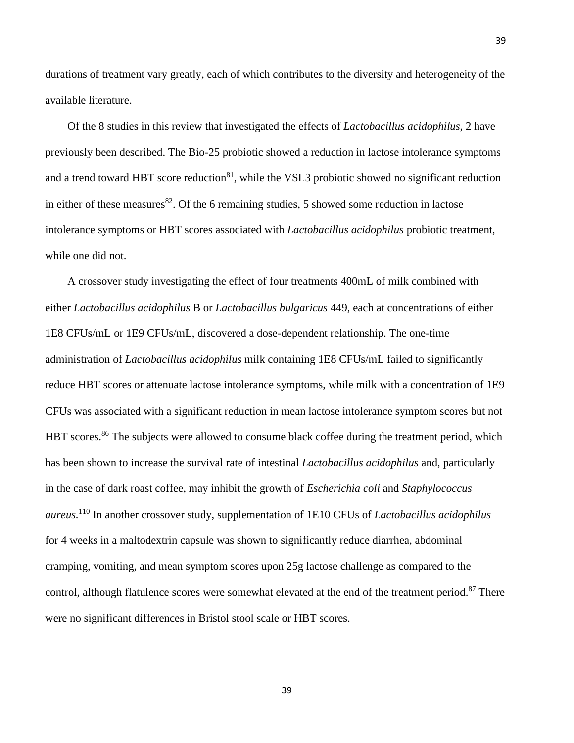durations of treatment vary greatly, each of which contributes to the diversity and heterogeneity of the available literature.

Of the 8 studies in this review that investigated the effects of *Lactobacillus acidophilus*, 2 have previously been described. The Bio-25 probiotic showed a reduction in lactose intolerance symptoms and a trend toward HBT score reduction $81$ , while the VSL3 probiotic showed no significant reduction in either of these measures  $82$ . Of the 6 remaining studies, 5 showed some reduction in lactose intolerance symptoms or HBT scores associated with *Lactobacillus acidophilus* probiotic treatment, while one did not.

A crossover study investigating the effect of four treatments 400mL of milk combined with either *Lactobacillus acidophilus* B or *Lactobacillus bulgaricus* 449, each at concentrations of either 1E8 CFUs/mL or 1E9 CFUs/mL, discovered a dose-dependent relationship. The one-time administration of *Lactobacillus acidophilus* milk containing 1E8 CFUs/mL failed to significantly reduce HBT scores or attenuate lactose intolerance symptoms, while milk with a concentration of 1E9 CFUs was associated with a significant reduction in mean lactose intolerance symptom scores but not HBT scores.<sup>86</sup> The subjects were allowed to consume black coffee during the treatment period, which has been shown to increase the survival rate of intestinal *Lactobacillus acidophilus* and, particularly in the case of dark roast coffee, may inhibit the growth of *Escherichia coli* and *Staphylococcus aureus.* <sup>110</sup> In another crossover study, supplementation of 1E10 CFUs of *Lactobacillus acidophilus* for 4 weeks in a maltodextrin capsule was shown to significantly reduce diarrhea, abdominal cramping, vomiting, and mean symptom scores upon 25g lactose challenge as compared to the control, although flatulence scores were somewhat elevated at the end of the treatment period.<sup>87</sup> There were no significant differences in Bristol stool scale or HBT scores.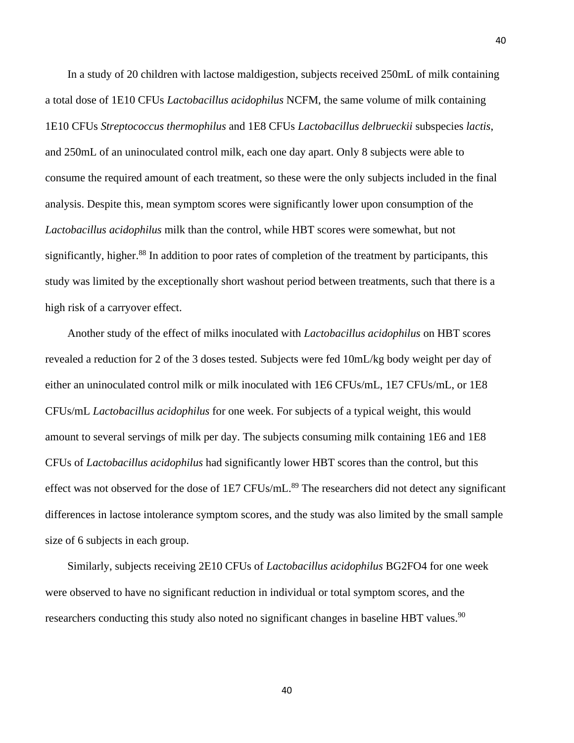In a study of 20 children with lactose maldigestion, subjects received 250mL of milk containing a total dose of 1E10 CFUs *Lactobacillus acidophilus* NCFM, the same volume of milk containing 1E10 CFUs *Streptococcus thermophilus* and 1E8 CFUs *Lactobacillus delbrueckii* subspecies *lactis*, and 250mL of an uninoculated control milk, each one day apart. Only 8 subjects were able to consume the required amount of each treatment, so these were the only subjects included in the final analysis. Despite this, mean symptom scores were significantly lower upon consumption of the *Lactobacillus acidophilus* milk than the control, while HBT scores were somewhat, but not significantly, higher.<sup>88</sup> In addition to poor rates of completion of the treatment by participants, this study was limited by the exceptionally short washout period between treatments, such that there is a high risk of a carryover effect.

Another study of the effect of milks inoculated with *Lactobacillus acidophilus* on HBT scores revealed a reduction for 2 of the 3 doses tested. Subjects were fed 10mL/kg body weight per day of either an uninoculated control milk or milk inoculated with 1E6 CFUs/mL, 1E7 CFUs/mL, or 1E8 CFUs/mL *Lactobacillus acidophilus* for one week. For subjects of a typical weight, this would amount to several servings of milk per day. The subjects consuming milk containing 1E6 and 1E8 CFUs of *Lactobacillus acidophilus* had significantly lower HBT scores than the control, but this effect was not observed for the dose of 1E7 CFUs/mL.<sup>89</sup> The researchers did not detect any significant differences in lactose intolerance symptom scores, and the study was also limited by the small sample size of 6 subjects in each group.

Similarly, subjects receiving 2E10 CFUs of *Lactobacillus acidophilus* BG2FO4 for one week were observed to have no significant reduction in individual or total symptom scores, and the researchers conducting this study also noted no significant changes in baseline HBT values.<sup>90</sup>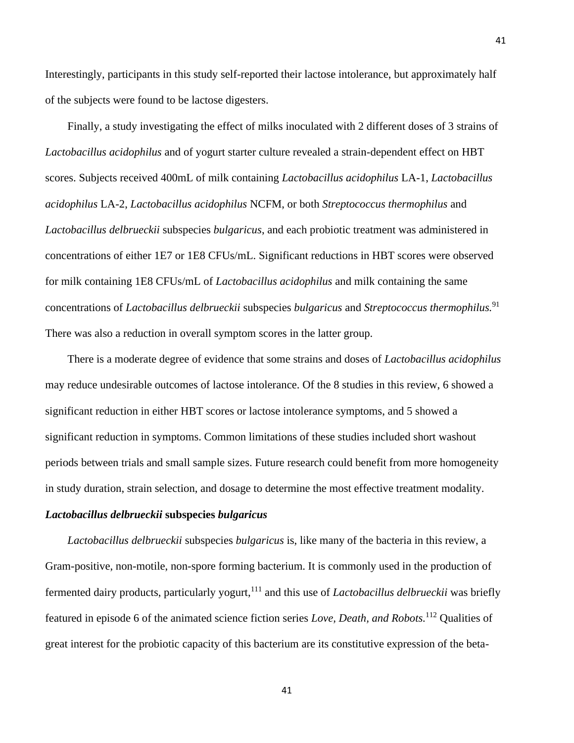Interestingly, participants in this study self-reported their lactose intolerance, but approximately half of the subjects were found to be lactose digesters.

Finally, a study investigating the effect of milks inoculated with 2 different doses of 3 strains of *Lactobacillus acidophilus* and of yogurt starter culture revealed a strain-dependent effect on HBT scores. Subjects received 400mL of milk containing *Lactobacillus acidophilus* LA-1, *Lactobacillus acidophilus* LA-2, *Lactobacillus acidophilus* NCFM, or both *Streptococcus thermophilus* and *Lactobacillus delbrueckii* subspecies *bulgaricus*, and each probiotic treatment was administered in concentrations of either 1E7 or 1E8 CFUs/mL. Significant reductions in HBT scores were observed for milk containing 1E8 CFUs/mL of *Lactobacillus acidophilus* and milk containing the same concentrations of *Lactobacillus delbrueckii* subspecies *bulgaricus* and *Streptococcus thermophilus.* 91 There was also a reduction in overall symptom scores in the latter group.

There is a moderate degree of evidence that some strains and doses of *Lactobacillus acidophilus* may reduce undesirable outcomes of lactose intolerance. Of the 8 studies in this review, 6 showed a significant reduction in either HBT scores or lactose intolerance symptoms, and 5 showed a significant reduction in symptoms. Common limitations of these studies included short washout periods between trials and small sample sizes. Future research could benefit from more homogeneity in study duration, strain selection, and dosage to determine the most effective treatment modality.

## *Lactobacillus delbrueckii* **subspecies** *bulgaricus*

*Lactobacillus delbrueckii* subspecies *bulgaricus* is, like many of the bacteria in this review, a Gram-positive, non-motile, non-spore forming bacterium. It is commonly used in the production of fermented dairy products, particularly yogurt, <sup>111</sup> and this use of *Lactobacillus delbrueckii* was briefly featured in episode 6 of the animated science fiction series *Love, Death, and Robots.* <sup>112</sup> Qualities of great interest for the probiotic capacity of this bacterium are its constitutive expression of the beta-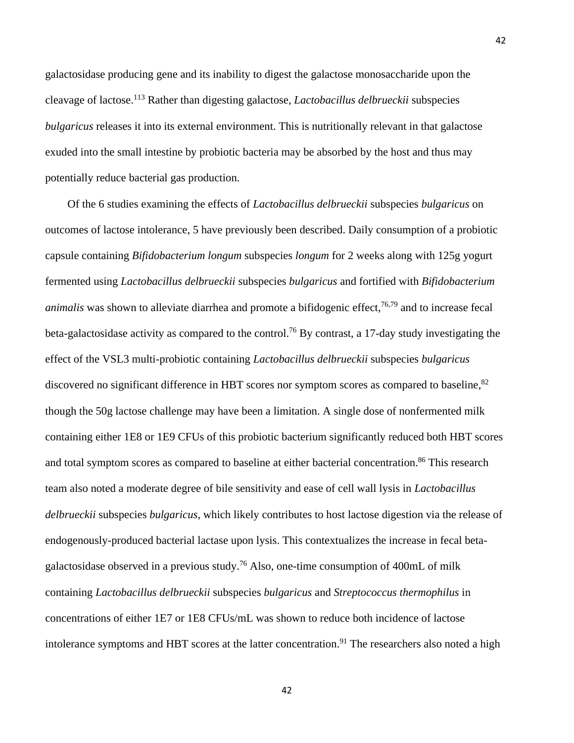galactosidase producing gene and its inability to digest the galactose monosaccharide upon the cleavage of lactose. <sup>113</sup> Rather than digesting galactose, *Lactobacillus delbrueckii* subspecies *bulgaricus* releases it into its external environment. This is nutritionally relevant in that galactose exuded into the small intestine by probiotic bacteria may be absorbed by the host and thus may potentially reduce bacterial gas production.

Of the 6 studies examining the effects of *Lactobacillus delbrueckii* subspecies *bulgaricus* on outcomes of lactose intolerance, 5 have previously been described. Daily consumption of a probiotic capsule containing *Bifidobacterium longum* subspecies *longum* for 2 weeks along with 125g yogurt fermented using *Lactobacillus delbrueckii* subspecies *bulgaricus* and fortified with *Bifidobacterium animalis* was shown to alleviate diarrhea and promote a bifidogenic effect, 76,79 and to increase fecal beta-galactosidase activity as compared to the control.<sup>76</sup> By contrast, a 17-day study investigating the effect of the VSL3 multi-probiotic containing *Lactobacillus delbrueckii* subspecies *bulgaricus* discovered no significant difference in HBT scores nor symptom scores as compared to baseline, <sup>82</sup> though the 50g lactose challenge may have been a limitation. A single dose of nonfermented milk containing either 1E8 or 1E9 CFUs of this probiotic bacterium significantly reduced both HBT scores and total symptom scores as compared to baseline at either bacterial concentration.<sup>86</sup> This research team also noted a moderate degree of bile sensitivity and ease of cell wall lysis in *Lactobacillus delbrueckii* subspecies *bulgaricus*, which likely contributes to host lactose digestion via the release of endogenously-produced bacterial lactase upon lysis. This contextualizes the increase in fecal betagalactosidase observed in a previous study.<sup>76</sup> Also, one-time consumption of 400mL of milk containing *Lactobacillus delbrueckii* subspecies *bulgaricus* and *Streptococcus thermophilus* in concentrations of either 1E7 or 1E8 CFUs/mL was shown to reduce both incidence of lactose intolerance symptoms and HBT scores at the latter concentration.<sup>91</sup> The researchers also noted a high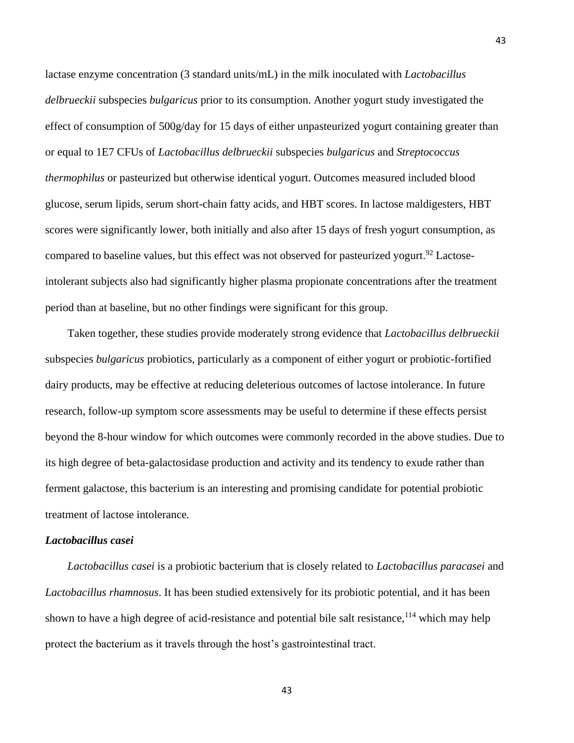lactase enzyme concentration (3 standard units/mL) in the milk inoculated with *Lactobacillus delbrueckii* subspecies *bulgaricus* prior to its consumption. Another yogurt study investigated the effect of consumption of 500g/day for 15 days of either unpasteurized yogurt containing greater than or equal to 1E7 CFUs of *Lactobacillus delbrueckii* subspecies *bulgaricus* and *Streptococcus thermophilus* or pasteurized but otherwise identical yogurt. Outcomes measured included blood glucose, serum lipids, serum short-chain fatty acids, and HBT scores. In lactose maldigesters, HBT scores were significantly lower, both initially and also after 15 days of fresh yogurt consumption, as compared to baseline values, but this effect was not observed for pasteurized yogurt.<sup>92</sup> Lactoseintolerant subjects also had significantly higher plasma propionate concentrations after the treatment period than at baseline, but no other findings were significant for this group.

Taken together, these studies provide moderately strong evidence that *Lactobacillus delbrueckii* subspecies *bulgaricus* probiotics, particularly as a component of either yogurt or probiotic-fortified dairy products, may be effective at reducing deleterious outcomes of lactose intolerance. In future research, follow-up symptom score assessments may be useful to determine if these effects persist beyond the 8-hour window for which outcomes were commonly recorded in the above studies. Due to its high degree of beta-galactosidase production and activity and its tendency to exude rather than ferment galactose, this bacterium is an interesting and promising candidate for potential probiotic treatment of lactose intolerance.

### *Lactobacillus casei*

*Lactobacillus casei* is a probiotic bacterium that is closely related to *Lactobacillus paracasei* and *Lactobacillus rhamnosus*. It has been studied extensively for its probiotic potential, and it has been shown to have a high degree of acid-resistance and potential bile salt resistance, <sup>114</sup> which may help protect the bacterium as it travels through the host's gastrointestinal tract.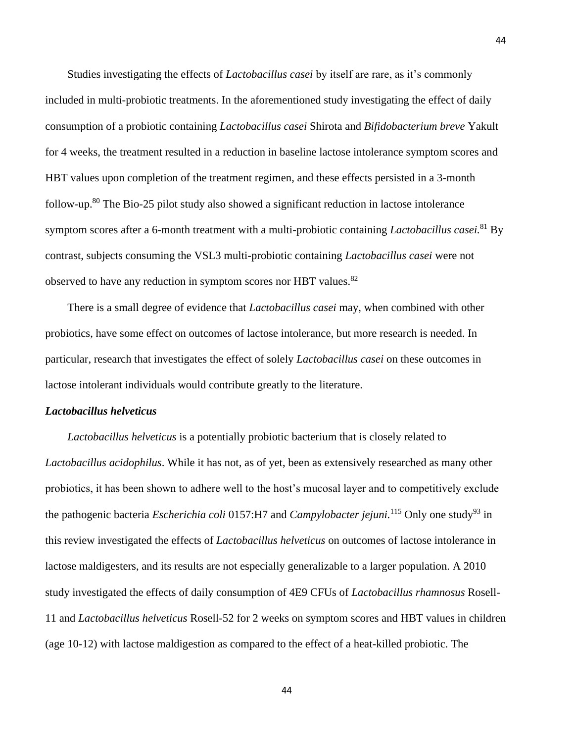Studies investigating the effects of *Lactobacillus casei* by itself are rare, as it's commonly included in multi-probiotic treatments. In the aforementioned study investigating the effect of daily consumption of a probiotic containing *Lactobacillus casei* Shirota and *Bifidobacterium breve* Yakult for 4 weeks, the treatment resulted in a reduction in baseline lactose intolerance symptom scores and HBT values upon completion of the treatment regimen, and these effects persisted in a 3-month follow-up. <sup>80</sup> The Bio-25 pilot study also showed a significant reduction in lactose intolerance symptom scores after a 6-month treatment with a multi-probiotic containing *Lactobacillus casei.* <sup>81</sup> By contrast, subjects consuming the VSL3 multi-probiotic containing *Lactobacillus casei* were not observed to have any reduction in symptom scores nor HBT values.<sup>82</sup>

There is a small degree of evidence that *Lactobacillus casei* may, when combined with other probiotics, have some effect on outcomes of lactose intolerance, but more research is needed. In particular, research that investigates the effect of solely *Lactobacillus casei* on these outcomes in lactose intolerant individuals would contribute greatly to the literature.

#### *Lactobacillus helveticus*

*Lactobacillus helveticus* is a potentially probiotic bacterium that is closely related to *Lactobacillus acidophilus*. While it has not, as of yet, been as extensively researched as many other probiotics, it has been shown to adhere well to the host's mucosal layer and to competitively exclude the pathogenic bacteria *Escherichia coli* 0157:H7 and *Campylobacter jejuni*.<sup>115</sup> Only one study<sup>93</sup> in this review investigated the effects of *Lactobacillus helveticus* on outcomes of lactose intolerance in lactose maldigesters, and its results are not especially generalizable to a larger population. A 2010 study investigated the effects of daily consumption of 4E9 CFUs of *Lactobacillus rhamnosus* Rosell-11 and *Lactobacillus helveticus* Rosell-52 for 2 weeks on symptom scores and HBT values in children (age 10-12) with lactose maldigestion as compared to the effect of a heat-killed probiotic. The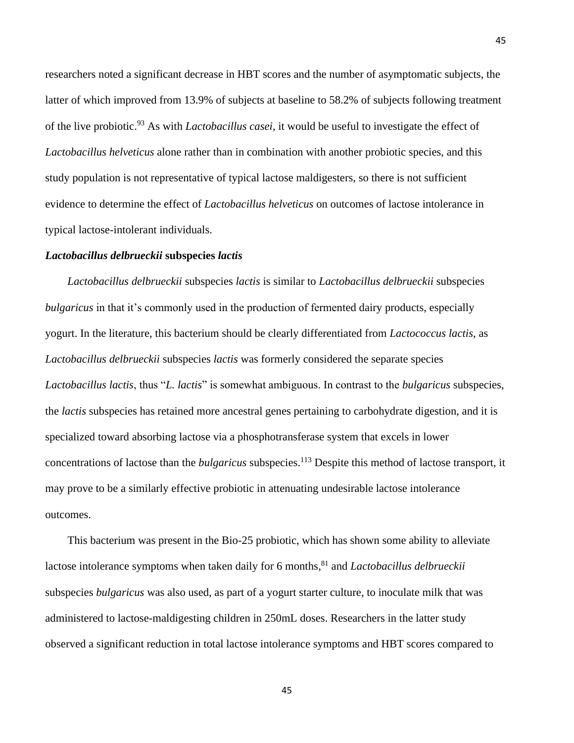researchers noted a significant decrease in HBT scores and the number of asymptomatic subjects, the latter of which improved from 13.9% of subjects at baseline to 58.2% of subjects following treatment of the live probiotic. <sup>93</sup> As with *Lactobacillus casei*, it would be useful to investigate the effect of *Lactobacillus helveticus* alone rather than in combination with another probiotic species, and this study population is not representative of typical lactose maldigesters, so there is not sufficient evidence to determine the effect of *Lactobacillus helveticus* on outcomes of lactose intolerance in typical lactose-intolerant individuals.

### *Lactobacillus delbrueckii* **subspecies** *lactis*

*Lactobacillus delbrueckii* subspecies *lactis* is similar to *Lactobacillus delbrueckii* subspecies *bulgaricus* in that it's commonly used in the production of fermented dairy products, especially yogurt. In the literature, this bacterium should be clearly differentiated from *Lactococcus lactis*, as *Lactobacillus delbrueckii* subspecies *lactis* was formerly considered the separate species *Lactobacillus lactis*, thus "*L. lactis*" is somewhat ambiguous. In contrast to the *bulgaricus* subspecies, the *lactis* subspecies has retained more ancestral genes pertaining to carbohydrate digestion, and it is specialized toward absorbing lactose via a phosphotransferase system that excels in lower concentrations of lactose than the *bulgaricus* subspecies. <sup>113</sup> Despite this method of lactose transport, it may prove to be a similarly effective probiotic in attenuating undesirable lactose intolerance outcomes.

This bacterium was present in the Bio-25 probiotic, which has shown some ability to alleviate lactose intolerance symptoms when taken daily for 6 months, <sup>81</sup> and *Lactobacillus delbrueckii* subspecies *bulgaricus* was also used, as part of a yogurt starter culture, to inoculate milk that was administered to lactose-maldigesting children in 250mL doses. Researchers in the latter study observed a significant reduction in total lactose intolerance symptoms and HBT scores compared to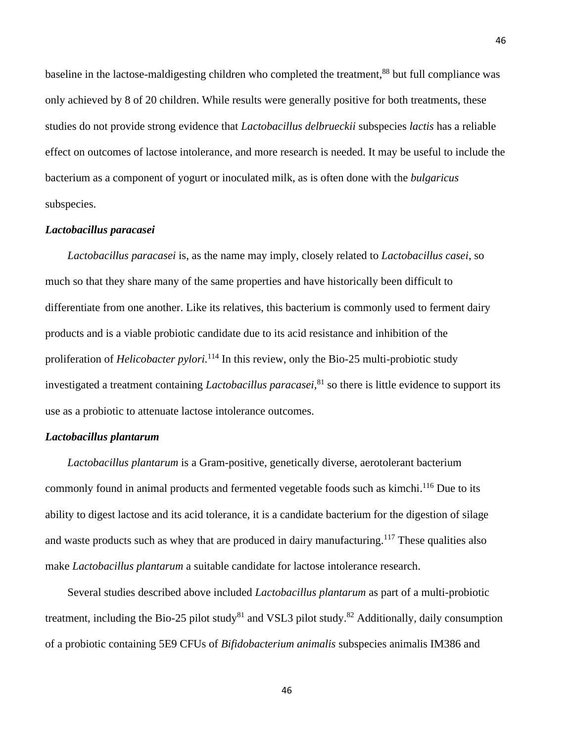baseline in the lactose-maldigesting children who completed the treatment,<sup>88</sup> but full compliance was only achieved by 8 of 20 children. While results were generally positive for both treatments, these studies do not provide strong evidence that *Lactobacillus delbrueckii* subspecies *lactis* has a reliable effect on outcomes of lactose intolerance, and more research is needed. It may be useful to include the bacterium as a component of yogurt or inoculated milk, as is often done with the *bulgaricus* subspecies.

46

## *Lactobacillus paracasei*

*Lactobacillus paracasei* is, as the name may imply, closely related to *Lactobacillus casei*, so much so that they share many of the same properties and have historically been difficult to differentiate from one another. Like its relatives, this bacterium is commonly used to ferment dairy products and is a viable probiotic candidate due to its acid resistance and inhibition of the proliferation of *Helicobacter pylori.* <sup>114</sup> In this review, only the Bio-25 multi-probiotic study investigated a treatment containing *Lactobacillus paracasei,* <sup>81</sup> so there is little evidence to support its use as a probiotic to attenuate lactose intolerance outcomes.

#### *Lactobacillus plantarum*

*Lactobacillus plantarum* is a Gram-positive, genetically diverse, aerotolerant bacterium commonly found in animal products and fermented vegetable foods such as kimchi.<sup>116</sup> Due to its ability to digest lactose and its acid tolerance, it is a candidate bacterium for the digestion of silage and waste products such as whey that are produced in dairy manufacturing.<sup>117</sup> These qualities also make *Lactobacillus plantarum* a suitable candidate for lactose intolerance research.

Several studies described above included *Lactobacillus plantarum* as part of a multi-probiotic treatment, including the Bio-25 pilot study<sup>81</sup> and VSL3 pilot study.<sup>82</sup> Additionally, daily consumption of a probiotic containing 5E9 CFUs of *Bifidobacterium animalis* subspecies animalis IM386 and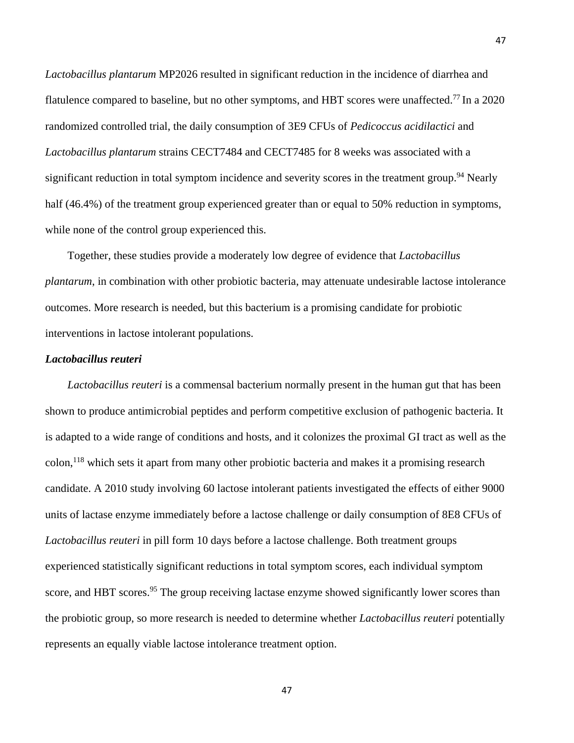*Lactobacillus plantarum* MP2026 resulted in significant reduction in the incidence of diarrhea and flatulence compared to baseline, but no other symptoms, and HBT scores were unaffected.<sup>77</sup> In a 2020 randomized controlled trial, the daily consumption of 3E9 CFUs of *Pedicoccus acidilactici* and *Lactobacillus plantarum* strains CECT7484 and CECT7485 for 8 weeks was associated with a significant reduction in total symptom incidence and severity scores in the treatment group.<sup>94</sup> Nearly half (46.4%) of the treatment group experienced greater than or equal to 50% reduction in symptoms, while none of the control group experienced this.

Together, these studies provide a moderately low degree of evidence that *Lactobacillus plantarum*, in combination with other probiotic bacteria, may attenuate undesirable lactose intolerance outcomes. More research is needed, but this bacterium is a promising candidate for probiotic interventions in lactose intolerant populations.

### *Lactobacillus reuteri*

*Lactobacillus reuteri* is a commensal bacterium normally present in the human gut that has been shown to produce antimicrobial peptides and perform competitive exclusion of pathogenic bacteria. It is adapted to a wide range of conditions and hosts, and it colonizes the proximal GI tract as well as the colon, <sup>118</sup> which sets it apart from many other probiotic bacteria and makes it a promising research candidate. A 2010 study involving 60 lactose intolerant patients investigated the effects of either 9000 units of lactase enzyme immediately before a lactose challenge or daily consumption of 8E8 CFUs of *Lactobacillus reuteri* in pill form 10 days before a lactose challenge. Both treatment groups experienced statistically significant reductions in total symptom scores, each individual symptom score, and HBT scores.<sup>95</sup> The group receiving lactase enzyme showed significantly lower scores than the probiotic group, so more research is needed to determine whether *Lactobacillus reuteri* potentially represents an equally viable lactose intolerance treatment option.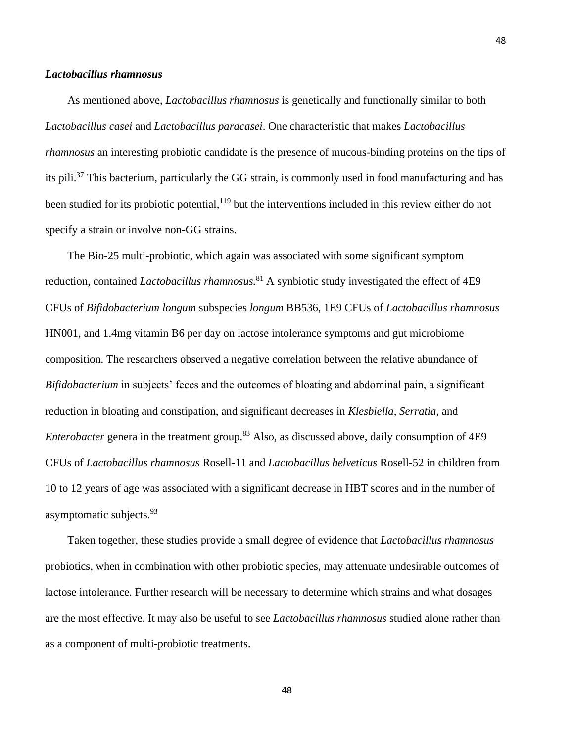## *Lactobacillus rhamnosus*

As mentioned above, *Lactobacillus rhamnosus* is genetically and functionally similar to both *Lactobacillus casei* and *Lactobacillus paracasei*. One characteristic that makes *Lactobacillus rhamnosus* an interesting probiotic candidate is the presence of mucous-binding proteins on the tips of its pili. <sup>37</sup> This bacterium, particularly the GG strain, is commonly used in food manufacturing and has been studied for its probiotic potential,<sup>119</sup> but the interventions included in this review either do not specify a strain or involve non-GG strains.

The Bio-25 multi-probiotic, which again was associated with some significant symptom reduction, contained *Lactobacillus rhamnosus.* <sup>81</sup> A synbiotic study investigated the effect of 4E9 CFUs of *Bifidobacterium longum* subspecies *longum* BB536, 1E9 CFUs of *Lactobacillus rhamnosus* HN001, and 1.4mg vitamin B6 per day on lactose intolerance symptoms and gut microbiome composition. The researchers observed a negative correlation between the relative abundance of *Bifidobacterium* in subjects' feces and the outcomes of bloating and abdominal pain, a significant reduction in bloating and constipation, and significant decreases in *Klesbiella*, *Serratia*, and *Enterobacter* genera in the treatment group. <sup>83</sup> Also, as discussed above, daily consumption of 4E9 CFUs of *Lactobacillus rhamnosus* Rosell-11 and *Lactobacillus helveticus* Rosell-52 in children from 10 to 12 years of age was associated with a significant decrease in HBT scores and in the number of asymptomatic subjects.<sup>93</sup>

Taken together, these studies provide a small degree of evidence that *Lactobacillus rhamnosus* probiotics, when in combination with other probiotic species, may attenuate undesirable outcomes of lactose intolerance. Further research will be necessary to determine which strains and what dosages are the most effective. It may also be useful to see *Lactobacillus rhamnosus* studied alone rather than as a component of multi-probiotic treatments.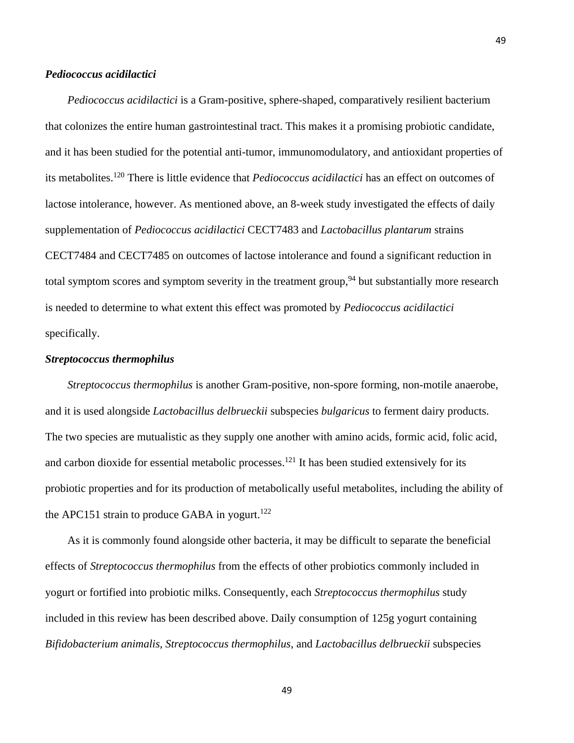### *Pediococcus acidilactici*

*Pediococcus acidilactici* is a Gram-positive, sphere-shaped, comparatively resilient bacterium that colonizes the entire human gastrointestinal tract. This makes it a promising probiotic candidate, and it has been studied for the potential anti-tumor, immunomodulatory, and antioxidant properties of its metabolites. <sup>120</sup> There is little evidence that *Pediococcus acidilactici* has an effect on outcomes of lactose intolerance, however. As mentioned above, an 8-week study investigated the effects of daily supplementation of *Pediococcus acidilactici* CECT7483 and *Lactobacillus plantarum* strains CECT7484 and CECT7485 on outcomes of lactose intolerance and found a significant reduction in total symptom scores and symptom severity in the treatment group,<sup>94</sup> but substantially more research is needed to determine to what extent this effect was promoted by *Pediococcus acidilactici* specifically.

## *Streptococcus thermophilus*

*Streptococcus thermophilus* is another Gram-positive, non-spore forming, non-motile anaerobe, and it is used alongside *Lactobacillus delbrueckii* subspecies *bulgaricus* to ferment dairy products. The two species are mutualistic as they supply one another with amino acids, formic acid, folic acid, and carbon dioxide for essential metabolic processes.<sup>121</sup> It has been studied extensively for its probiotic properties and for its production of metabolically useful metabolites, including the ability of the APC151 strain to produce GABA in yogurt.<sup>122</sup>

As it is commonly found alongside other bacteria, it may be difficult to separate the beneficial effects of *Streptococcus thermophilus* from the effects of other probiotics commonly included in yogurt or fortified into probiotic milks. Consequently, each *Streptococcus thermophilus* study included in this review has been described above. Daily consumption of 125g yogurt containing *Bifidobacterium animalis*, *Streptococcus thermophilus*, and *Lactobacillus delbrueckii* subspecies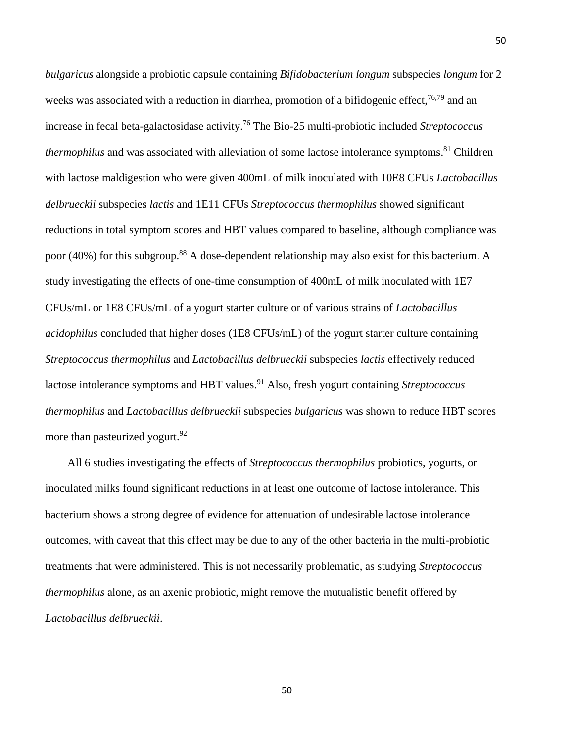*bulgaricus* alongside a probiotic capsule containing *Bifidobacterium longum* subspecies *longum* for 2 weeks was associated with a reduction in diarrhea, promotion of a bifidogenic effect,<sup>76,79</sup> and an increase in fecal beta-galactosidase activity. <sup>76</sup> The Bio-25 multi-probiotic included *Streptococcus thermophilus* and was associated with alleviation of some lactose intolerance symptoms. <sup>81</sup> Children with lactose maldigestion who were given 400mL of milk inoculated with 10E8 CFUs *Lactobacillus delbrueckii* subspecies *lactis* and 1E11 CFUs *Streptococcus thermophilus* showed significant reductions in total symptom scores and HBT values compared to baseline, although compliance was poor (40%) for this subgroup.<sup>88</sup> A dose-dependent relationship may also exist for this bacterium. A study investigating the effects of one-time consumption of 400mL of milk inoculated with 1E7 CFUs/mL or 1E8 CFUs/mL of a yogurt starter culture or of various strains of *Lactobacillus acidophilus* concluded that higher doses (1E8 CFUs/mL) of the yogurt starter culture containing *Streptococcus thermophilus* and *Lactobacillus delbrueckii* subspecies *lactis* effectively reduced lactose intolerance symptoms and HBT values. <sup>91</sup> Also, fresh yogurt containing *Streptococcus thermophilus* and *Lactobacillus delbrueckii* subspecies *bulgaricus* was shown to reduce HBT scores more than pasteurized yogurt.<sup>92</sup>

All 6 studies investigating the effects of *Streptococcus thermophilus* probiotics, yogurts, or inoculated milks found significant reductions in at least one outcome of lactose intolerance. This bacterium shows a strong degree of evidence for attenuation of undesirable lactose intolerance outcomes, with caveat that this effect may be due to any of the other bacteria in the multi-probiotic treatments that were administered. This is not necessarily problematic, as studying *Streptococcus thermophilus* alone, as an axenic probiotic, might remove the mutualistic benefit offered by *Lactobacillus delbrueckii*.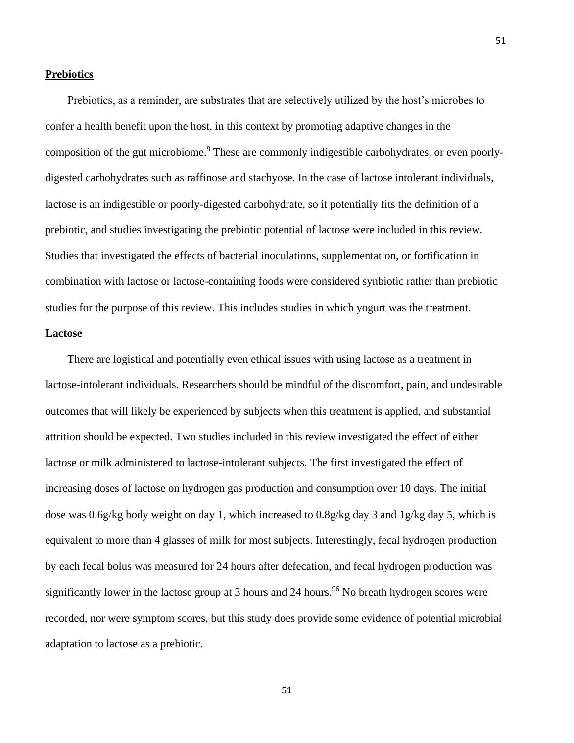### **Prebiotics**

Prebiotics, as a reminder, are substrates that are selectively utilized by the host's microbes to confer a health benefit upon the host, in this context by promoting adaptive changes in the composition of the gut microbiome. <sup>9</sup> These are commonly indigestible carbohydrates, or even poorlydigested carbohydrates such as raffinose and stachyose. In the case of lactose intolerant individuals, lactose is an indigestible or poorly-digested carbohydrate, so it potentially fits the definition of a prebiotic, and studies investigating the prebiotic potential of lactose were included in this review. Studies that investigated the effects of bacterial inoculations, supplementation, or fortification in combination with lactose or lactose-containing foods were considered synbiotic rather than prebiotic studies for the purpose of this review. This includes studies in which yogurt was the treatment. **Lactose** 

There are logistical and potentially even ethical issues with using lactose as a treatment in lactose-intolerant individuals. Researchers should be mindful of the discomfort, pain, and undesirable outcomes that will likely be experienced by subjects when this treatment is applied, and substantial attrition should be expected. Two studies included in this review investigated the effect of either lactose or milk administered to lactose-intolerant subjects. The first investigated the effect of increasing doses of lactose on hydrogen gas production and consumption over 10 days. The initial dose was 0.6g/kg body weight on day 1, which increased to 0.8g/kg day 3 and 1g/kg day 5, which is equivalent to more than 4 glasses of milk for most subjects. Interestingly, fecal hydrogen production by each fecal bolus was measured for 24 hours after defecation, and fecal hydrogen production was significantly lower in the lactose group at 3 hours and 24 hours.<sup>96</sup> No breath hydrogen scores were recorded, nor were symptom scores, but this study does provide some evidence of potential microbial adaptation to lactose as a prebiotic.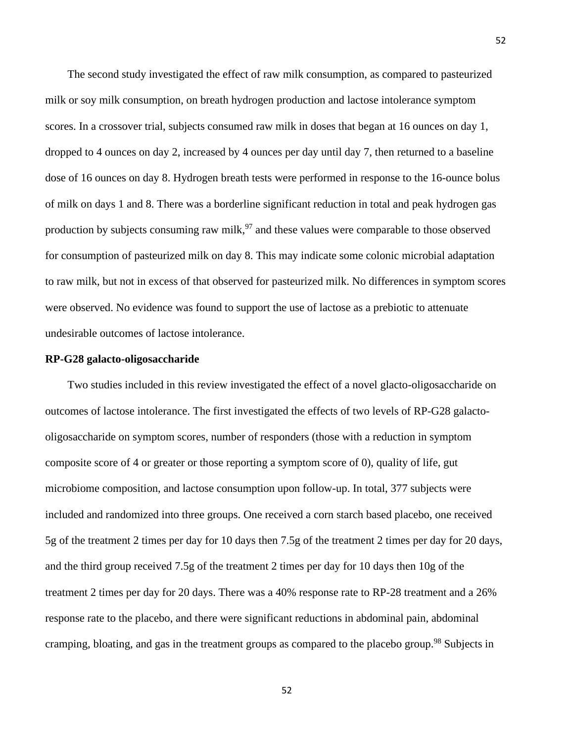The second study investigated the effect of raw milk consumption, as compared to pasteurized milk or soy milk consumption, on breath hydrogen production and lactose intolerance symptom scores. In a crossover trial, subjects consumed raw milk in doses that began at 16 ounces on day 1, dropped to 4 ounces on day 2, increased by 4 ounces per day until day 7, then returned to a baseline dose of 16 ounces on day 8. Hydrogen breath tests were performed in response to the 16-ounce bolus of milk on days 1 and 8. There was a borderline significant reduction in total and peak hydrogen gas production by subjects consuming raw milk,  $97$  and these values were comparable to those observed for consumption of pasteurized milk on day 8. This may indicate some colonic microbial adaptation to raw milk, but not in excess of that observed for pasteurized milk. No differences in symptom scores were observed. No evidence was found to support the use of lactose as a prebiotic to attenuate undesirable outcomes of lactose intolerance.

### **RP-G28 galacto-oligosaccharide**

Two studies included in this review investigated the effect of a novel glacto-oligosaccharide on outcomes of lactose intolerance. The first investigated the effects of two levels of RP-G28 galactooligosaccharide on symptom scores, number of responders (those with a reduction in symptom composite score of 4 or greater or those reporting a symptom score of 0), quality of life, gut microbiome composition, and lactose consumption upon follow-up. In total, 377 subjects were included and randomized into three groups. One received a corn starch based placebo, one received 5g of the treatment 2 times per day for 10 days then 7.5g of the treatment 2 times per day for 20 days, and the third group received 7.5g of the treatment 2 times per day for 10 days then 10g of the treatment 2 times per day for 20 days. There was a 40% response rate to RP-28 treatment and a 26% response rate to the placebo, and there were significant reductions in abdominal pain, abdominal cramping, bloating, and gas in the treatment groups as compared to the placebo group.<sup>98</sup> Subjects in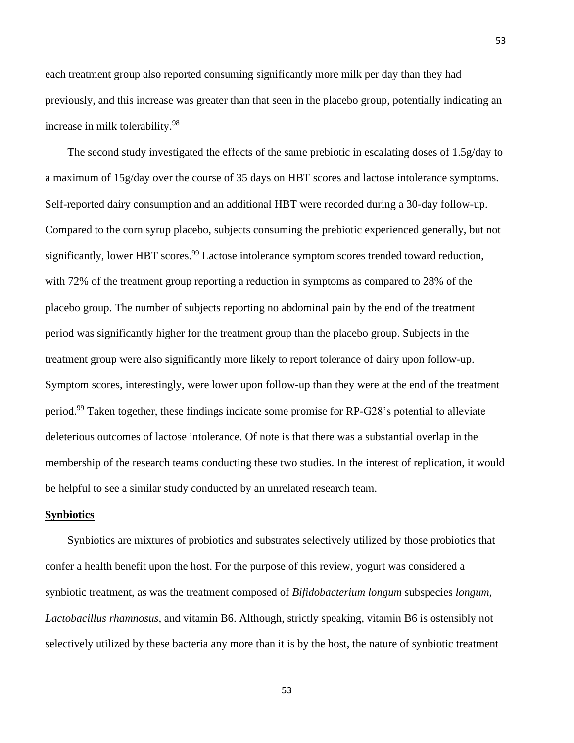each treatment group also reported consuming significantly more milk per day than they had previously, and this increase was greater than that seen in the placebo group, potentially indicating an increase in milk tolerability. 98

The second study investigated the effects of the same prebiotic in escalating doses of 1.5g/day to a maximum of 15g/day over the course of 35 days on HBT scores and lactose intolerance symptoms. Self-reported dairy consumption and an additional HBT were recorded during a 30-day follow-up. Compared to the corn syrup placebo, subjects consuming the prebiotic experienced generally, but not significantly, lower HBT scores.<sup>99</sup> Lactose intolerance symptom scores trended toward reduction, with 72% of the treatment group reporting a reduction in symptoms as compared to 28% of the placebo group. The number of subjects reporting no abdominal pain by the end of the treatment period was significantly higher for the treatment group than the placebo group. Subjects in the treatment group were also significantly more likely to report tolerance of dairy upon follow-up. Symptom scores, interestingly, were lower upon follow-up than they were at the end of the treatment period.<sup>99</sup> Taken together, these findings indicate some promise for RP-G28's potential to alleviate deleterious outcomes of lactose intolerance. Of note is that there was a substantial overlap in the membership of the research teams conducting these two studies. In the interest of replication, it would be helpful to see a similar study conducted by an unrelated research team.

#### **Synbiotics**

Synbiotics are mixtures of probiotics and substrates selectively utilized by those probiotics that confer a health benefit upon the host. For the purpose of this review, yogurt was considered a synbiotic treatment, as was the treatment composed of *Bifidobacterium longum* subspecies *longum*, *Lactobacillus rhamnosus*, and vitamin B6. Although, strictly speaking, vitamin B6 is ostensibly not selectively utilized by these bacteria any more than it is by the host, the nature of synbiotic treatment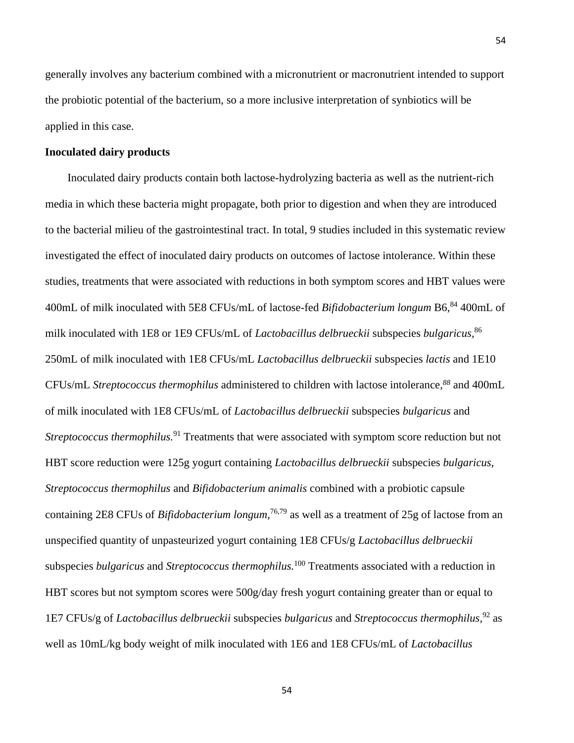generally involves any bacterium combined with a micronutrient or macronutrient intended to support the probiotic potential of the bacterium, so a more inclusive interpretation of synbiotics will be applied in this case.

## **Inoculated dairy products**

Inoculated dairy products contain both lactose-hydrolyzing bacteria as well as the nutrient-rich media in which these bacteria might propagate, both prior to digestion and when they are introduced to the bacterial milieu of the gastrointestinal tract. In total, 9 studies included in this systematic review investigated the effect of inoculated dairy products on outcomes of lactose intolerance. Within these studies, treatments that were associated with reductions in both symptom scores and HBT values were 400mL of milk inoculated with 5E8 CFUs/mL of lactose-fed *Bifidobacterium longum* B6, <sup>84</sup> 400mL of milk inoculated with 1E8 or 1E9 CFUs/mL of *Lactobacillus delbrueckii* subspecies *bulgaricus,* 86 250mL of milk inoculated with 1E8 CFUs/mL *Lactobacillus delbrueckii* subspecies *lactis* and 1E10 CFUs/mL *Streptococcus thermophilus* administered to children with lactose intolerance, *<sup>88</sup>* and 400mL of milk inoculated with 1E8 CFUs/mL of *Lactobacillus delbrueckii* subspecies *bulgaricus* and *Streptococcus thermophilus.* <sup>91</sup> Treatments that were associated with symptom score reduction but not HBT score reduction were 125g yogurt containing *Lactobacillus delbrueckii* subspecies *bulgaricus*, *Streptococcus thermophilus* and *Bifidobacterium animalis* combined with a probiotic capsule containing 2E8 CFUs of *Bifidobacterium longum,* 76,79 as well as a treatment of 25g of lactose from an unspecified quantity of unpasteurized yogurt containing 1E8 CFUs/g *Lactobacillus delbrueckii* subspecies *bulgaricus* and *Streptococcus thermophilus.* <sup>100</sup> Treatments associated with a reduction in HBT scores but not symptom scores were 500g/day fresh yogurt containing greater than or equal to 1E7 CFUs/g of *Lactobacillus delbrueckii* subspecies *bulgaricus* and *Streptococcus thermophilus,* <sup>92</sup> as well as 10mL/kg body weight of milk inoculated with 1E6 and 1E8 CFUs/mL of *Lactobacillus*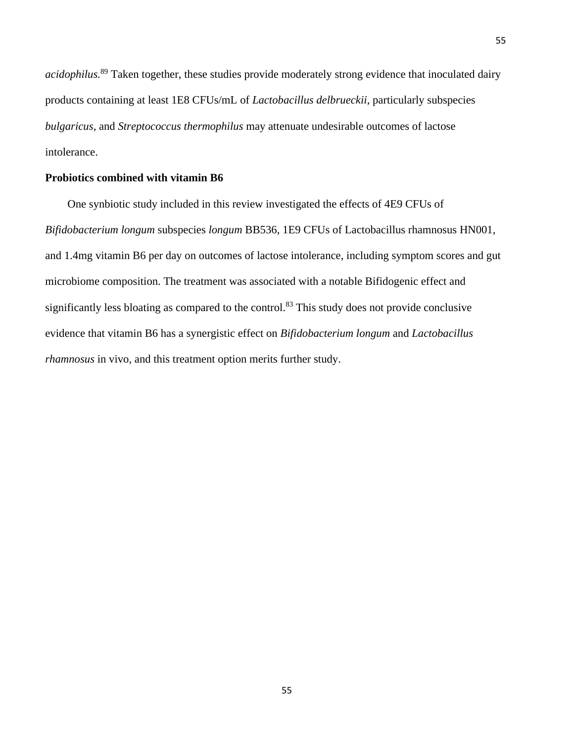*acidophilus.* <sup>89</sup> Taken together, these studies provide moderately strong evidence that inoculated dairy products containing at least 1E8 CFUs/mL of *Lactobacillus delbrueckii*, particularly subspecies *bulgaricus*, and *Streptococcus thermophilus* may attenuate undesirable outcomes of lactose intolerance.

### **Probiotics combined with vitamin B6**

One synbiotic study included in this review investigated the effects of 4E9 CFUs of *Bifidobacterium longum* subspecies *longum* BB536, 1E9 CFUs of Lactobacillus rhamnosus HN001, and 1.4mg vitamin B6 per day on outcomes of lactose intolerance, including symptom scores and gut microbiome composition. The treatment was associated with a notable Bifidogenic effect and significantly less bloating as compared to the control.<sup>83</sup> This study does not provide conclusive evidence that vitamin B6 has a synergistic effect on *Bifidobacterium longum* and *Lactobacillus rhamnosus* in vivo, and this treatment option merits further study.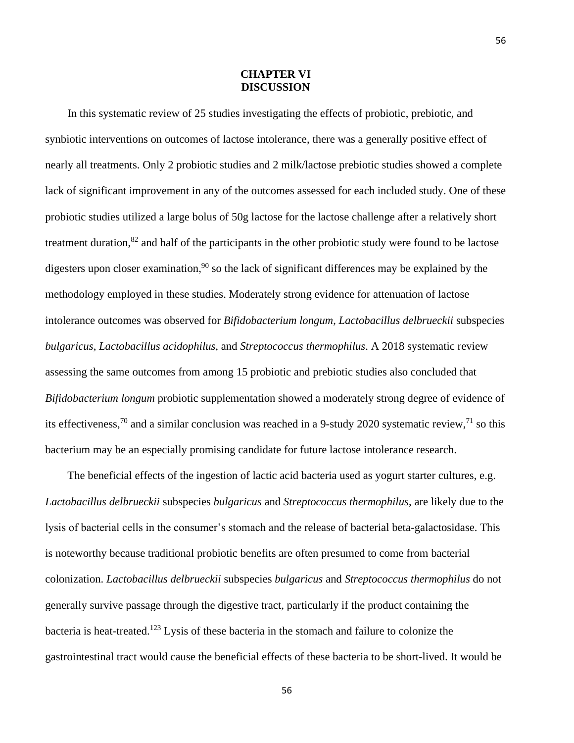## **CHAPTER VI DISCUSSION**

In this systematic review of 25 studies investigating the effects of probiotic, prebiotic, and synbiotic interventions on outcomes of lactose intolerance, there was a generally positive effect of nearly all treatments. Only 2 probiotic studies and 2 milk/lactose prebiotic studies showed a complete lack of significant improvement in any of the outcomes assessed for each included study. One of these probiotic studies utilized a large bolus of 50g lactose for the lactose challenge after a relatively short treatment duration,<sup>82</sup> and half of the participants in the other probiotic study were found to be lactose digesters upon closer examination,<sup>90</sup> so the lack of significant differences may be explained by the methodology employed in these studies. Moderately strong evidence for attenuation of lactose intolerance outcomes was observed for *Bifidobacterium longum*, *Lactobacillus delbrueckii* subspecies *bulgaricus*, *Lactobacillus acidophilus*, and *Streptococcus thermophilus*. A 2018 systematic review assessing the same outcomes from among 15 probiotic and prebiotic studies also concluded that *Bifidobacterium longum* probiotic supplementation showed a moderately strong degree of evidence of its effectiveness,<sup>70</sup> and a similar conclusion was reached in a 9-study 2020 systematic review,<sup>71</sup> so this bacterium may be an especially promising candidate for future lactose intolerance research.

The beneficial effects of the ingestion of lactic acid bacteria used as yogurt starter cultures, e.g. *Lactobacillus delbrueckii* subspecies *bulgaricus* and *Streptococcus thermophilus*, are likely due to the lysis of bacterial cells in the consumer's stomach and the release of bacterial beta-galactosidase. This is noteworthy because traditional probiotic benefits are often presumed to come from bacterial colonization. *Lactobacillus delbrueckii* subspecies *bulgaricus* and *Streptococcus thermophilus* do not generally survive passage through the digestive tract, particularly if the product containing the bacteria is heat-treated. <sup>123</sup> Lysis of these bacteria in the stomach and failure to colonize the gastrointestinal tract would cause the beneficial effects of these bacteria to be short-lived. It would be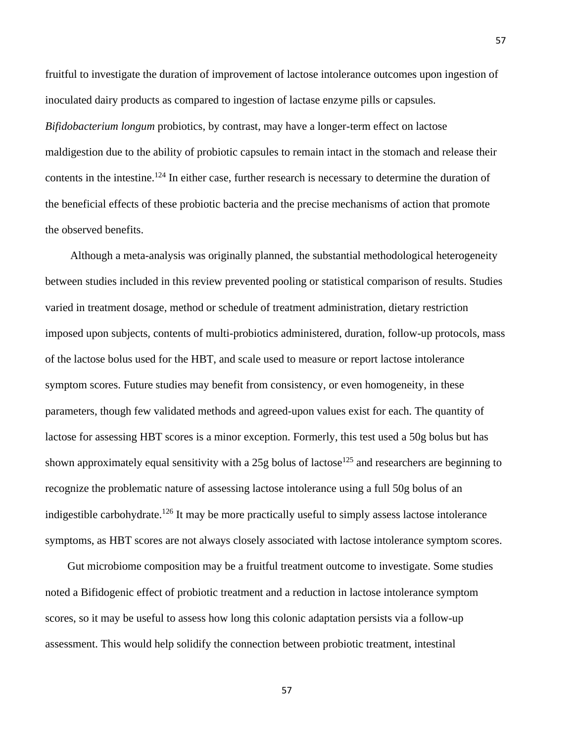fruitful to investigate the duration of improvement of lactose intolerance outcomes upon ingestion of inoculated dairy products as compared to ingestion of lactase enzyme pills or capsules. *Bifidobacterium longum* probiotics, by contrast, may have a longer-term effect on lactose maldigestion due to the ability of probiotic capsules to remain intact in the stomach and release their contents in the intestine.<sup>124</sup> In either case, further research is necessary to determine the duration of the beneficial effects of these probiotic bacteria and the precise mechanisms of action that promote the observed benefits.

Although a meta-analysis was originally planned, the substantial methodological heterogeneity between studies included in this review prevented pooling or statistical comparison of results. Studies varied in treatment dosage, method or schedule of treatment administration, dietary restriction imposed upon subjects, contents of multi-probiotics administered, duration, follow-up protocols, mass of the lactose bolus used for the HBT, and scale used to measure or report lactose intolerance symptom scores. Future studies may benefit from consistency, or even homogeneity, in these parameters, though few validated methods and agreed-upon values exist for each. The quantity of lactose for assessing HBT scores is a minor exception. Formerly, this test used a 50g bolus but has shown approximately equal sensitivity with a  $25g$  bolus of lactose<sup>125</sup> and researchers are beginning to recognize the problematic nature of assessing lactose intolerance using a full 50g bolus of an indigestible carbohydrate.<sup>126</sup> It may be more practically useful to simply assess lactose intolerance symptoms, as HBT scores are not always closely associated with lactose intolerance symptom scores.

Gut microbiome composition may be a fruitful treatment outcome to investigate. Some studies noted a Bifidogenic effect of probiotic treatment and a reduction in lactose intolerance symptom scores, so it may be useful to assess how long this colonic adaptation persists via a follow-up assessment. This would help solidify the connection between probiotic treatment, intestinal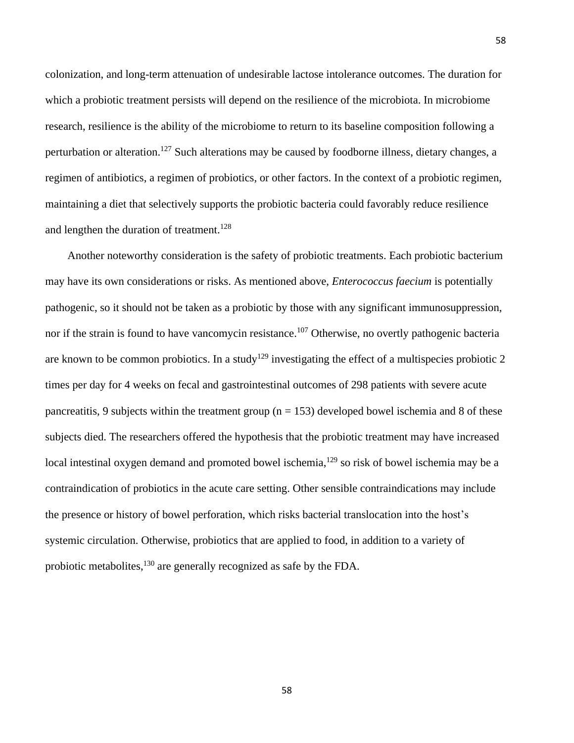colonization, and long-term attenuation of undesirable lactose intolerance outcomes. The duration for which a probiotic treatment persists will depend on the resilience of the microbiota. In microbiome research, resilience is the ability of the microbiome to return to its baseline composition following a perturbation or alteration.<sup>127</sup> Such alterations may be caused by foodborne illness, dietary changes, a regimen of antibiotics, a regimen of probiotics, or other factors. In the context of a probiotic regimen, maintaining a diet that selectively supports the probiotic bacteria could favorably reduce resilience and lengthen the duration of treatment.<sup>128</sup>

Another noteworthy consideration is the safety of probiotic treatments. Each probiotic bacterium may have its own considerations or risks. As mentioned above, *Enterococcus faecium* is potentially pathogenic, so it should not be taken as a probiotic by those with any significant immunosuppression, nor if the strain is found to have vancomycin resistance.<sup>107</sup> Otherwise, no overtly pathogenic bacteria are known to be common probiotics. In a study<sup>129</sup> investigating the effect of a multispecies probiotic 2 times per day for 4 weeks on fecal and gastrointestinal outcomes of 298 patients with severe acute pancreatitis, 9 subjects within the treatment group ( $n = 153$ ) developed bowel ischemia and 8 of these subjects died. The researchers offered the hypothesis that the probiotic treatment may have increased local intestinal oxygen demand and promoted bowel ischemia,<sup>129</sup> so risk of bowel ischemia may be a contraindication of probiotics in the acute care setting. Other sensible contraindications may include the presence or history of bowel perforation, which risks bacterial translocation into the host's systemic circulation. Otherwise, probiotics that are applied to food, in addition to a variety of probiotic metabolites,<sup>130</sup> are generally recognized as safe by the FDA.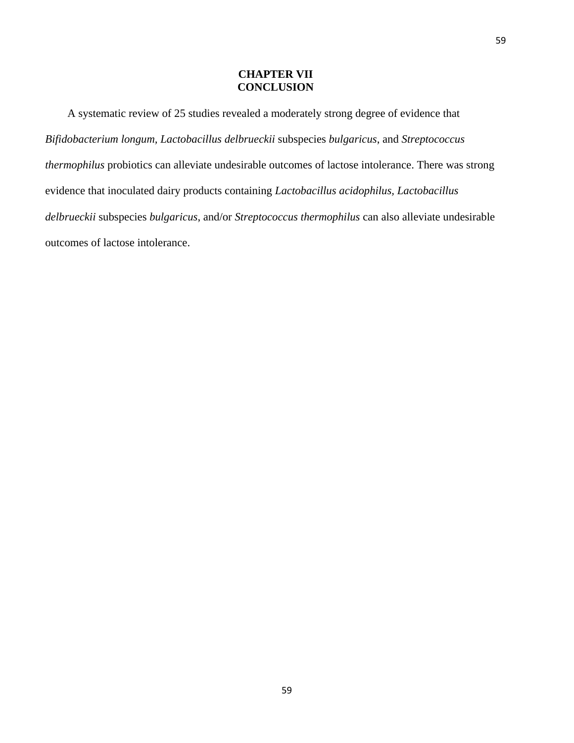## **CHAPTER VII CONCLUSION**

A systematic review of 25 studies revealed a moderately strong degree of evidence that *Bifidobacterium longum, Lactobacillus delbrueckii* subspecies *bulgaricus*, and *Streptococcus thermophilus* probiotics can alleviate undesirable outcomes of lactose intolerance. There was strong evidence that inoculated dairy products containing *Lactobacillus acidophilus, Lactobacillus delbrueckii* subspecies *bulgaricus*, and/or *Streptococcus thermophilus* can also alleviate undesirable outcomes of lactose intolerance.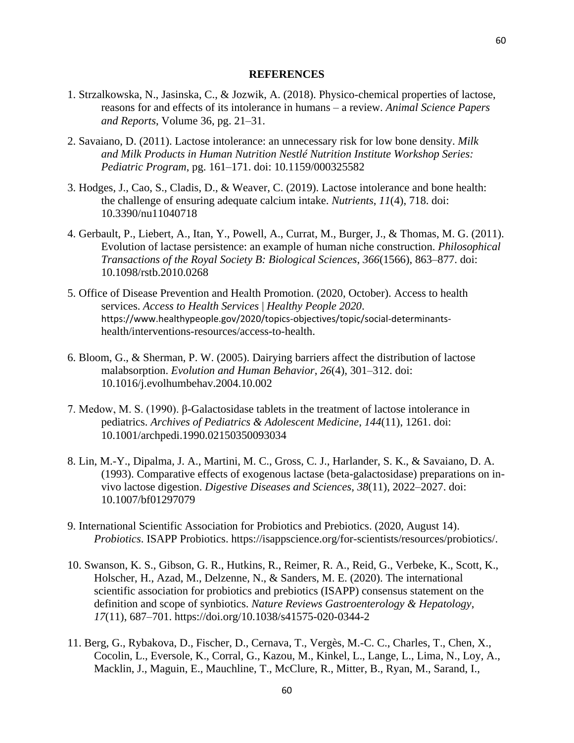#### **REFERENCES**

- 1. Strzalkowska, N., Jasinska, C., & Jozwik, A. (2018). Physico-chemical properties of lactose, reasons for and effects of its intolerance in humans – a review. *Animal Science Papers and Reports*, Volume 36, pg. 21–31.
- 2. Savaiano, D. (2011). Lactose intolerance: an unnecessary risk for low bone density. *Milk and Milk Products in Human Nutrition Nestlé Nutrition Institute Workshop Series: Pediatric Program*, pg. 161–171. doi: 10.1159/000325582
- 3. Hodges, J., Cao, S., Cladis, D., & Weaver, C. (2019). Lactose intolerance and bone health: the challenge of ensuring adequate calcium intake. *Nutrients*, *11*(4), 718. doi: 10.3390/nu11040718
- 4. Gerbault, P., Liebert, A., Itan, Y., Powell, A., Currat, M., Burger, J., & Thomas, M. G. (2011). Evolution of lactase persistence: an example of human niche construction. *Philosophical Transactions of the Royal Society B: Biological Sciences*, *366*(1566), 863–877. doi: 10.1098/rstb.2010.0268
- 5. Office of Disease Prevention and Health Promotion. (2020, October). Access to health services. *Access to Health Services* | *Healthy People 2020*. https://www.healthypeople.gov/2020/topics-objectives/topic/social-determinantshealth/interventions-resources/access-to-health.
- 6. Bloom, G., & Sherman, P. W. (2005). Dairying barriers affect the distribution of lactose malabsorption. *Evolution and Human Behavior*, *26*(4), 301–312. doi: 10.1016/j.evolhumbehav.2004.10.002
- 7. Medow, M. S. (1990). β-Galactosidase tablets in the treatment of lactose intolerance in pediatrics. *Archives of Pediatrics & Adolescent Medicine*, *144*(11), 1261. doi: 10.1001/archpedi.1990.02150350093034
- 8. Lin, M.-Y., Dipalma, J. A., Martini, M. C., Gross, C. J., Harlander, S. K., & Savaiano, D. A. (1993). Comparative effects of exogenous lactase (beta-galactosidase) preparations on invivo lactose digestion. *Digestive Diseases and Sciences*, *38*(11), 2022–2027. doi: 10.1007/bf01297079
- 9. International Scientific Association for Probiotics and Prebiotics. (2020, August 14). *Probiotics*. ISAPP Probiotics. https://isappscience.org/for-scientists/resources/probiotics/.
- 10. Swanson, K. S., Gibson, G. R., Hutkins, R., Reimer, R. A., Reid, G., Verbeke, K., Scott, K., Holscher, H., Azad, M., Delzenne, N., & Sanders, M. E. (2020). The international scientific association for probiotics and prebiotics (ISAPP) consensus statement on the definition and scope of synbiotics. *Nature Reviews Gastroenterology & Hepatology*, *17*(11), 687–701. https://doi.org/10.1038/s41575-020-0344-2
- 11. Berg, G., Rybakova, D., Fischer, D., Cernava, T., Vergès, M.-C. C., Charles, T., Chen, X., Cocolin, L., Eversole, K., Corral, G., Kazou, M., Kinkel, L., Lange, L., Lima, N., Loy, A., Macklin, J., Maguin, E., Mauchline, T., McClure, R., Mitter, B., Ryan, M., Sarand, I.,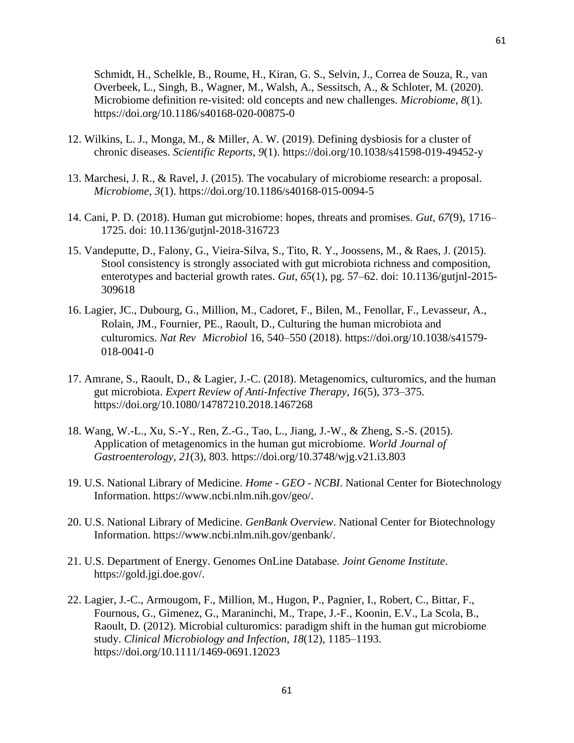Schmidt, H., Schelkle, B., Roume, H., Kiran, G. S., Selvin, J., Correa de Souza, R., van Overbeek, L., Singh, B., Wagner, M., Walsh, A., Sessitsch, A., & Schloter, M. (2020). Microbiome definition re-visited: old concepts and new challenges. *Microbiome*, *8*(1). https://doi.org/10.1186/s40168-020-00875-0

- 12. Wilkins, L. J., Monga, M., & Miller, A. W. (2019). Defining dysbiosis for a cluster of chronic diseases. *Scientific Reports*, *9*(1). https://doi.org/10.1038/s41598-019-49452-y
- 13. Marchesi, J. R., & Ravel, J. (2015). The vocabulary of microbiome research: a proposal. *Microbiome*, *3*(1). https://doi.org/10.1186/s40168-015-0094-5
- 14. Cani, P. D. (2018). Human gut microbiome: hopes, threats and promises. *Gut*, *67*(9), 1716– 1725. doi: 10.1136/gutjnl-2018-316723
- 15. Vandeputte, D., Falony, G., Vieira-Silva, S., Tito, R. Y., Joossens, M., & Raes, J. (2015). Stool consistency is strongly associated with gut microbiota richness and composition, enterotypes and bacterial growth rates. *Gut*, *65*(1), pg. 57–62. doi: 10.1136/gutjnl-2015- 309618
- 16. Lagier, JC., Dubourg, G., Million, M., Cadoret, F., Bilen, M., Fenollar, F., Levasseur, A., Rolain, JM., Fournier, PE., Raoult, D., Culturing the human microbiota and culturomics. *Nat Rev Microbiol* 16, 540–550 (2018). https://doi.org/10.1038/s41579- 018-0041-0
- 17. Amrane, S., Raoult, D., & Lagier, J.-C. (2018). Metagenomics, culturomics, and the human gut microbiota. *Expert Review of Anti-Infective Therapy*, *16*(5), 373–375. https://doi.org/10.1080/14787210.2018.1467268
- 18. Wang, W.-L., Xu, S.-Y., Ren, Z.-G., Tao, L., Jiang, J.-W., & Zheng, S.-S. (2015). Application of metagenomics in the human gut microbiome. *World Journal of Gastroenterology*, *21*(3), 803. https://doi.org/10.3748/wjg.v21.i3.803
- 19. U.S. National Library of Medicine. *Home - GEO - NCBI*. National Center for Biotechnology Information. https://www.ncbi.nlm.nih.gov/geo/.
- 20. U.S. National Library of Medicine. *GenBank Overview*. National Center for Biotechnology Information. https://www.ncbi.nlm.nih.gov/genbank/.
- 21. U.S. Department of Energy. Genomes OnLine Database*. Joint Genome Institute*. https://gold.jgi.doe.gov/.
- 22. Lagier, J.-C., Armougom, F., Million, M., Hugon, P., Pagnier, I., Robert, C., Bittar, F., Fournous, G., Gimenez, G., Maraninchi, M., Trape, J.-F., Koonin, E.V., La Scola, B., Raoult, D. (2012). Microbial culturomics: paradigm shift in the human gut microbiome study. *Clinical Microbiology and Infection*, *18*(12), 1185–1193. https://doi.org/10.1111/1469-0691.12023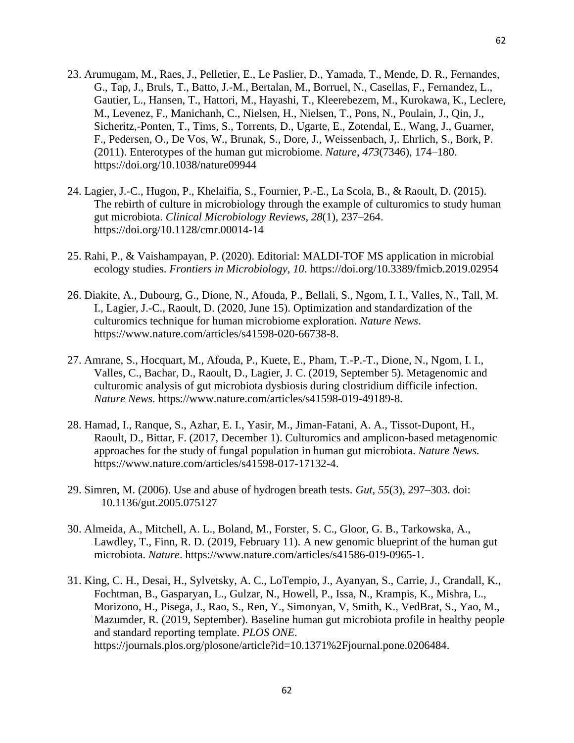- 23. Arumugam, M., Raes, J., Pelletier, E., Le Paslier, D., Yamada, T., Mende, D. R., Fernandes, G., Tap, J., Bruls, T., Batto, J.-M., Bertalan, M., Borruel, N., Casellas, F., Fernandez, L., Gautier, L., Hansen, T., Hattori, M., Hayashi, T., Kleerebezem, M., Kurokawa, K., Leclere, M., Levenez, F., Manichanh, C., Nielsen, H., Nielsen, T., Pons, N., Poulain, J., Qin, J., Sicheritz,-Ponten, T., Tims, S., Torrents, D., Ugarte, E., Zotendal, E., Wang, J., Guarner, F., Pedersen, O., De Vos, W., Brunak, S., Dore, J., Weissenbach, J,. Ehrlich, S., Bork, P. (2011). Enterotypes of the human gut microbiome. *Nature*, *473*(7346), 174–180. https://doi.org/10.1038/nature09944
- 24. Lagier, J.-C., Hugon, P., Khelaifia, S., Fournier, P.-E., La Scola, B., & Raoult, D. (2015). The rebirth of culture in microbiology through the example of culturomics to study human gut microbiota. *Clinical Microbiology Reviews*, *28*(1), 237–264. https://doi.org/10.1128/cmr.00014-14
- 25. Rahi, P., & Vaishampayan, P. (2020). Editorial: MALDI-TOF MS application in microbial ecology studies. *Frontiers in Microbiology*, *10*. https://doi.org/10.3389/fmicb.2019.02954
- 26. Diakite, A., Dubourg, G., Dione, N., Afouda, P., Bellali, S., Ngom, I. I., Valles, N., Tall, M. I., Lagier, J.-C., Raoult, D. (2020, June 15). Optimization and standardization of the culturomics technique for human microbiome exploration. *Nature News*. https://www.nature.com/articles/s41598-020-66738-8.
- 27. Amrane, S., Hocquart, M., Afouda, P., Kuete, E., Pham, T.-P.-T., Dione, N., Ngom, I. I., Valles, C., Bachar, D., Raoult, D., Lagier, J. C. (2019, September 5). Metagenomic and culturomic analysis of gut microbiota dysbiosis during clostridium difficile infection. *Nature News*. https://www.nature.com/articles/s41598-019-49189-8.
- 28. Hamad, I., Ranque, S., Azhar, E. I., Yasir, M., Jiman-Fatani, A. A., Tissot-Dupont, H., Raoult, D., Bittar, F. (2017, December 1). Culturomics and amplicon-based metagenomic approaches for the study of fungal population in human gut microbiota. *Nature News.* https://www.nature.com/articles/s41598-017-17132-4.
- 29. Simren, M. (2006). Use and abuse of hydrogen breath tests. *Gut*, *55*(3), 297–303. doi: 10.1136/gut.2005.075127
- 30. Almeida, A., Mitchell, A. L., Boland, M., Forster, S. C., Gloor, G. B., Tarkowska, A., Lawdley, T., Finn, R. D. (2019, February 11). A new genomic blueprint of the human gut microbiota. *Nature*. https://www.nature.com/articles/s41586-019-0965-1.
- 31. King, C. H., Desai, H., Sylvetsky, A. C., LoTempio, J., Ayanyan, S., Carrie, J., Crandall, K., Fochtman, B., Gasparyan, L., Gulzar, N., Howell, P., Issa, N., Krampis, K., Mishra, L., Morizono, H., Pisega, J., Rao, S., Ren, Y., Simonyan, V, Smith, K., VedBrat, S., Yao, M., Mazumder, R. (2019, September). Baseline human gut microbiota profile in healthy people and standard reporting template. *PLOS ONE*. https://journals.plos.org/plosone/article?id=10.1371%2Fjournal.pone.0206484.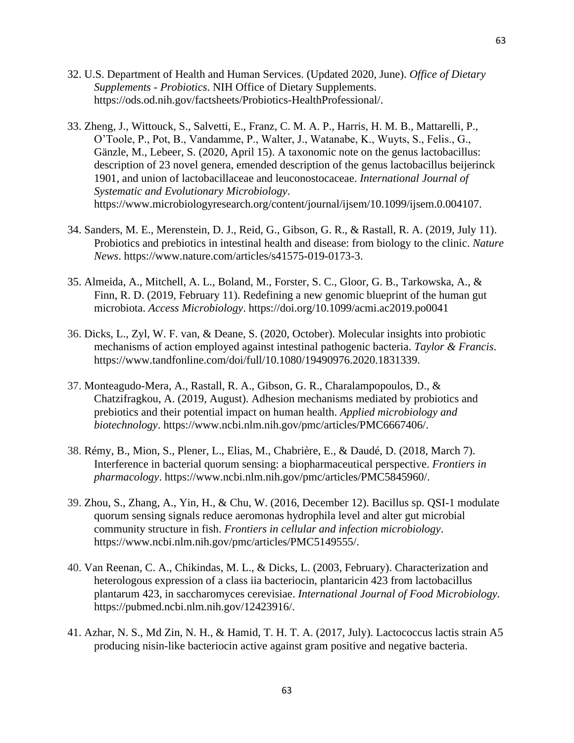- 32. U.S. Department of Health and Human Services. (Updated 2020, June). *Office of Dietary Supplements - Probiotics*. NIH Office of Dietary Supplements. https://ods.od.nih.gov/factsheets/Probiotics-HealthProfessional/.
- 33. Zheng, J., Wittouck, S., Salvetti, E., Franz, C. M. A. P., Harris, H. M. B., Mattarelli, P., O'Toole, P., Pot, B., Vandamme, P., Walter, J., Watanabe, K., Wuyts, S., Felis., G., Gänzle, M., Lebeer, S. (2020, April 15). A taxonomic note on the genus lactobacillus: description of 23 novel genera, emended description of the genus lactobacillus beijerinck 1901, and union of lactobacillaceae and leuconostocaceae. *International Journal of Systematic and Evolutionary Microbiology*. https://www.microbiologyresearch.org/content/journal/ijsem/10.1099/ijsem.0.004107.
- 34. Sanders, M. E., Merenstein, D. J., Reid, G., Gibson, G. R., & Rastall, R. A. (2019, July 11). Probiotics and prebiotics in intestinal health and disease: from biology to the clinic. *Nature News*. https://www.nature.com/articles/s41575-019-0173-3.
- 35. Almeida, A., Mitchell, A. L., Boland, M., Forster, S. C., Gloor, G. B., Tarkowska, A., & Finn, R. D. (2019, February 11). Redefining a new genomic blueprint of the human gut microbiota. *Access Microbiology*. https://doi.org/10.1099/acmi.ac2019.po0041
- 36. Dicks, L., Zyl, W. F. van, & Deane, S. (2020, October). Molecular insights into probiotic mechanisms of action employed against intestinal pathogenic bacteria. *Taylor & Francis*. https://www.tandfonline.com/doi/full/10.1080/19490976.2020.1831339.
- 37. Monteagudo-Mera, A., Rastall, R. A., Gibson, G. R., Charalampopoulos, D., & Chatzifragkou, A. (2019, August). Adhesion mechanisms mediated by probiotics and prebiotics and their potential impact on human health. *Applied microbiology and biotechnology*. https://www.ncbi.nlm.nih.gov/pmc/articles/PMC6667406/.
- 38. Rémy, B., Mion, S., Plener, L., Elias, M., Chabrière, E., & Daudé, D. (2018, March 7). Interference in bacterial quorum sensing: a biopharmaceutical perspective. *Frontiers in pharmacology*. https://www.ncbi.nlm.nih.gov/pmc/articles/PMC5845960/.
- 39. Zhou, S., Zhang, A., Yin, H., & Chu, W. (2016, December 12). Bacillus sp. QSI-1 modulate quorum sensing signals reduce aeromonas hydrophila level and alter gut microbial community structure in fish. *Frontiers in cellular and infection microbiology*. https://www.ncbi.nlm.nih.gov/pmc/articles/PMC5149555/.
- 40. Van Reenan, C. A., Chikindas, M. L., & Dicks, L. (2003, February). Characterization and heterologous expression of a class iia bacteriocin, plantaricin 423 from lactobacillus plantarum 423, in saccharomyces cerevisiae. *International Journal of Food Microbiology.* https://pubmed.ncbi.nlm.nih.gov/12423916/.
- 41. Azhar, N. S., Md Zin, N. H., & Hamid, T. H. T. A. (2017, July). Lactococcus lactis strain A5 producing nisin-like bacteriocin active against gram positive and negative bacteria.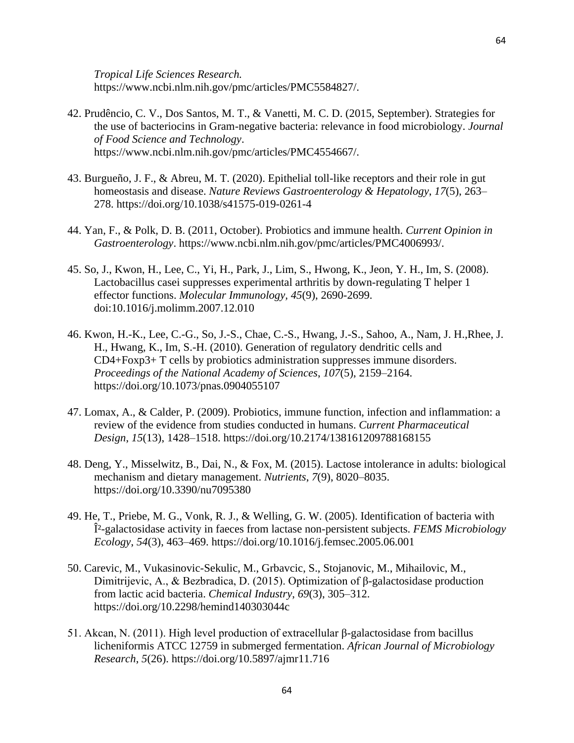*Tropical Life Sciences Research.* https://www.ncbi.nlm.nih.gov/pmc/articles/PMC5584827/.

- 42. Prudêncio, C. V., Dos Santos, M. T., & Vanetti, M. C. D. (2015, September). Strategies for the use of bacteriocins in Gram-negative bacteria: relevance in food microbiology. *Journal of Food Science and Technology*. https://www.ncbi.nlm.nih.gov/pmc/articles/PMC4554667/.
- 43. Burgueño, J. F., & Abreu, M. T. (2020). Epithelial toll-like receptors and their role in gut homeostasis and disease. *Nature Reviews Gastroenterology & Hepatology*, *17*(5), 263– 278. https://doi.org/10.1038/s41575-019-0261-4
- 44. Yan, F., & Polk, D. B. (2011, October). Probiotics and immune health. *Current Opinion in Gastroenterology*. https://www.ncbi.nlm.nih.gov/pmc/articles/PMC4006993/.
- 45. So, J., Kwon, H., Lee, C., Yi, H., Park, J., Lim, S., Hwong, K., Jeon, Y. H., Im, S. (2008). Lactobacillus casei suppresses experimental arthritis by down-regulating T helper 1 effector functions. *Molecular Immunology, 45*(9), 2690-2699. doi:10.1016/j.molimm.2007.12.010
- 46. Kwon, H.-K., Lee, C.-G., So, J.-S., Chae, C.-S., Hwang, J.-S., Sahoo, A., Nam, J. H.,Rhee, J. H., Hwang, K., Im, S.-H. (2010). Generation of regulatory dendritic cells and CD4+Foxp3+ T cells by probiotics administration suppresses immune disorders. *Proceedings of the National Academy of Sciences*, *107*(5), 2159–2164. https://doi.org/10.1073/pnas.0904055107
- 47. Lomax, A., & Calder, P. (2009). Probiotics, immune function, infection and inflammation: a review of the evidence from studies conducted in humans. *Current Pharmaceutical Design*, *15*(13), 1428–1518. https://doi.org/10.2174/138161209788168155
- 48. Deng, Y., Misselwitz, B., Dai, N., & Fox, M. (2015). Lactose intolerance in adults: biological mechanism and dietary management. *Nutrients*, *7*(9), 8020–8035. https://doi.org/10.3390/nu7095380
- 49. He, T., Priebe, M. G., Vonk, R. J., & Welling, G. W. (2005). Identification of bacteria with β-galactosidase activity in faeces from lactase non-persistent subjects. *FEMS Microbiology Ecology*, *54*(3), 463–469. https://doi.org/10.1016/j.femsec.2005.06.001
- 50. Carevic, M., Vukasinovic-Sekulic, M., Grbavcic, S., Stojanovic, M., Mihailovic, M., Dimitrijevic, A., & Bezbradica, D. (2015). Optimization of β-galactosidase production from lactic acid bacteria. *Chemical Industry*, *69*(3), 305–312. https://doi.org/10.2298/hemind140303044c
- 51. Akcan, N. (2011). High level production of extracellular β-galactosidase from bacillus licheniformis ATCC 12759 in submerged fermentation. *African Journal of Microbiology Research*, *5*(26). https://doi.org/10.5897/ajmr11.716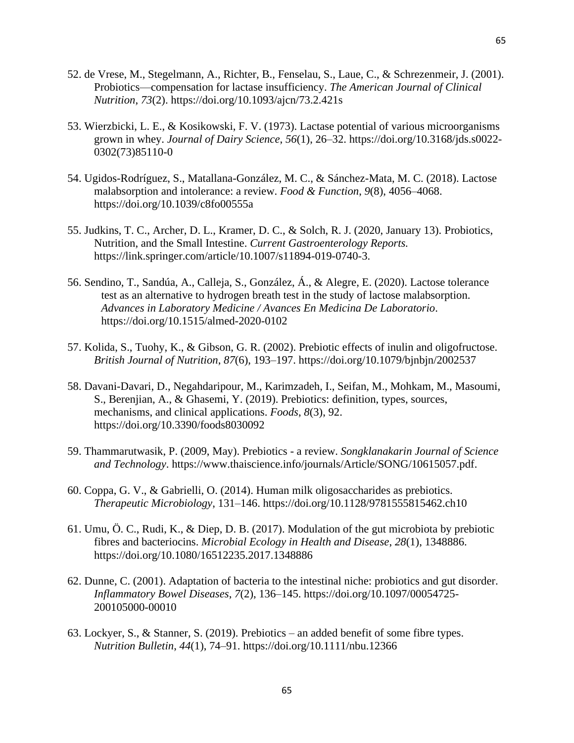- 52. de Vrese, M., Stegelmann, A., Richter, B., Fenselau, S., Laue, C., & Schrezenmeir, J. (2001). Probiotics—compensation for lactase insufficiency. *The American Journal of Clinical Nutrition*, *73*(2). https://doi.org/10.1093/ajcn/73.2.421s
- 53. Wierzbicki, L. E., & Kosikowski, F. V. (1973). Lactase potential of various microorganisms grown in whey. *Journal of Dairy Science*, *56*(1), 26–32. https://doi.org/10.3168/jds.s0022- 0302(73)85110-0
- 54. Ugidos-Rodríguez, S., Matallana-González, M. C., & Sánchez-Mata, M. C. (2018). Lactose malabsorption and intolerance: a review. *Food & Function*, *9*(8), 4056–4068. https://doi.org/10.1039/c8fo00555a
- 55. Judkins, T. C., Archer, D. L., Kramer, D. C., & Solch, R. J. (2020, January 13). Probiotics, Nutrition, and the Small Intestine. *Current Gastroenterology Reports.* https://link.springer.com/article/10.1007/s11894-019-0740-3.
- 56. Sendino, T., Sandúa, A., Calleja, S., González, Á., & Alegre, E. (2020). Lactose tolerance test as an alternative to hydrogen breath test in the study of lactose malabsorption. *Advances in Laboratory Medicine / Avances En Medicina De Laboratorio*. https://doi.org/10.1515/almed-2020-0102
- 57. Kolida, S., Tuohy, K., & Gibson, G. R. (2002). Prebiotic effects of inulin and oligofructose. *British Journal of Nutrition*, *87*(6), 193–197. https://doi.org/10.1079/bjnbjn/2002537
- 58. Davani-Davari, D., Negahdaripour, M., Karimzadeh, I., Seifan, M., Mohkam, M., Masoumi, S., Berenjian, A., & Ghasemi, Y. (2019). Prebiotics: definition, types, sources, mechanisms, and clinical applications. *Foods*, *8*(3), 92. https://doi.org/10.3390/foods8030092
- 59. Thammarutwasik, P. (2009, May). Prebiotics a review. *Songklanakarin Journal of Science and Technology*. https://www.thaiscience.info/journals/Article/SONG/10615057.pdf.
- 60. Coppa, G. V., & Gabrielli, O. (2014). Human milk oligosaccharides as prebiotics. *Therapeutic Microbiology*, 131–146. https://doi.org/10.1128/9781555815462.ch10
- 61. Umu, Ö. C., Rudi, K., & Diep, D. B. (2017). Modulation of the gut microbiota by prebiotic fibres and bacteriocins. *Microbial Ecology in Health and Disease*, *28*(1), 1348886. https://doi.org/10.1080/16512235.2017.1348886
- 62. Dunne, C. (2001). Adaptation of bacteria to the intestinal niche: probiotics and gut disorder. *Inflammatory Bowel Diseases*, *7*(2), 136–145. https://doi.org/10.1097/00054725- 200105000-00010
- 63. Lockyer, S., & Stanner, S. (2019). Prebiotics an added benefit of some fibre types. *Nutrition Bulletin*, *44*(1), 74–91. https://doi.org/10.1111/nbu.12366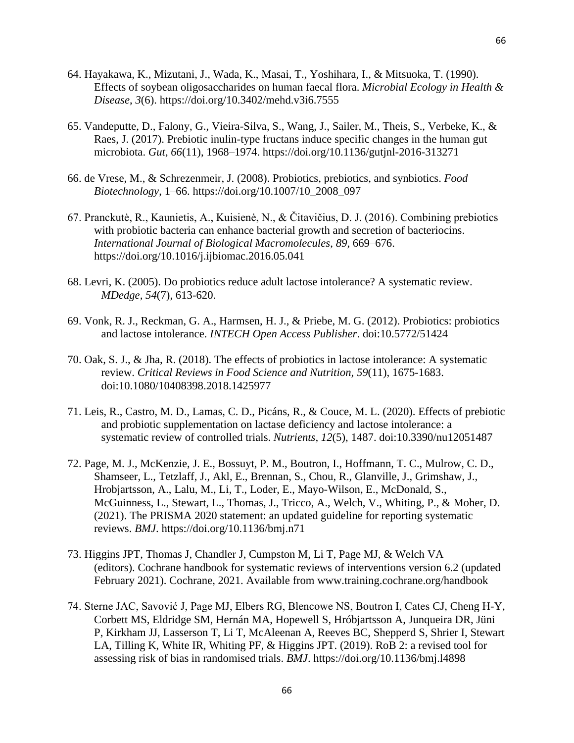- 64. Hayakawa, K., Mizutani, J., Wada, K., Masai, T., Yoshihara, I., & Mitsuoka, T. (1990). Effects of soybean oligosaccharides on human faecal flora. *Microbial Ecology in Health & Disease*, *3*(6). https://doi.org/10.3402/mehd.v3i6.7555
- 65. Vandeputte, D., Falony, G., Vieira-Silva, S., Wang, J., Sailer, M., Theis, S., Verbeke, K., & Raes, J. (2017). Prebiotic inulin-type fructans induce specific changes in the human gut microbiota. *Gut*, *66*(11), 1968–1974. https://doi.org/10.1136/gutjnl-2016-313271
- 66. de Vrese, M., & Schrezenmeir, J. (2008). Probiotics, prebiotics, and synbiotics. *Food Biotechnology*, 1–66. https://doi.org/10.1007/10\_2008\_097
- 67. Pranckutė, R., Kaunietis, A., Kuisienė, N., & Čitavičius, D. J. (2016). Combining prebiotics with probiotic bacteria can enhance bacterial growth and secretion of bacteriocins. *International Journal of Biological Macromolecules*, *89*, 669–676. https://doi.org/10.1016/j.ijbiomac.2016.05.041
- 68. Levri, K. (2005). Do probiotics reduce adult lactose intolerance? A systematic review. *MDedge, 54*(7), 613-620.
- 69. Vonk, R. J., Reckman, G. A., Harmsen, H. J., & Priebe, M. G. (2012). Probiotics: probiotics and lactose intolerance. *INTECH Open Access Publisher*. doi:10.5772/51424
- 70. Oak, S. J., & Jha, R. (2018). The effects of probiotics in lactose intolerance: A systematic review. *Critical Reviews in Food Science and Nutrition, 59*(11), 1675-1683. doi:10.1080/10408398.2018.1425977
- 71. Leis, R., Castro, M. D., Lamas, C. D., Picáns, R., & Couce, M. L. (2020). Effects of prebiotic and probiotic supplementation on lactase deficiency and lactose intolerance: a systematic review of controlled trials. *Nutrients, 12*(5), 1487. doi:10.3390/nu12051487
- 72. Page, M. J., McKenzie, J. E., Bossuyt, P. M., Boutron, I., Hoffmann, T. C., Mulrow, C. D., Shamseer, L., Tetzlaff, J., Akl, E., Brennan, S., Chou, R., Glanville, J., Grimshaw, J., Hrobjartsson, A., Lalu, M., Li, T., Loder, E., Mayo-Wilson, E., McDonald, S., McGuinness, L., Stewart, L., Thomas, J., Tricco, A., Welch, V., Whiting, P., & Moher, D. (2021). The PRISMA 2020 statement: an updated guideline for reporting systematic reviews. *BMJ*. https://doi.org/10.1136/bmj.n71
- 73. Higgins JPT, Thomas J, Chandler J, Cumpston M, Li T, Page MJ, & Welch VA (editors). Cochrane handbook for systematic reviews of interventions version 6.2 (updated February 2021). Cochrane, 2021. Available from www.training.cochrane.org/handbook
- 74. Sterne JAC, Savović J, Page MJ, Elbers RG, Blencowe NS, Boutron I, Cates CJ, Cheng H-Y, Corbett MS, Eldridge SM, Hernán MA, Hopewell S, Hróbjartsson A, Junqueira DR, Jüni P, Kirkham JJ, Lasserson T, Li T, McAleenan A, Reeves BC, Shepperd S, Shrier I, Stewart LA, Tilling K, White IR, Whiting PF, & Higgins JPT. (2019). RoB 2: a revised tool for assessing risk of bias in randomised trials. *BMJ*. https://doi.org/10.1136/bmj.l4898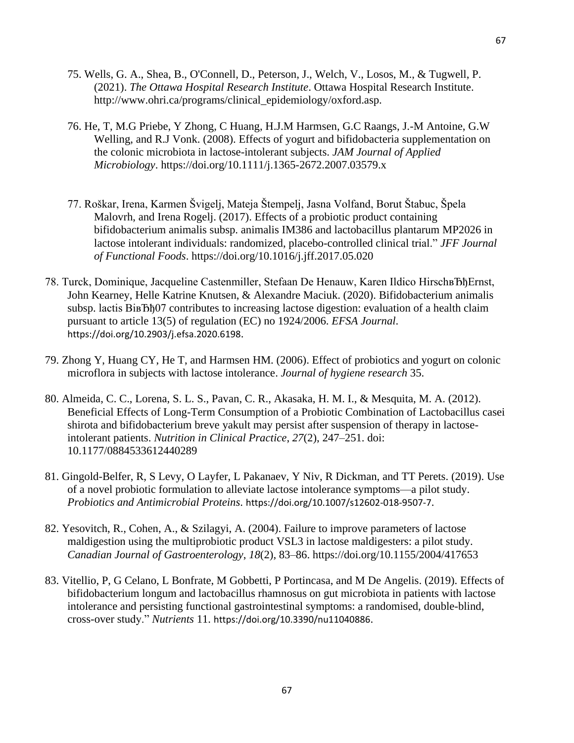- 75. Wells, G. A., Shea, B., O'Connell, D., Peterson, J., Welch, V., Losos, M., & Tugwell, P. (2021). *The Ottawa Hospital Research Institute*. Ottawa Hospital Research Institute. http://www.ohri.ca/programs/clinical\_epidemiology/oxford.asp.
- 76. He, T, M.G Priebe, Y Zhong, C Huang, H.J.M Harmsen, G.C Raangs, J.-M Antoine, G.W Welling, and R.J Vonk. (2008). Effects of yogurt and bifidobacteria supplementation on the colonic microbiota in lactose-intolerant subjects. *JAM Journal of Applied Microbiology*. https://doi.org/10.1111/j.1365-2672.2007.03579.x
- 77. Roškar, Irena, Karmen Švigelj, Mateja Štempelj, Jasna Volfand, Borut Štabuc, Špela Malovrh, and Irena Rogelj. (2017). Effects of a probiotic product containing bifidobacterium animalis subsp. animalis IM386 and lactobacillus plantarum MP2026 in lactose intolerant individuals: randomized, placebo-controlled clinical trial." *JFF Journal of Functional Foods*. https://doi.org/10.1016/j.jff.2017.05.020
- 78. Turck, Dominique, Jacqueline Castenmiller, Stefaan De Henauw, Karen Ildico HirschBfbErnst, John Kearney, Helle Katrine Knutsen, & Alexandre Maciuk. (2020). Bifidobacterium animalis subsp. lactis BiBbb<sub>107</sub> contributes to increasing lactose digestion: evaluation of a health claim pursuant to article 13(5) of regulation (EC) no 1924/2006. *EFSA Journal*. https://doi.org/10.2903/j.efsa.2020.6198.
- 79. Zhong Y, Huang CY, He T, and Harmsen HM. (2006). Effect of probiotics and yogurt on colonic microflora in subjects with lactose intolerance. *Journal of hygiene research* 35.
- 80. Almeida, C. C., Lorena, S. L. S., Pavan, C. R., Akasaka, H. M. I., & Mesquita, M. A. (2012). Beneficial Effects of Long-Term Consumption of a Probiotic Combination of Lactobacillus casei shirota and bifidobacterium breve yakult may persist after suspension of therapy in lactoseintolerant patients. *Nutrition in Clinical Practice*, *27*(2), 247–251. doi: 10.1177/0884533612440289
- 81. Gingold-Belfer, R, S Levy, O Layfer, L Pakanaev, Y Niv, R Dickman, and TT Perets. (2019). Use of a novel probiotic formulation to alleviate lactose intolerance symptoms—a pilot study. *Probiotics and Antimicrobial Proteins*. https://doi.org/10.1007/s12602-018-9507-7.
- 82. Yesovitch, R., Cohen, A., & Szilagyi, A. (2004). Failure to improve parameters of lactose maldigestion using the multiprobiotic product VSL3 in lactose maldigesters: a pilot study. *Canadian Journal of Gastroenterology*, *18*(2), 83–86. https://doi.org/10.1155/2004/417653
- 83. Vitellio, P, G Celano, L Bonfrate, M Gobbetti, P Portincasa, and M De Angelis. (2019). Effects of bifidobacterium longum and lactobacillus rhamnosus on gut microbiota in patients with lactose intolerance and persisting functional gastrointestinal symptoms: a randomised, double-blind, cross-over study." *Nutrients* 11. https://doi.org/10.3390/nu11040886.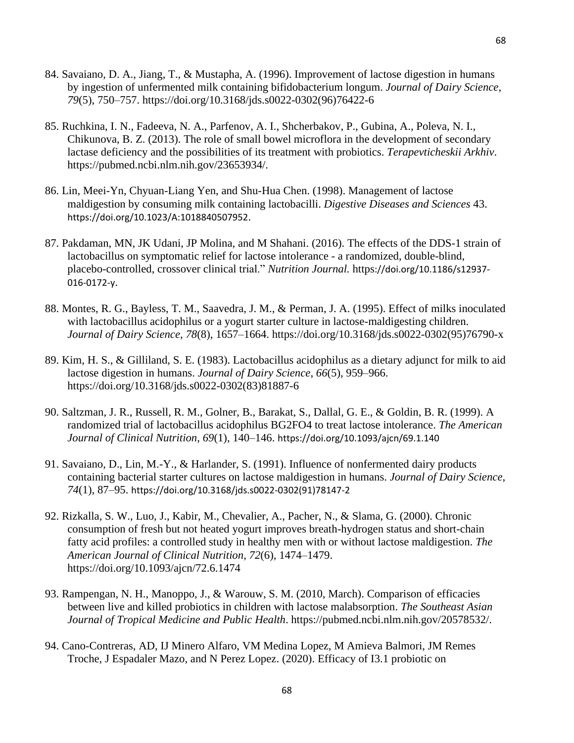- 84. Savaiano, D. A., Jiang, T., & Mustapha, A. (1996). Improvement of lactose digestion in humans by ingestion of unfermented milk containing bifidobacterium longum. *Journal of Dairy Science*, *79*(5), 750–757. https://doi.org/10.3168/jds.s0022-0302(96)76422-6
- 85. Ruchkina, I. N., Fadeeva, N. A., Parfenov, A. I., Shcherbakov, P., Gubina, A., Poleva, N. I., Chikunova, B. Z. (2013). The role of small bowel microflora in the development of secondary lactase deficiency and the possibilities of its treatment with probiotics. *Terapevticheskii Arkhiv*. https://pubmed.ncbi.nlm.nih.gov/23653934/.
- 86. Lin, Meei-Yn, Chyuan-Liang Yen, and Shu-Hua Chen. (1998). Management of lactose maldigestion by consuming milk containing lactobacilli. *Digestive Diseases and Sciences* 43. https://doi.org/10.1023/A:1018840507952.
- 87. Pakdaman, MN, JK Udani, JP Molina, and M Shahani. (2016). The effects of the DDS-1 strain of lactobacillus on symptomatic relief for lactose intolerance - a randomized, double-blind, placebo-controlled, crossover clinical trial." *Nutrition Journal.* https://doi.org/10.1186/s12937- 016-0172-y.
- 88. Montes, R. G., Bayless, T. M., Saavedra, J. M., & Perman, J. A. (1995). Effect of milks inoculated with lactobacillus acidophilus or a yogurt starter culture in lactose-maldigesting children. *Journal of Dairy Science*, *78*(8), 1657–1664. https://doi.org/10.3168/jds.s0022-0302(95)76790-x
- 89. Kim, H. S., & Gilliland, S. E. (1983). Lactobacillus acidophilus as a dietary adjunct for milk to aid lactose digestion in humans. *Journal of Dairy Science*, *66*(5), 959–966. https://doi.org/10.3168/jds.s0022-0302(83)81887-6
- 90. Saltzman, J. R., Russell, R. M., Golner, B., Barakat, S., Dallal, G. E., & Goldin, B. R. (1999). A randomized trial of lactobacillus acidophilus BG2FO4 to treat lactose intolerance. *The American Journal of Clinical Nutrition*, *69*(1), 140–146. https://doi.org/10.1093/ajcn/69.1.140
- 91. Savaiano, D., Lin, M.-Y., & Harlander, S. (1991). Influence of nonfermented dairy products containing bacterial starter cultures on lactose maldigestion in humans. *Journal of Dairy Science*, *74*(1), 87–95. https://doi.org/10.3168/jds.s0022-0302(91)78147-2
- 92. Rizkalla, S. W., Luo, J., Kabir, M., Chevalier, A., Pacher, N., & Slama, G. (2000). Chronic consumption of fresh but not heated yogurt improves breath-hydrogen status and short-chain fatty acid profiles: a controlled study in healthy men with or without lactose maldigestion. *The American Journal of Clinical Nutrition*, *72*(6), 1474–1479. https://doi.org/10.1093/ajcn/72.6.1474
- 93. Rampengan, N. H., Manoppo, J., & Warouw, S. M. (2010, March). Comparison of efficacies between live and killed probiotics in children with lactose malabsorption. *The Southeast Asian Journal of Tropical Medicine and Public Health*. https://pubmed.ncbi.nlm.nih.gov/20578532/.
- 94. Cano-Contreras, AD, IJ Minero Alfaro, VM Medina Lopez, M Amieva Balmori, JM Remes Troche, J Espadaler Mazo, and N Perez Lopez. (2020). Efficacy of I3.1 probiotic on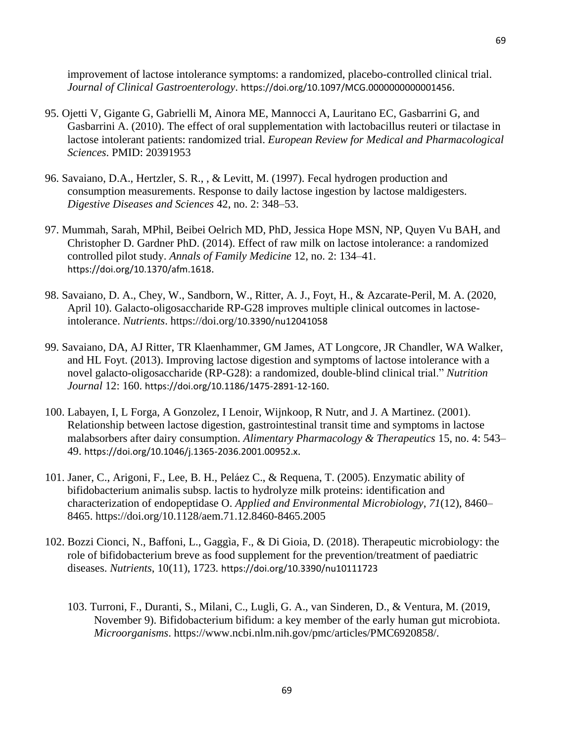improvement of lactose intolerance symptoms: a randomized, placebo-controlled clinical trial. *Journal of Clinical Gastroenterology*. https://doi.org/10.1097/MCG.0000000000001456.

- 95. Ojetti V, Gigante G, Gabrielli M, Ainora ME, Mannocci A, Lauritano EC, Gasbarrini G, and Gasbarrini A. (2010). The effect of oral supplementation with lactobacillus reuteri or tilactase in lactose intolerant patients: randomized trial. *European Review for Medical and Pharmacological Sciences*. PMID: 20391953
- 96. Savaiano, D.A., Hertzler, S. R., , & Levitt, M. (1997). Fecal hydrogen production and consumption measurements. Response to daily lactose ingestion by lactose maldigesters. *Digestive Diseases and Sciences* 42, no. 2: 348–53.
- 97. Mummah, Sarah, MPhil, Beibei Oelrich MD, PhD, Jessica Hope MSN, NP, Quyen Vu BAH, and Christopher D. Gardner PhD. (2014). Effect of raw milk on lactose intolerance: a randomized controlled pilot study. *Annals of Family Medicine* 12, no. 2: 134–41. https://doi.org/10.1370/afm.1618.
- 98. Savaiano, D. A., Chey, W., Sandborn, W., Ritter, A. J., Foyt, H., & Azcarate-Peril, M. A. (2020, April 10). Galacto-oligosaccharide RP-G28 improves multiple clinical outcomes in lactoseintolerance. *Nutrients*. https://doi.org/10.3390/nu12041058
- 99. Savaiano, DA, AJ Ritter, TR Klaenhammer, GM James, AT Longcore, JR Chandler, WA Walker, and HL Foyt. (2013). Improving lactose digestion and symptoms of lactose intolerance with a novel galacto-oligosaccharide (RP-G28): a randomized, double-blind clinical trial." *Nutrition Journal* 12: 160. https://doi.org/10.1186/1475-2891-12-160.
- 100. Labayen, I, L Forga, A Gonzolez, I Lenoir, Wijnkoop, R Nutr, and J. A Martinez. (2001). Relationship between lactose digestion, gastrointestinal transit time and symptoms in lactose malabsorbers after dairy consumption. *Alimentary Pharmacology & Therapeutics* 15, no. 4: 543– 49. https://doi.org/10.1046/j.1365-2036.2001.00952.x.
- 101. Janer, C., Arigoni, F., Lee, B. H., Peláez C., & Requena, T. (2005). Enzymatic ability of bifidobacterium animalis subsp. lactis to hydrolyze milk proteins: identification and characterization of endopeptidase O. *Applied and Environmental Microbiology*, *71*(12), 8460– 8465. https://doi.org/10.1128/aem.71.12.8460-8465.2005
- 102. Bozzi Cionci, N., Baffoni, L., Gaggìa, F., & Di Gioia, D. (2018). Therapeutic microbiology: the role of bifidobacterium breve as food supplement for the prevention/treatment of paediatric diseases. *Nutrients*, 10(11), 1723. https://doi.org/10.3390/nu10111723
	- 103. Turroni, F., Duranti, S., Milani, C., Lugli, G. A., van Sinderen, D., & Ventura, M. (2019, November 9). Bifidobacterium bifidum: a key member of the early human gut microbiota. *Microorganisms*. https://www.ncbi.nlm.nih.gov/pmc/articles/PMC6920858/.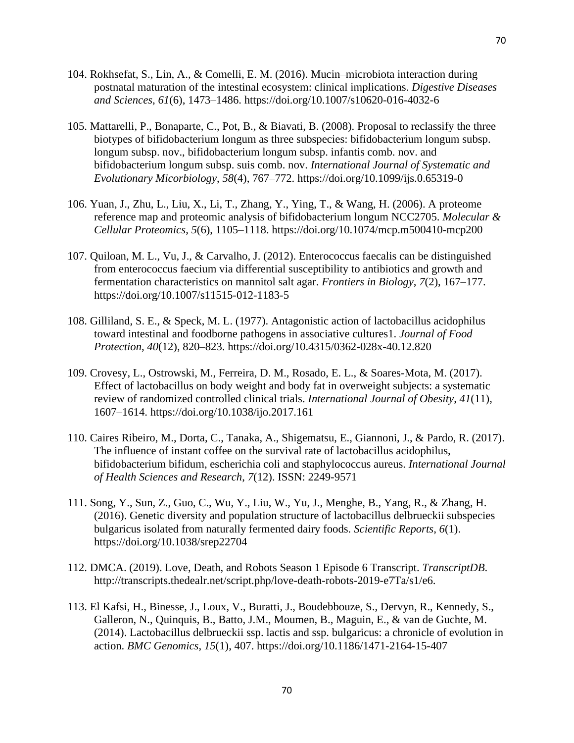- 104. Rokhsefat, S., Lin, A., & Comelli, E. M. (2016). Mucin–microbiota interaction during postnatal maturation of the intestinal ecosystem: clinical implications. *Digestive Diseases and Sciences*, *61*(6), 1473–1486. https://doi.org/10.1007/s10620-016-4032-6
- 105. Mattarelli, P., Bonaparte, C., Pot, B., & Biavati, B. (2008). Proposal to reclassify the three biotypes of bifidobacterium longum as three subspecies: bifidobacterium longum subsp. longum subsp. nov., bifidobacterium longum subsp. infantis comb. nov. and bifidobacterium longum subsp. suis comb. nov. *International Journal of Systematic and Evolutionary Micorbiology*, *58*(4), 767–772. https://doi.org/10.1099/ijs.0.65319-0
- 106. Yuan, J., Zhu, L., Liu, X., Li, T., Zhang, Y., Ying, T., & Wang, H. (2006). A proteome reference map and proteomic analysis of bifidobacterium longum NCC2705. *Molecular & Cellular Proteomics*, *5*(6), 1105–1118. https://doi.org/10.1074/mcp.m500410-mcp200
- 107. Quiloan, M. L., Vu, J., & Carvalho, J. (2012). Enterococcus faecalis can be distinguished from enterococcus faecium via differential susceptibility to antibiotics and growth and fermentation characteristics on mannitol salt agar. *Frontiers in Biology*, *7*(2), 167–177. https://doi.org/10.1007/s11515-012-1183-5
- 108. Gilliland, S. E., & Speck, M. L. (1977). Antagonistic action of lactobacillus acidophilus toward intestinal and foodborne pathogens in associative cultures1. *Journal of Food Protection*, *40*(12), 820–823. https://doi.org/10.4315/0362-028x-40.12.820
- 109. Crovesy, L., Ostrowski, M., Ferreira, D. M., Rosado, E. L., & Soares-Mota, M. (2017). Effect of lactobacillus on body weight and body fat in overweight subjects: a systematic review of randomized controlled clinical trials. *International Journal of Obesity*, *41*(11), 1607–1614. https://doi.org/10.1038/ijo.2017.161
- 110. Caires Ribeiro, M., Dorta, C., Tanaka, A., Shigematsu, E., Giannoni, J., & Pardo, R. (2017). The influence of instant coffee on the survival rate of lactobacillus acidophilus, bifidobacterium bifidum, escherichia coli and staphylococcus aureus. *International Journal of Health Sciences and Research*, *7*(12). ISSN: 2249-9571
- 111. Song, Y., Sun, Z., Guo, C., Wu, Y., Liu, W., Yu, J., Menghe, B., Yang, R., & Zhang, H. (2016). Genetic diversity and population structure of lactobacillus delbrueckii subspecies bulgaricus isolated from naturally fermented dairy foods. *Scientific Reports*, *6*(1). https://doi.org/10.1038/srep22704
- 112. DMCA. (2019). Love, Death, and Robots Season 1 Episode 6 Transcript. *TranscriptDB*. http://transcripts.thedealr.net/script.php/love-death-robots-2019-e7Ta/s1/e6.
- 113. El Kafsi, H., Binesse, J., Loux, V., Buratti, J., Boudebbouze, S., Dervyn, R., Kennedy, S., Galleron, N., Quinquis, B., Batto, J.M., Moumen, B., Maguin, E., & van de Guchte, M. (2014). Lactobacillus delbrueckii ssp. lactis and ssp. bulgaricus: a chronicle of evolution in action. *BMC Genomics*, *15*(1), 407. https://doi.org/10.1186/1471-2164-15-407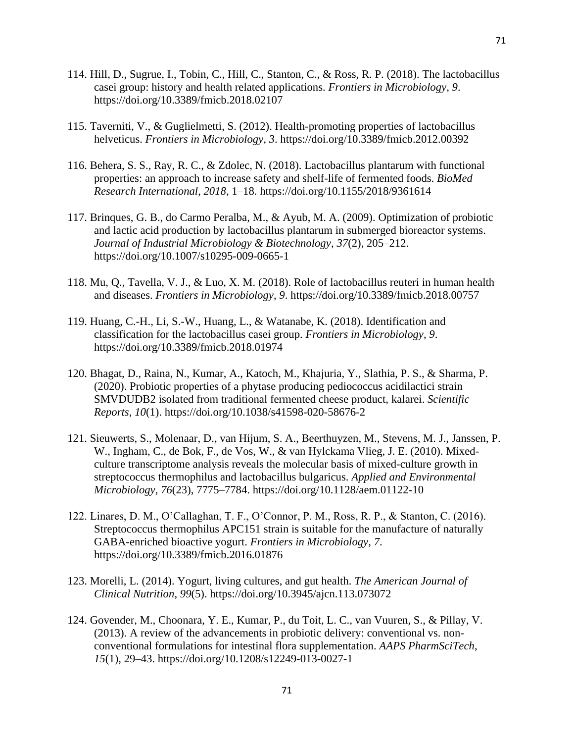- 114. Hill, D., Sugrue, I., Tobin, C., Hill, C., Stanton, C., & Ross, R. P. (2018). The lactobacillus casei group: history and health related applications. *Frontiers in Microbiology*, *9*. https://doi.org/10.3389/fmicb.2018.02107
- 115. Taverniti, V., & Guglielmetti, S. (2012). Health-promoting properties of lactobacillus helveticus. *Frontiers in Microbiology*, *3*. https://doi.org/10.3389/fmicb.2012.00392
- 116. Behera, S. S., Ray, R. C., & Zdolec, N. (2018). Lactobacillus plantarum with functional properties: an approach to increase safety and shelf-life of fermented foods. *BioMed Research International*, *2018*, 1–18. https://doi.org/10.1155/2018/9361614
- 117. Brinques, G. B., do Carmo Peralba, M., & Ayub, M. A. (2009). Optimization of probiotic and lactic acid production by lactobacillus plantarum in submerged bioreactor systems. *Journal of Industrial Microbiology & Biotechnology*, *37*(2), 205–212. https://doi.org/10.1007/s10295-009-0665-1
- 118. Mu, Q., Tavella, V. J., & Luo, X. M. (2018). Role of lactobacillus reuteri in human health and diseases. *Frontiers in Microbiology*, *9*. https://doi.org/10.3389/fmicb.2018.00757
- 119. Huang, C.-H., Li, S.-W., Huang, L., & Watanabe, K. (2018). Identification and classification for the lactobacillus casei group. *Frontiers in Microbiology*, *9*. https://doi.org/10.3389/fmicb.2018.01974
- 120. Bhagat, D., Raina, N., Kumar, A., Katoch, M., Khajuria, Y., Slathia, P. S., & Sharma, P. (2020). Probiotic properties of a phytase producing pediococcus acidilactici strain SMVDUDB2 isolated from traditional fermented cheese product, kalarei. *Scientific Reports*, *10*(1). https://doi.org/10.1038/s41598-020-58676-2
- 121. Sieuwerts, S., Molenaar, D., van Hijum, S. A., Beerthuyzen, M., Stevens, M. J., Janssen, P. W., Ingham, C., de Bok, F., de Vos, W., & van Hylckama Vlieg, J. E. (2010). Mixedculture transcriptome analysis reveals the molecular basis of mixed-culture growth in streptococcus thermophilus and lactobacillus bulgaricus. *Applied and Environmental Microbiology*, *76*(23), 7775–7784. https://doi.org/10.1128/aem.01122-10
- 122. Linares, D. M., O'Callaghan, T. F., O'Connor, P. M., Ross, R. P., & Stanton, C. (2016). Streptococcus thermophilus APC151 strain is suitable for the manufacture of naturally GABA-enriched bioactive yogurt. *Frontiers in Microbiology*, *7*. https://doi.org/10.3389/fmicb.2016.01876
- 123. Morelli, L. (2014). Yogurt, living cultures, and gut health. *The American Journal of Clinical Nutrition*, *99*(5). https://doi.org/10.3945/ajcn.113.073072
- 124. Govender, M., Choonara, Y. E., Kumar, P., du Toit, L. C., van Vuuren, S., & Pillay, V. (2013). A review of the advancements in probiotic delivery: conventional vs. nonconventional formulations for intestinal flora supplementation. *AAPS PharmSciTech*, *15*(1), 29–43. https://doi.org/10.1208/s12249-013-0027-1